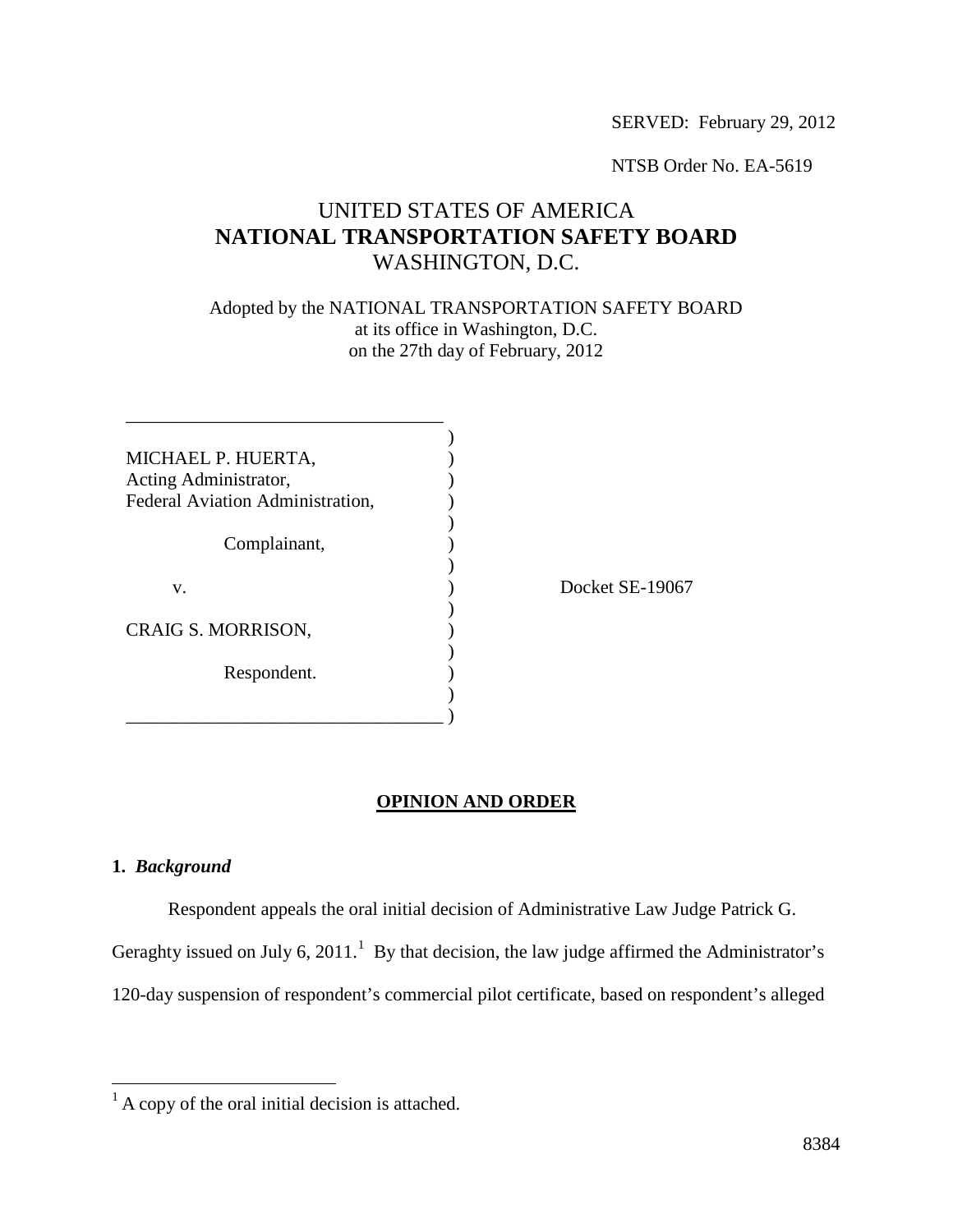SERVED: February 29, 2012

NTSB Order No. EA-5619

# UNITED STATES OF AMERICA **NATIONAL TRANSPORTATION SAFETY BOARD** WASHINGTON, D.C.

Adopted by the NATIONAL TRANSPORTATION SAFETY BOARD at its office in Washington, D.C. on the 27th day of February, 2012

| MICHAEL P. HUERTA,               |  |
|----------------------------------|--|
| Acting Administrator,            |  |
| Federal Aviation Administration, |  |
|                                  |  |
| Complainant,                     |  |
|                                  |  |
| V.                               |  |
|                                  |  |
| CRAIG S. MORRISON,               |  |
|                                  |  |
| Respondent.                      |  |
|                                  |  |
|                                  |  |

 $et$  SE-19067

# **OPINION AND ORDER**

# **1.** *Background*

Respondent appeals the oral initial decision of Administrative Law Judge Patrick G.

Geraghty issued on July 6, 20[1](#page-0-0)1.<sup>1</sup> By that decision, the law judge affirmed the Administrator's

120-day suspension of respondent's commercial pilot certificate, based on respondent's alleged

<span id="page-0-0"></span> $<sup>1</sup>$  A copy of the oral initial decision is attached.</sup>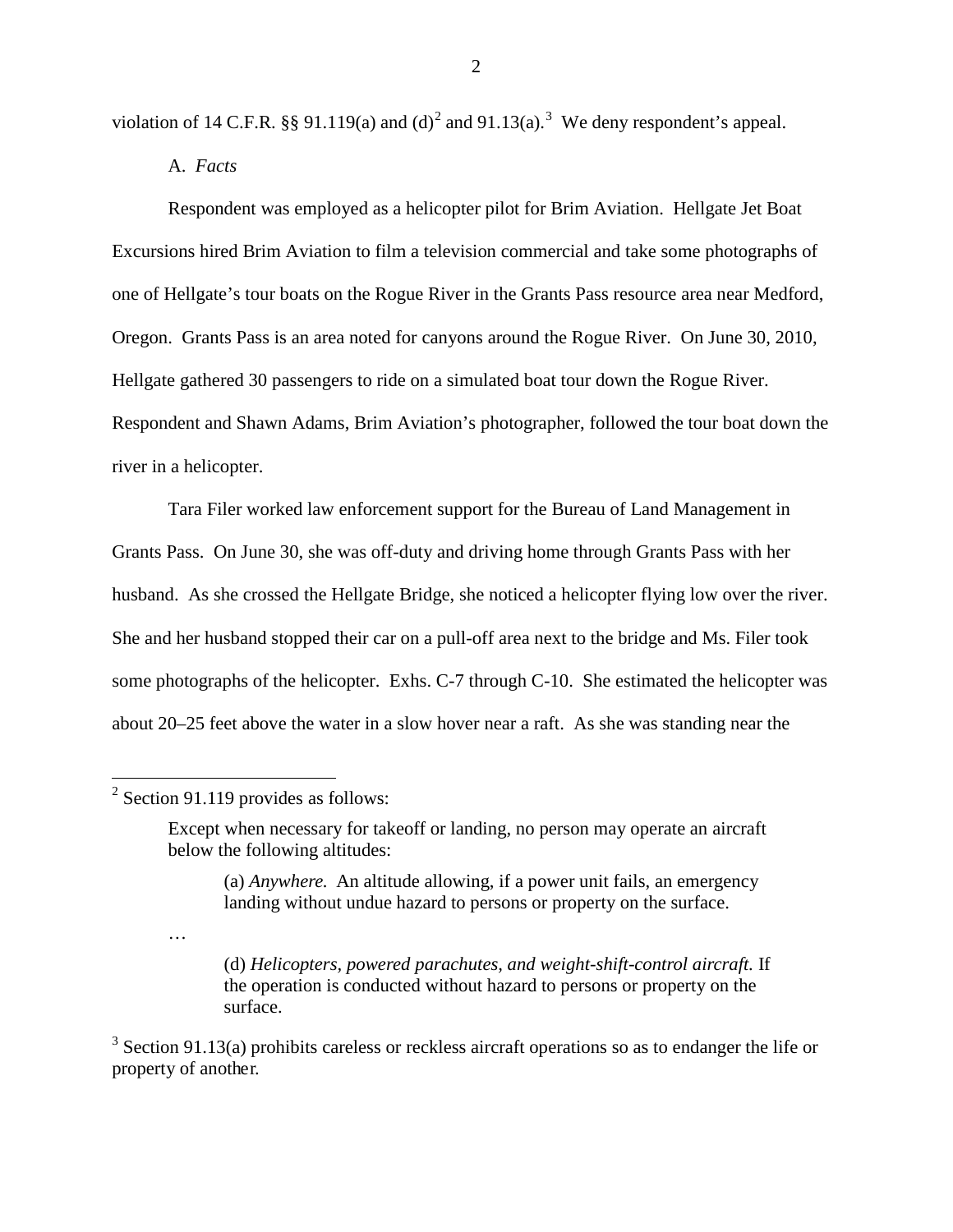violation of 14 C.F.R. §§ 91.119(a) and (d)<sup>[2](#page-1-0)</sup> and 91.1[3](#page-1-1)(a).<sup>3</sup> We deny respondent's appeal.

A. *Facts*

Respondent was employed as a helicopter pilot for Brim Aviation. Hellgate Jet Boat Excursions hired Brim Aviation to film a television commercial and take some photographs of one of Hellgate's tour boats on the Rogue River in the Grants Pass resource area near Medford, Oregon. Grants Pass is an area noted for canyons around the Rogue River. On June 30, 2010, Hellgate gathered 30 passengers to ride on a simulated boat tour down the Rogue River. Respondent and Shawn Adams, Brim Aviation's photographer, followed the tour boat down the river in a helicopter.

Tara Filer worked law enforcement support for the Bureau of Land Management in Grants Pass. On June 30, she was off-duty and driving home through Grants Pass with her husband. As she crossed the Hellgate Bridge, she noticed a helicopter flying low over the river. She and her husband stopped their car on a pull-off area next to the bridge and Ms. Filer took some photographs of the helicopter. Exhs. C-7 through C-10. She estimated the helicopter was about 20–25 feet above the water in a slow hover near a raft. As she was standing near the

<span id="page-1-0"></span> $2$  Section 91.119 provides as follows:

…

(a) *Anywhere.* An altitude allowing, if a power unit fails, an emergency landing without undue hazard to persons or property on the surface.

(d) *Helicopters, powered parachutes, and weight-shift-control aircraft.* If the operation is conducted without hazard to persons or property on the surface.

<span id="page-1-1"></span> $3$  Section 91.13(a) prohibits careless or reckless aircraft operations so as to endanger the life or property of another.

Except when necessary for takeoff or landing, no person may operate an aircraft below the following altitudes: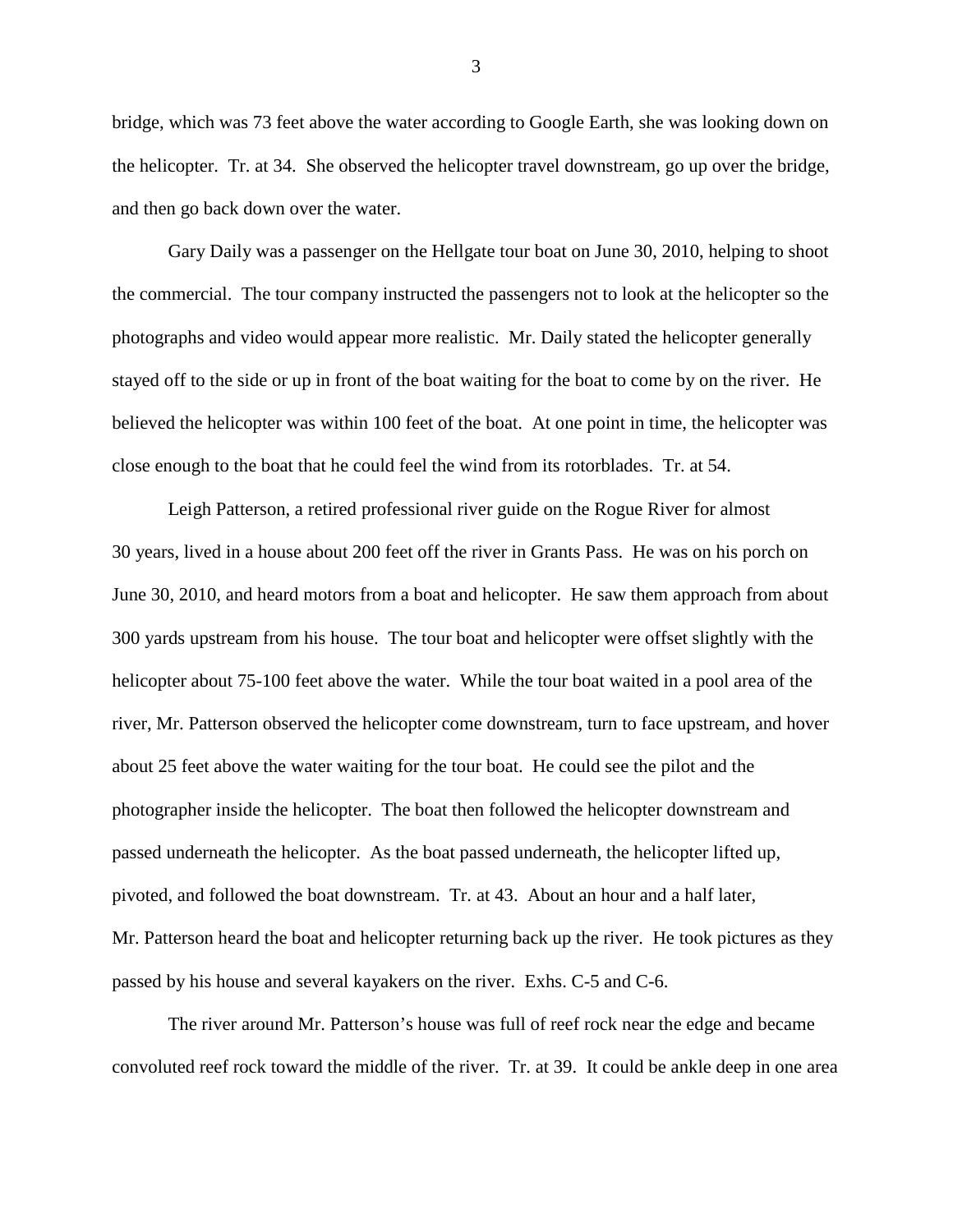bridge, which was 73 feet above the water according to Google Earth, she was looking down on the helicopter. Tr. at 34. She observed the helicopter travel downstream, go up over the bridge, and then go back down over the water.

Gary Daily was a passenger on the Hellgate tour boat on June 30, 2010, helping to shoot the commercial. The tour company instructed the passengers not to look at the helicopter so the photographs and video would appear more realistic. Mr. Daily stated the helicopter generally stayed off to the side or up in front of the boat waiting for the boat to come by on the river. He believed the helicopter was within 100 feet of the boat. At one point in time, the helicopter was close enough to the boat that he could feel the wind from its rotorblades. Tr. at 54.

Leigh Patterson, a retired professional river guide on the Rogue River for almost 30 years, lived in a house about 200 feet off the river in Grants Pass. He was on his porch on June 30, 2010, and heard motors from a boat and helicopter. He saw them approach from about 300 yards upstream from his house. The tour boat and helicopter were offset slightly with the helicopter about 75-100 feet above the water. While the tour boat waited in a pool area of the river, Mr. Patterson observed the helicopter come downstream, turn to face upstream, and hover about 25 feet above the water waiting for the tour boat. He could see the pilot and the photographer inside the helicopter. The boat then followed the helicopter downstream and passed underneath the helicopter. As the boat passed underneath, the helicopter lifted up, pivoted, and followed the boat downstream. Tr. at 43. About an hour and a half later, Mr. Patterson heard the boat and helicopter returning back up the river. He took pictures as they passed by his house and several kayakers on the river. Exhs. C-5 and C-6.

The river around Mr. Patterson's house was full of reef rock near the edge and became convoluted reef rock toward the middle of the river. Tr. at 39. It could be ankle deep in one area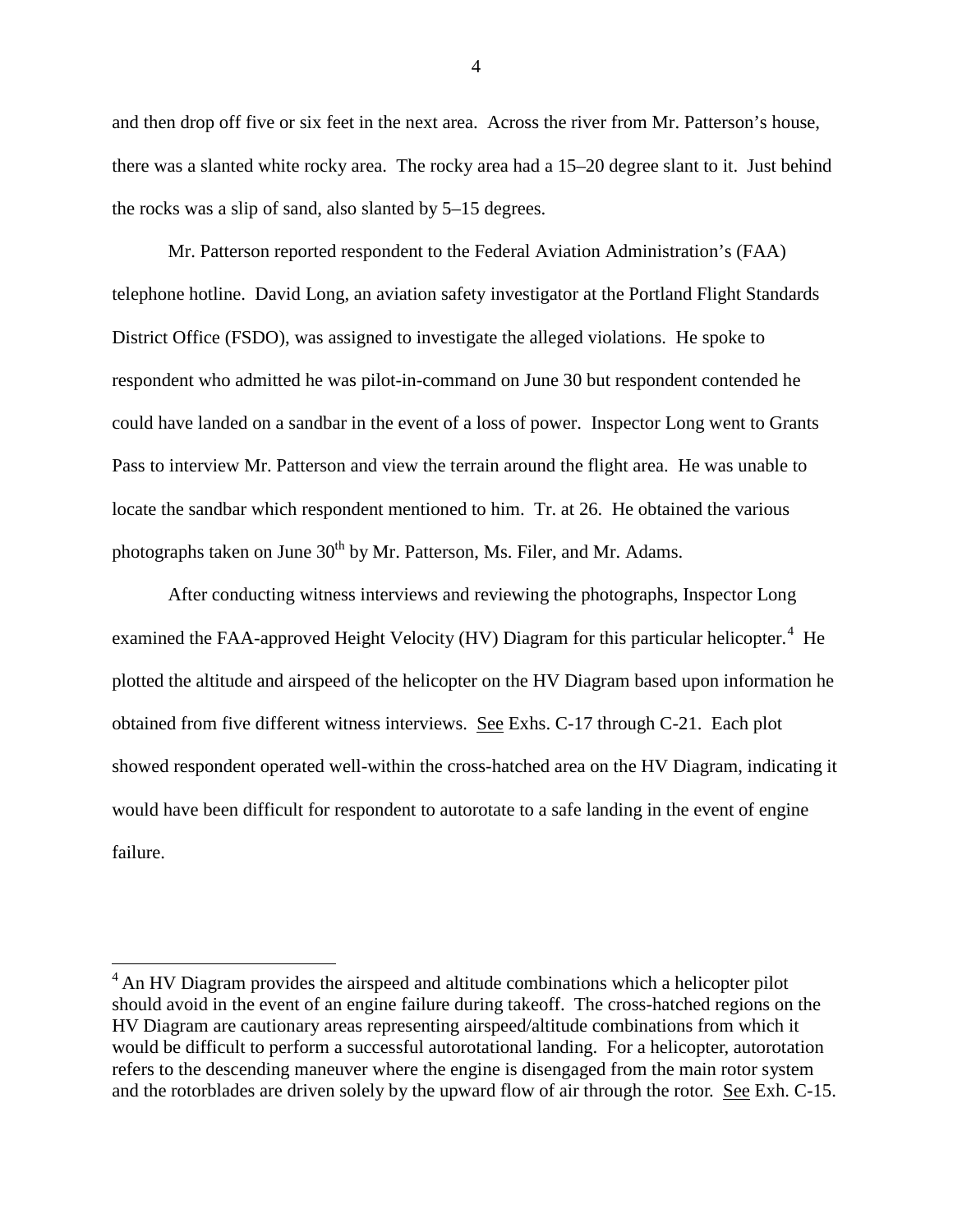and then drop off five or six feet in the next area. Across the river from Mr. Patterson's house, there was a slanted white rocky area. The rocky area had a 15–20 degree slant to it. Just behind the rocks was a slip of sand, also slanted by 5–15 degrees.

Mr. Patterson reported respondent to the Federal Aviation Administration's (FAA) telephone hotline. David Long, an aviation safety investigator at the Portland Flight Standards District Office (FSDO), was assigned to investigate the alleged violations. He spoke to respondent who admitted he was pilot-in-command on June 30 but respondent contended he could have landed on a sandbar in the event of a loss of power. Inspector Long went to Grants Pass to interview Mr. Patterson and view the terrain around the flight area. He was unable to locate the sandbar which respondent mentioned to him. Tr. at 26. He obtained the various photographs taken on June  $30<sup>th</sup>$  by Mr. Patterson, Ms. Filer, and Mr. Adams.

After conducting witness interviews and reviewing the photographs, Inspector Long examined the FAA-approved Height Velocity (HV) Diagram for this particular helicopter.<sup>[4](#page-3-0)</sup> He plotted the altitude and airspeed of the helicopter on the HV Diagram based upon information he obtained from five different witness interviews. See Exhs. C-17 through C-21. Each plot showed respondent operated well-within the cross-hatched area on the HV Diagram, indicating it would have been difficult for respondent to autorotate to a safe landing in the event of engine failure.

<span id="page-3-0"></span><sup>&</sup>lt;sup>4</sup> An HV Diagram provides the airspeed and altitude combinations which a helicopter pilot should avoid in the event of an engine failure during takeoff. The cross-hatched regions on the HV Diagram are cautionary areas representing airspeed/altitude combinations from which it would be difficult to perform a successful autorotational landing. For a helicopter, autorotation refers to the descending maneuver where the engine is disengaged from the main rotor system and the rotorblades are driven solely by the upward flow of air through the rotor. See Exh. C-15.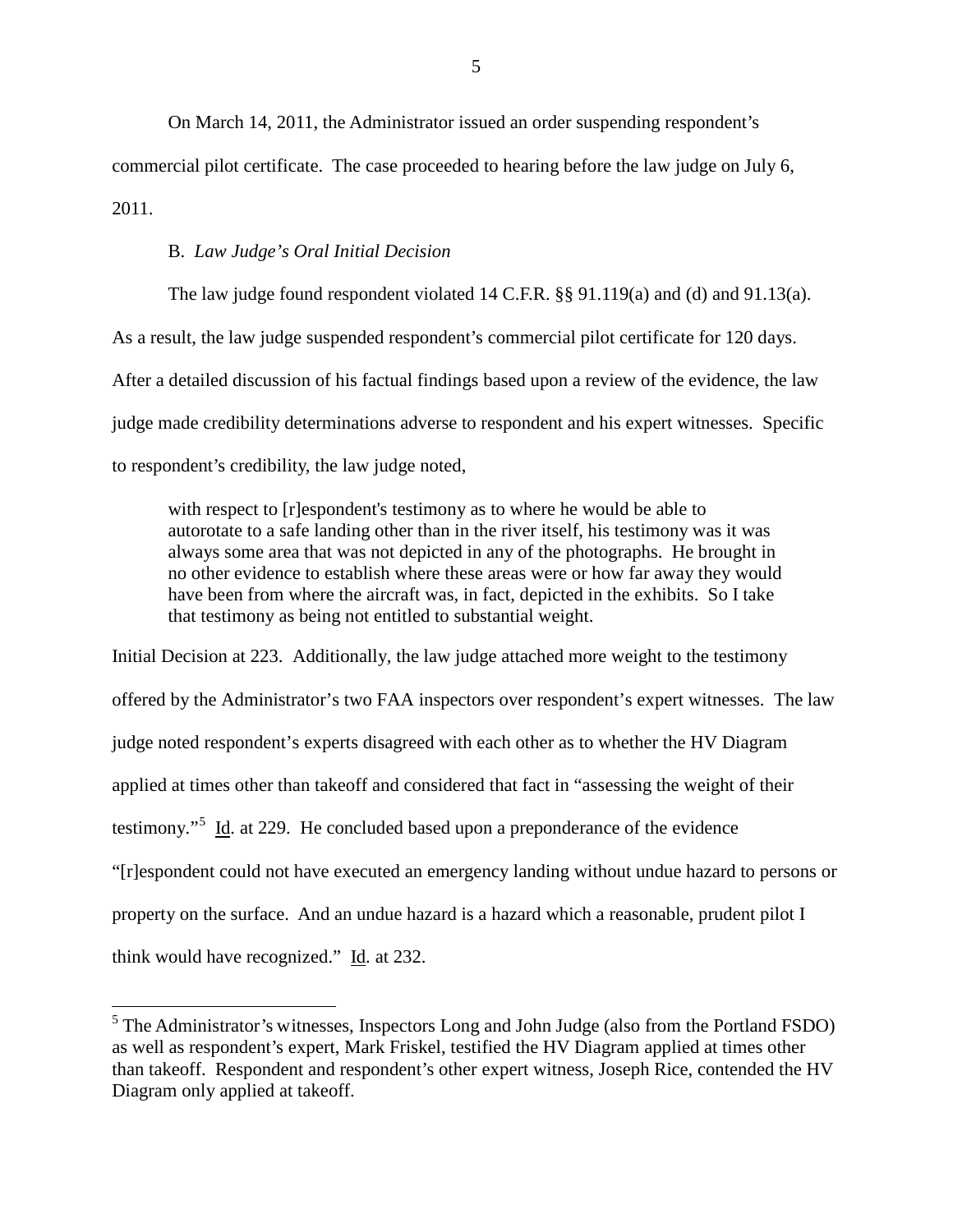On March 14, 2011, the Administrator issued an order suspending respondent's commercial pilot certificate. The case proceeded to hearing before the law judge on July 6, 2011.

#### B. *Law Judge's Oral Initial Decision*

The law judge found respondent violated 14 C.F.R. §§ 91.119(a) and (d) and 91.13(a). As a result, the law judge suspended respondent's commercial pilot certificate for 120 days. After a detailed discussion of his factual findings based upon a review of the evidence, the law judge made credibility determinations adverse to respondent and his expert witnesses. Specific to respondent's credibility, the law judge noted,

with respect to [r]espondent's testimony as to where he would be able to autorotate to a safe landing other than in the river itself, his testimony was it was always some area that was not depicted in any of the photographs. He brought in no other evidence to establish where these areas were or how far away they would have been from where the aircraft was, in fact, depicted in the exhibits. So I take that testimony as being not entitled to substantial weight.

Initial Decision at 223. Additionally, the law judge attached more weight to the testimony offered by the Administrator's two FAA inspectors over respondent's expert witnesses. The law judge noted respondent's experts disagreed with each other as to whether the HV Diagram applied at times other than takeoff and considered that fact in "assessing the weight of their testimony."<sup>[5](#page-4-0)</sup> Id. at 229. He concluded based upon a preponderance of the evidence "[r]espondent could not have executed an emergency landing without undue hazard to persons or property on the surface. And an undue hazard is a hazard which a reasonable, prudent pilot I think would have recognized." Id. at 232.

<span id="page-4-0"></span><sup>&</sup>lt;sup>5</sup> The Administrator's witnesses, Inspectors Long and John Judge (also from the Portland FSDO) as well as respondent's expert, Mark Friskel, testified the HV Diagram applied at times other than takeoff. Respondent and respondent's other expert witness, Joseph Rice, contended the HV Diagram only applied at takeoff.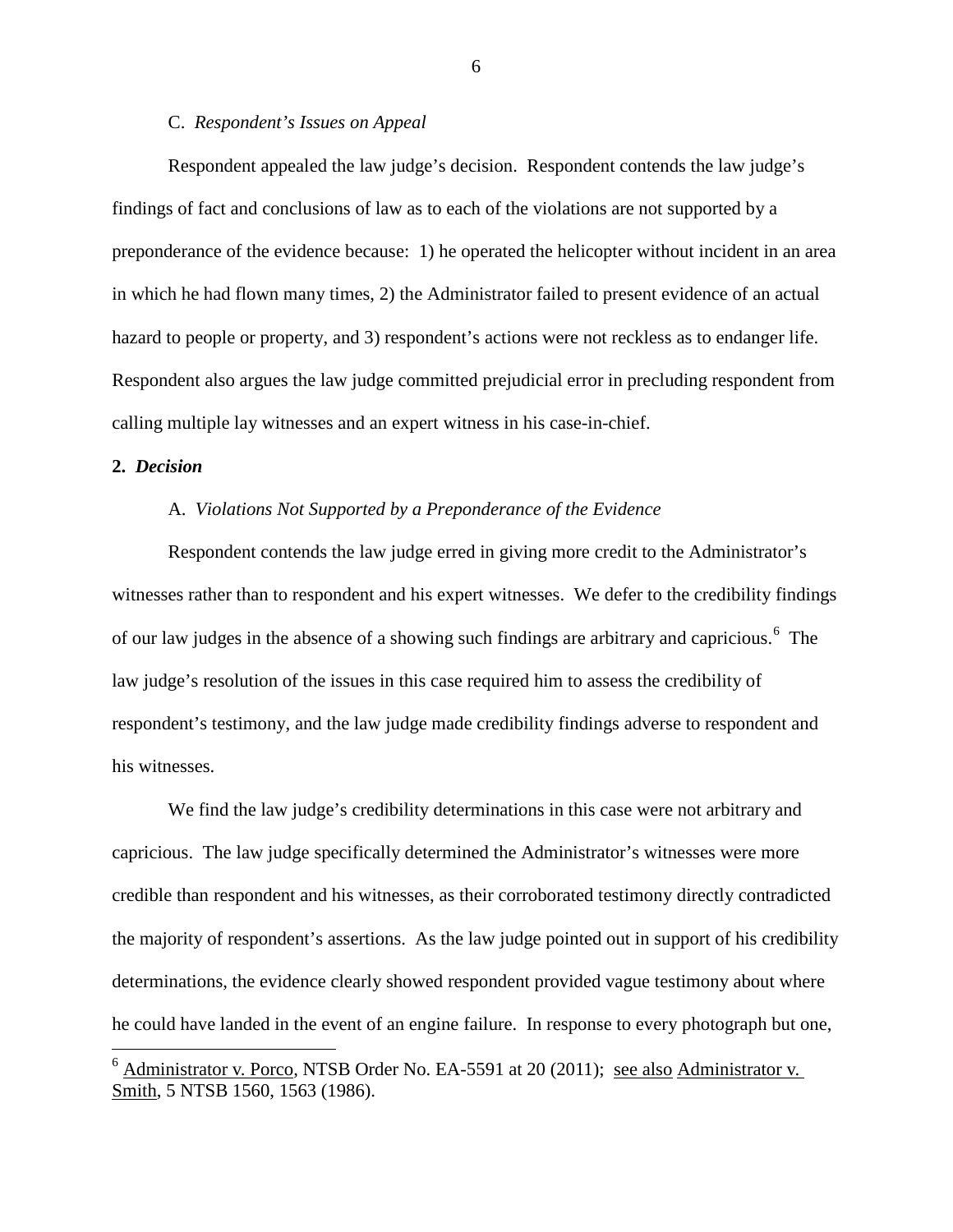# C. *Respondent's Issues on Appeal*

Respondent appealed the law judge's decision. Respondent contends the law judge's findings of fact and conclusions of law as to each of the violations are not supported by a preponderance of the evidence because: 1) he operated the helicopter without incident in an area in which he had flown many times, 2) the Administrator failed to present evidence of an actual hazard to people or property, and 3) respondent's actions were not reckless as to endanger life. Respondent also argues the law judge committed prejudicial error in precluding respondent from calling multiple lay witnesses and an expert witness in his case-in-chief.

#### **2.** *Decision*

# A. *Violations Not Supported by a Preponderance of the Evidence*

Respondent contends the law judge erred in giving more credit to the Administrator's witnesses rather than to respondent and his expert witnesses. We defer to the credibility findings of our law judges in the absence of a showing such findings are arbitrary and capricious.<sup>[6](#page-5-0)</sup> The law judge's resolution of the issues in this case required him to assess the credibility of respondent's testimony, and the law judge made credibility findings adverse to respondent and his witnesses.

We find the law judge's credibility determinations in this case were not arbitrary and capricious. The law judge specifically determined the Administrator's witnesses were more credible than respondent and his witnesses, as their corroborated testimony directly contradicted the majority of respondent's assertions. As the law judge pointed out in support of his credibility determinations, the evidence clearly showed respondent provided vague testimony about where he could have landed in the event of an engine failure. In response to every photograph but one,

<span id="page-5-0"></span> $6$  Administrator v. Porco, NTSB Order No. EA-5591 at 20 (2011); see also Administrator v. Smith, 5 NTSB 1560, 1563 (1986).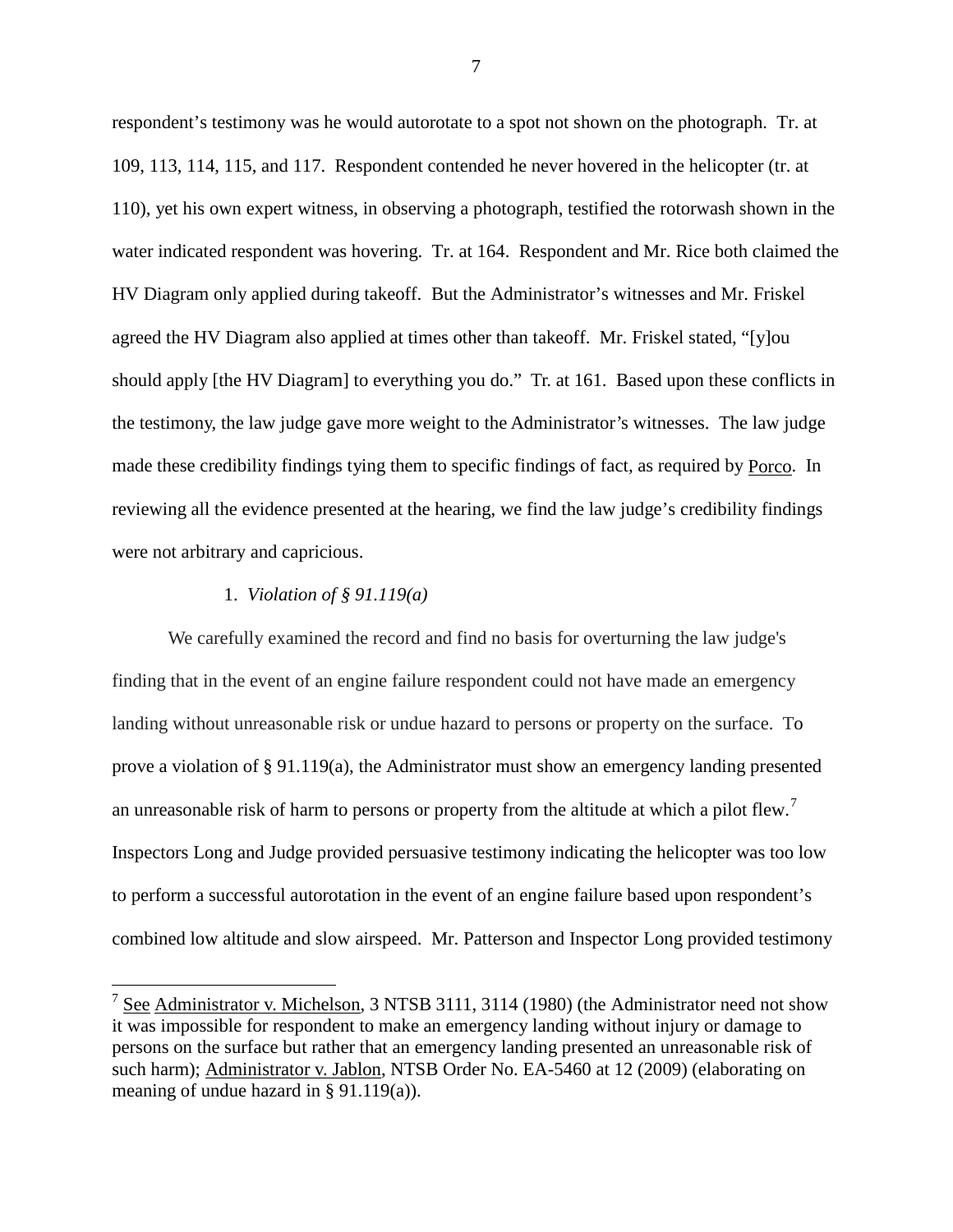respondent's testimony was he would autorotate to a spot not shown on the photograph. Tr. at 109, 113, 114, 115, and 117. Respondent contended he never hovered in the helicopter (tr. at 110), yet his own expert witness, in observing a photograph, testified the rotorwash shown in the water indicated respondent was hovering. Tr. at 164. Respondent and Mr. Rice both claimed the HV Diagram only applied during takeoff. But the Administrator's witnesses and Mr. Friskel agreed the HV Diagram also applied at times other than takeoff. Mr. Friskel stated, "[y]ou should apply [the HV Diagram] to everything you do." Tr. at 161. Based upon these conflicts in the testimony, the law judge gave more weight to the Administrator's witnesses. The law judge made these credibility findings tying them to specific findings of fact, as required by Porco. In reviewing all the evidence presented at the hearing, we find the law judge's credibility findings were not arbitrary and capricious.

# 1. *Violation of § 91.119(a)*

We carefully examined the record and find no basis for overturning the law judge's finding that in the event of an engine failure respondent could not have made an emergency landing without unreasonable risk or undue hazard to persons or property on the surface. To prove a violation of § 91.119(a), the Administrator must show an emergency landing presented an unreasonable risk of harm to persons or property from the altitude at which a pilot flew.<sup>[7](#page-6-0)</sup> Inspectors Long and Judge provided persuasive testimony indicating the helicopter was too low to perform a successful autorotation in the event of an engine failure based upon respondent's combined low altitude and slow airspeed. Mr. Patterson and Inspector Long provided testimony

<span id="page-6-0"></span><sup>&</sup>lt;sup>7</sup> See Administrator v. Michelson, 3 NTSB 3111, 3114 (1980) (the Administrator need not show it was impossible for respondent to make an emergency landing without injury or damage to persons on the surface but rather that an emergency landing presented an unreasonable risk of such harm); Administrator v. Jablon, NTSB Order No. EA-5460 at 12 (2009) (elaborating on meaning of undue hazard in § 91.119(a)).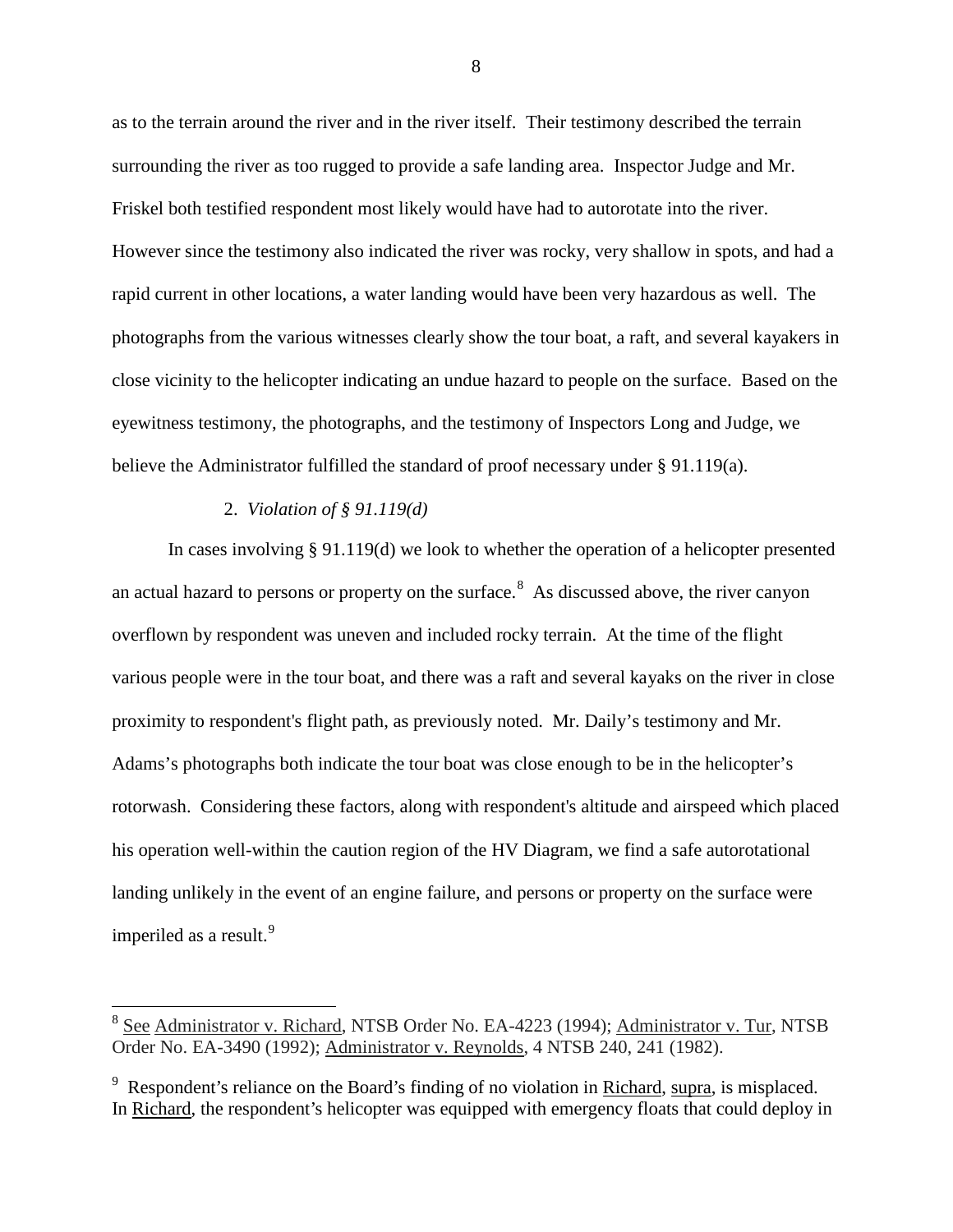as to the terrain around the river and in the river itself. Their testimony described the terrain surrounding the river as too rugged to provide a safe landing area. Inspector Judge and Mr. Friskel both testified respondent most likely would have had to autorotate into the river. However since the testimony also indicated the river was rocky, very shallow in spots, and had a rapid current in other locations, a water landing would have been very hazardous as well. The photographs from the various witnesses clearly show the tour boat, a raft, and several kayakers in close vicinity to the helicopter indicating an undue hazard to people on the surface. Based on the eyewitness testimony, the photographs, and the testimony of Inspectors Long and Judge, we believe the Administrator fulfilled the standard of proof necessary under  $\S$  91.119(a).

# 2. *Violation of § 91.119(d)*

In cases involving § 91.119(d) we look to whether the operation of a helicopter presented an actual hazard to persons or property on the surface.<sup>[8](#page-7-0)</sup> As discussed above, the river canyon overflown by respondent was uneven and included rocky terrain. At the time of the flight various people were in the tour boat, and there was a raft and several kayaks on the river in close proximity to respondent's flight path, as previously noted. Mr. Daily's testimony and Mr. Adams's photographs both indicate the tour boat was close enough to be in the helicopter's rotorwash. Considering these factors, along with respondent's altitude and airspeed which placed his operation well-within the caution region of the HV Diagram, we find a safe autorotational landing unlikely in the event of an engine failure, and persons or property on the surface were imperiled as a result.<sup>[9](#page-7-1)</sup>

<span id="page-7-0"></span><sup>&</sup>lt;sup>8</sup> See Administrator v. Richard, NTSB Order No. EA-4223 (1994); Administrator v. Tur, NTSB Order No. EA-3490 (1992); Administrator v. Reynolds, 4 NTSB 240, 241 (1982).

<span id="page-7-1"></span><sup>&</sup>lt;sup>9</sup> Respondent's reliance on the Board's finding of no violation in Richard, supra, is misplaced. In Richard, the respondent's helicopter was equipped with emergency floats that could deploy in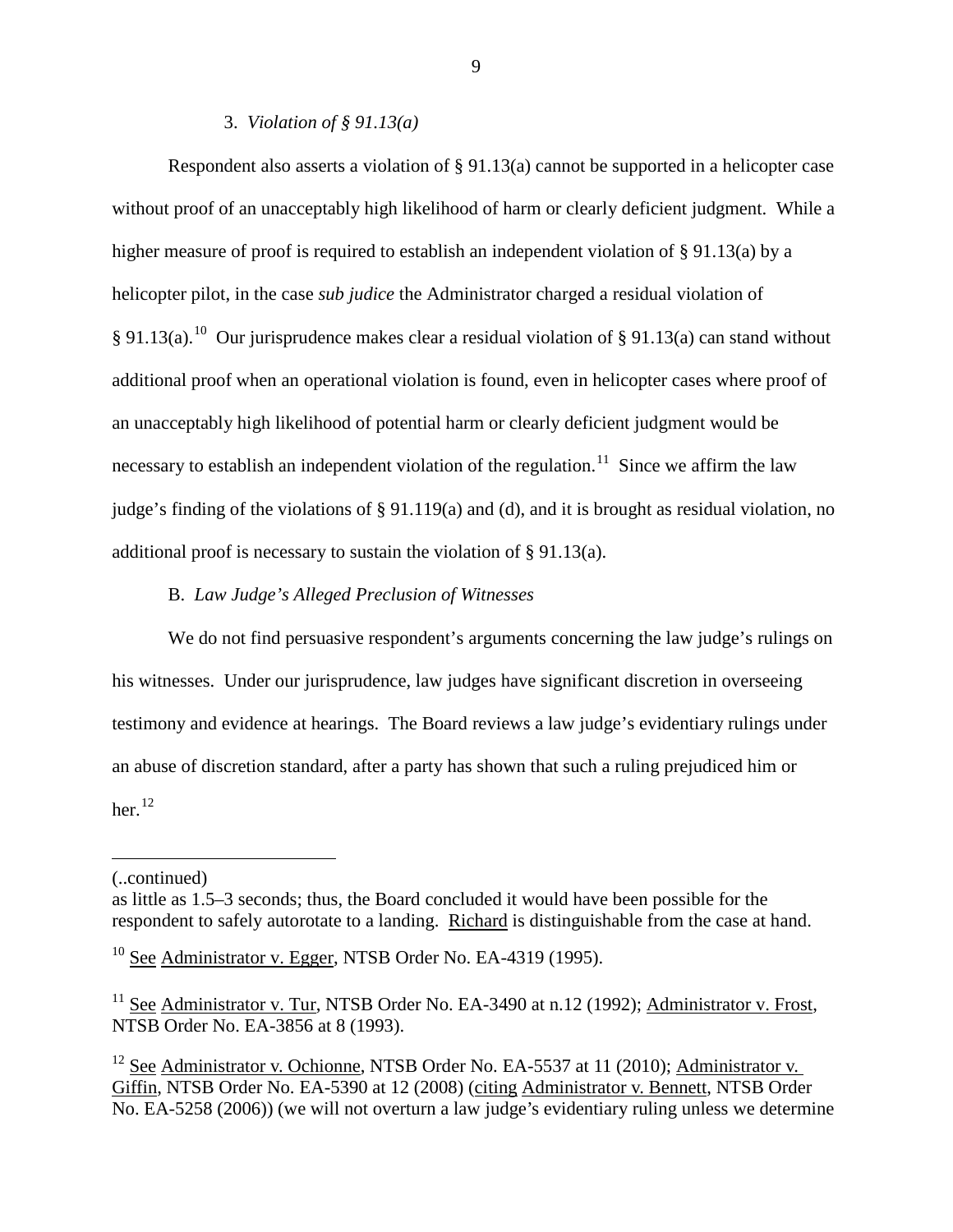### 3. *Violation of § 91.13(a)*

Respondent also asserts a violation of § 91.13(a) cannot be supported in a helicopter case without proof of an unacceptably high likelihood of harm or clearly deficient judgment. While a higher measure of proof is required to establish an independent violation of § 91.13(a) by a helicopter pilot, in the case *sub judice* the Administrator charged a residual violation of § 91.13(a).<sup>10</sup> Our jurisprudence makes clear a residual violation of § 91.13(a) can stand without additional proof when an operational violation is found, even in helicopter cases where proof of an unacceptably high likelihood of potential harm or clearly deficient judgment would be necessary to establish an independent violation of the regulation.<sup>[11](#page-8-1)</sup> Since we affirm the law judge's finding of the violations of § 91.119(a) and (d), and it is brought as residual violation, no additional proof is necessary to sustain the violation of § 91.13(a).

# B. *Law Judge's Alleged Preclusion of Witnesses*

We do not find persuasive respondent's arguments concerning the law judge's rulings on his witnesses. Under our jurisprudence, law judges have significant discretion in overseeing testimony and evidence at hearings. The Board reviews a law judge's evidentiary rulings under an abuse of discretion standard, after a party has shown that such a ruling prejudiced him or her. $^{12}$  $^{12}$  $^{12}$ 

 $\overline{a}$ 

<sup>(..</sup>continued)

as little as 1.5–3 seconds; thus, the Board concluded it would have been possible for the respondent to safely autorotate to a landing. Richard is distinguishable from the case at hand.

<span id="page-8-0"></span> $10$  See Administrator v. Egger, NTSB Order No. EA-4319 (1995).

<span id="page-8-1"></span> $11$  See Administrator v. Tur, NTSB Order No. EA-3490 at n.12 (1992); Administrator v. Frost, NTSB Order No. EA-3856 at 8 (1993).

<span id="page-8-2"></span> $12$  See Administrator v. Ochionne, NTSB Order No. EA-5537 at 11 (2010); Administrator v. Giffin, NTSB Order No. EA-5390 at 12 (2008) (citing Administrator v. Bennett, NTSB Order No. EA-5258 (2006)) (we will not overturn a law judge's evidentiary ruling unless we determine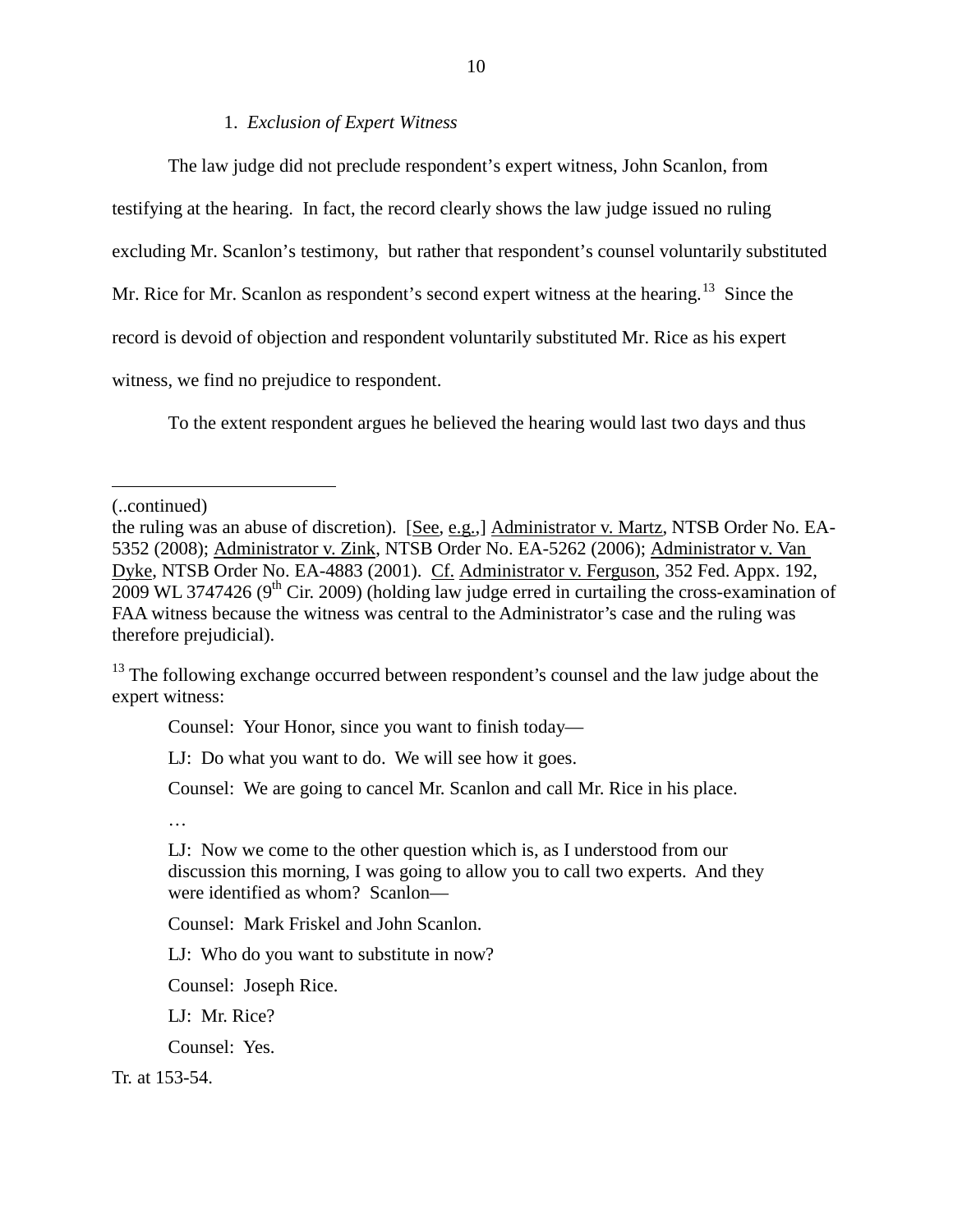#### 1. *Exclusion of Expert Witness*

The law judge did not preclude respondent's expert witness, John Scanlon, from testifying at the hearing. In fact, the record clearly shows the law judge issued no ruling excluding Mr. Scanlon's testimony, but rather that respondent's counsel voluntarily substituted Mr. Rice for Mr. Scanlon as respondent's second expert witness at the hearing.<sup>[13](#page-9-0)</sup> Since the record is devoid of objection and respondent voluntarily substituted Mr. Rice as his expert witness, we find no prejudice to respondent.

To the extent respondent argues he believed the hearing would last two days and thus

 $\overline{a}$ 

Counsel: Your Honor, since you want to finish today—

LJ: Do what you want to do. We will see how it goes.

Counsel: We are going to cancel Mr. Scanlon and call Mr. Rice in his place.

…

LJ: Now we come to the other question which is, as I understood from our discussion this morning, I was going to allow you to call two experts. And they were identified as whom? Scanlon—

Counsel: Mark Friskel and John Scanlon.

LJ: Who do you want to substitute in now?

Counsel: Joseph Rice.

LJ: Mr. Rice?

Counsel: Yes.

Tr. at 153-54.

<sup>(..</sup>continued)

the ruling was an abuse of discretion). [See, e.g.,] Administrator v. Martz, NTSB Order No. EA-5352 (2008); Administrator v. Zink, NTSB Order No. EA-5262 (2006); Administrator v. Van Dyke, NTSB Order No. EA-4883 (2001). Cf. Administrator v. Ferguson, 352 Fed. Appx. 192,  $2009$  WL 3747426 (9<sup>th</sup> Cir. 2009) (holding law judge erred in curtailing the cross-examination of FAA witness because the witness was central to the Administrator's case and the ruling was therefore prejudicial).

<span id="page-9-0"></span><sup>&</sup>lt;sup>13</sup> The following exchange occurred between respondent's counsel and the law judge about the expert witness: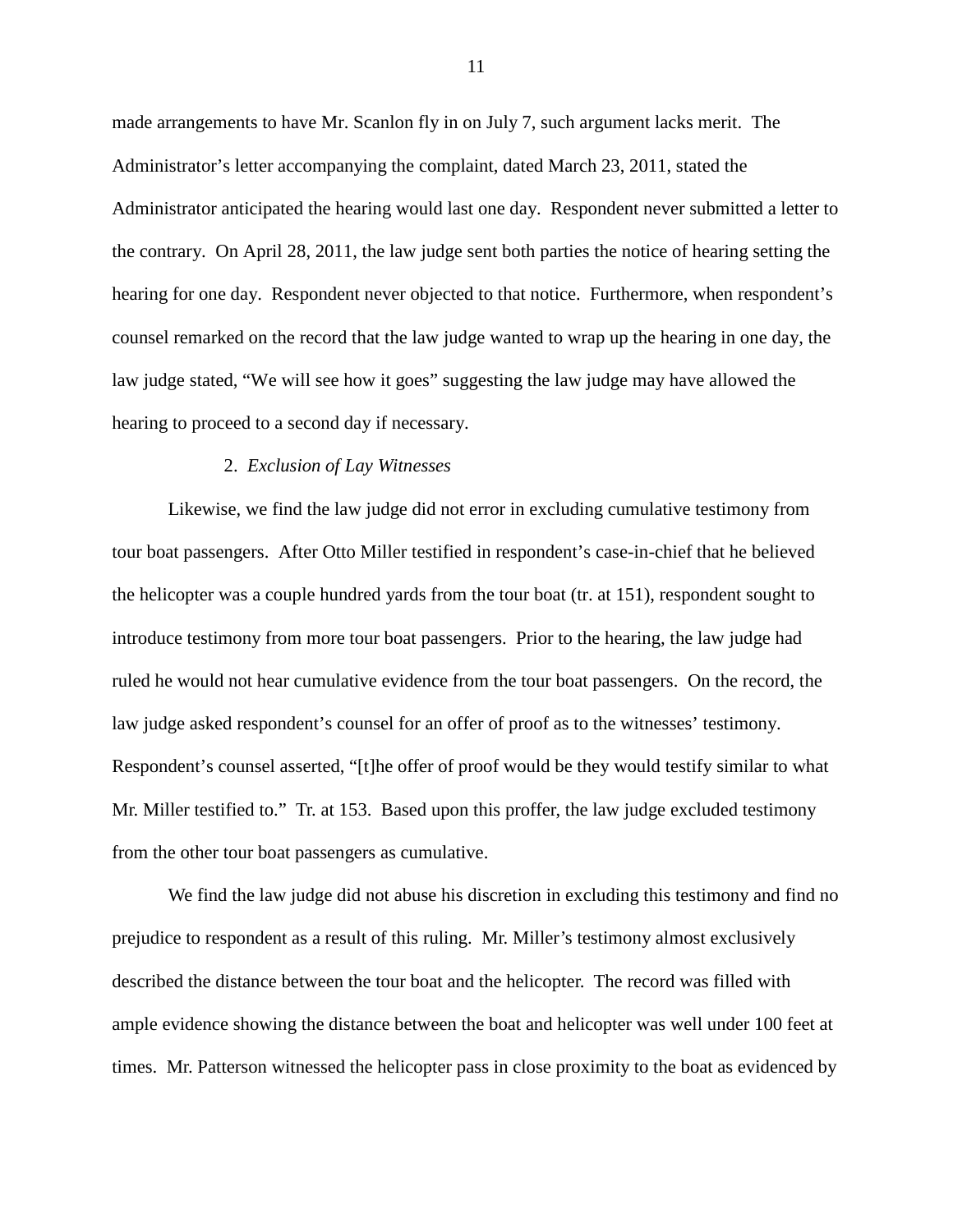made arrangements to have Mr. Scanlon fly in on July 7, such argument lacks merit. The Administrator's letter accompanying the complaint, dated March 23, 2011, stated the Administrator anticipated the hearing would last one day. Respondent never submitted a letter to the contrary. On April 28, 2011, the law judge sent both parties the notice of hearing setting the hearing for one day. Respondent never objected to that notice. Furthermore, when respondent's counsel remarked on the record that the law judge wanted to wrap up the hearing in one day, the law judge stated, "We will see how it goes" suggesting the law judge may have allowed the hearing to proceed to a second day if necessary.

# 2. *Exclusion of Lay Witnesses*

Likewise, we find the law judge did not error in excluding cumulative testimony from tour boat passengers. After Otto Miller testified in respondent's case-in-chief that he believed the helicopter was a couple hundred yards from the tour boat (tr. at 151), respondent sought to introduce testimony from more tour boat passengers. Prior to the hearing, the law judge had ruled he would not hear cumulative evidence from the tour boat passengers. On the record, the law judge asked respondent's counsel for an offer of proof as to the witnesses' testimony. Respondent's counsel asserted, "[t]he offer of proof would be they would testify similar to what Mr. Miller testified to." Tr. at 153. Based upon this proffer, the law judge excluded testimony from the other tour boat passengers as cumulative.

We find the law judge did not abuse his discretion in excluding this testimony and find no prejudice to respondent as a result of this ruling. Mr. Miller's testimony almost exclusively described the distance between the tour boat and the helicopter. The record was filled with ample evidence showing the distance between the boat and helicopter was well under 100 feet at times. Mr. Patterson witnessed the helicopter pass in close proximity to the boat as evidenced by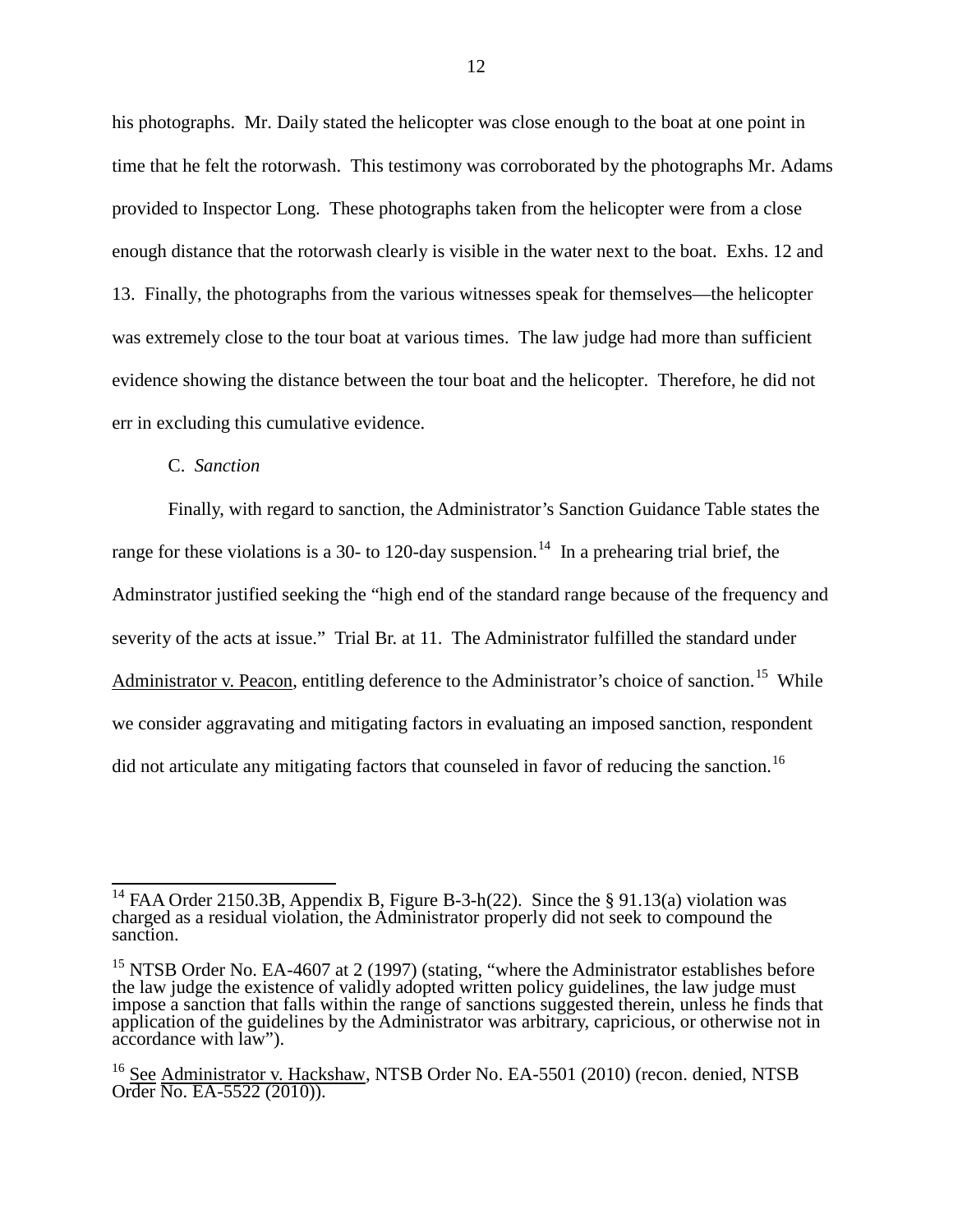his photographs. Mr. Daily stated the helicopter was close enough to the boat at one point in time that he felt the rotorwash. This testimony was corroborated by the photographs Mr. Adams provided to Inspector Long. These photographs taken from the helicopter were from a close enough distance that the rotorwash clearly is visible in the water next to the boat. Exhs. 12 and 13. Finally, the photographs from the various witnesses speak for themselves—the helicopter was extremely close to the tour boat at various times. The law judge had more than sufficient evidence showing the distance between the tour boat and the helicopter. Therefore, he did not err in excluding this cumulative evidence.

#### C. *Sanction*

Finally, with regard to sanction, the Administrator's Sanction Guidance Table states the range for these violations is a 30- to 120-day suspension.<sup>[14](#page-11-0)</sup> In a prehearing trial brief, the Adminstrator justified seeking the "high end of the standard range because of the frequency and severity of the acts at issue." Trial Br. at 11. The Administrator fulfilled the standard under Administrator v. Peacon, entitling deference to the Administrator's choice of sanction.<sup>15</sup> While we consider aggravating and mitigating factors in evaluating an imposed sanction, respondent did not articulate any mitigating factors that counseled in favor of reducing the sanction.<sup>[16](#page-11-2)</sup>

<span id="page-11-0"></span><sup>&</sup>lt;sup>14</sup> FAA Order 2150.3B, Appendix B, Figure B-3-h(22). Since the § 91.13(a) violation was charged as a residual violation, the Administrator properly did not seek to compound the sanction.

<span id="page-11-1"></span><sup>&</sup>lt;sup>15</sup> NTSB Order No. EA-4607 at 2 (1997) (stating, "where the Administrator establishes before the law judge the existence of validly adopted written policy guidelines, the law judge must impose a sanction that falls within the range of sanctions suggested therein, unless he finds that application of the guidelines by the Administrator was arbitrary, capricious, or otherwise not in accordance with law").

<span id="page-11-2"></span><sup>&</sup>lt;sup>16</sup> See Administrator v. Hackshaw, NTSB Order No. EA-5501 (2010) (recon. denied, NTSB Order No. EA-5522 (2010)).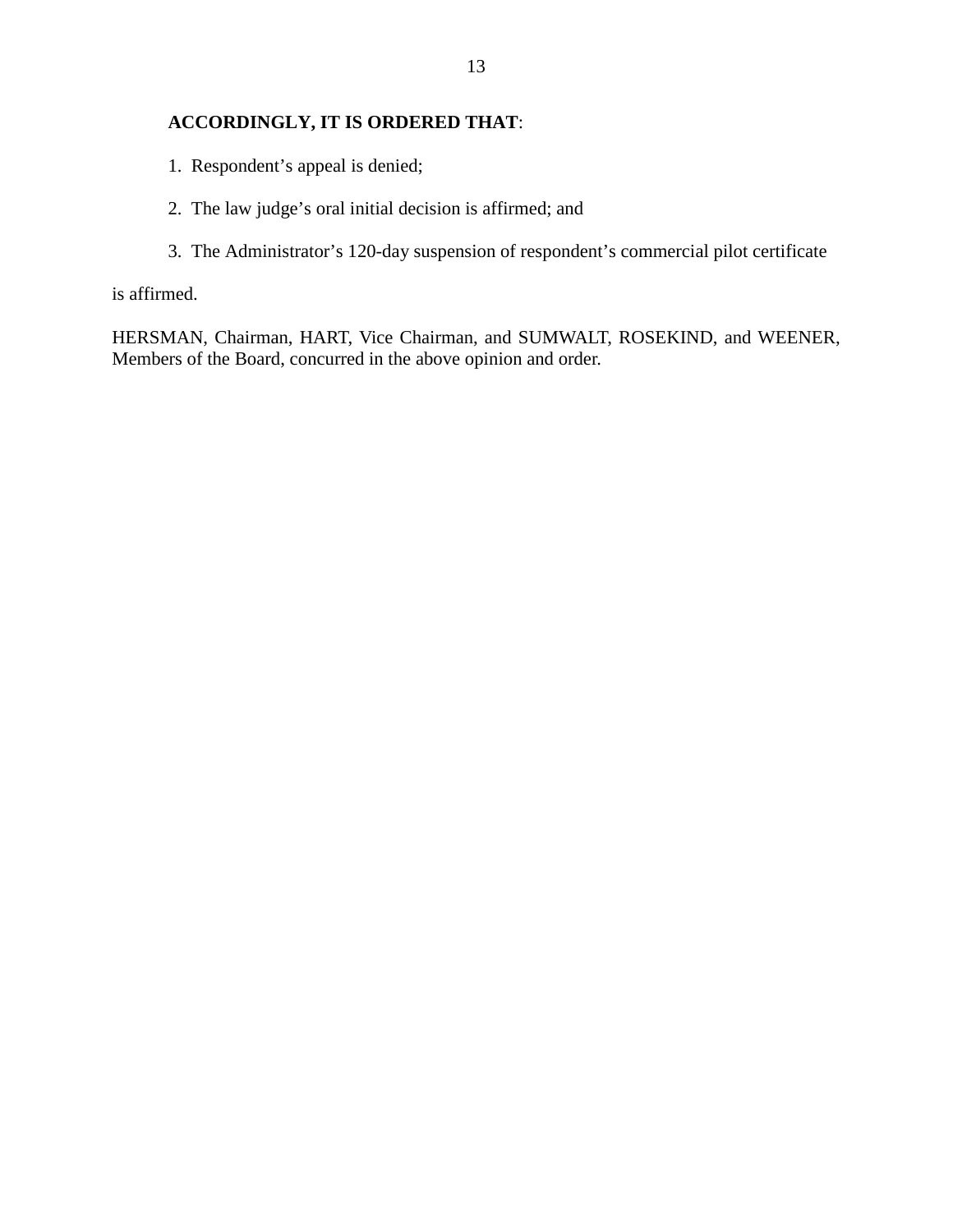# **ACCORDINGLY, IT IS ORDERED THAT**:

- 1. Respondent's appeal is denied;
- 2. The law judge's oral initial decision is affirmed; and
- 3. The Administrator's 120-day suspension of respondent's commercial pilot certificate

is affirmed.

HERSMAN, Chairman, HART, Vice Chairman, and SUMWALT, ROSEKIND, and WEENER, Members of the Board, concurred in the above opinion and order.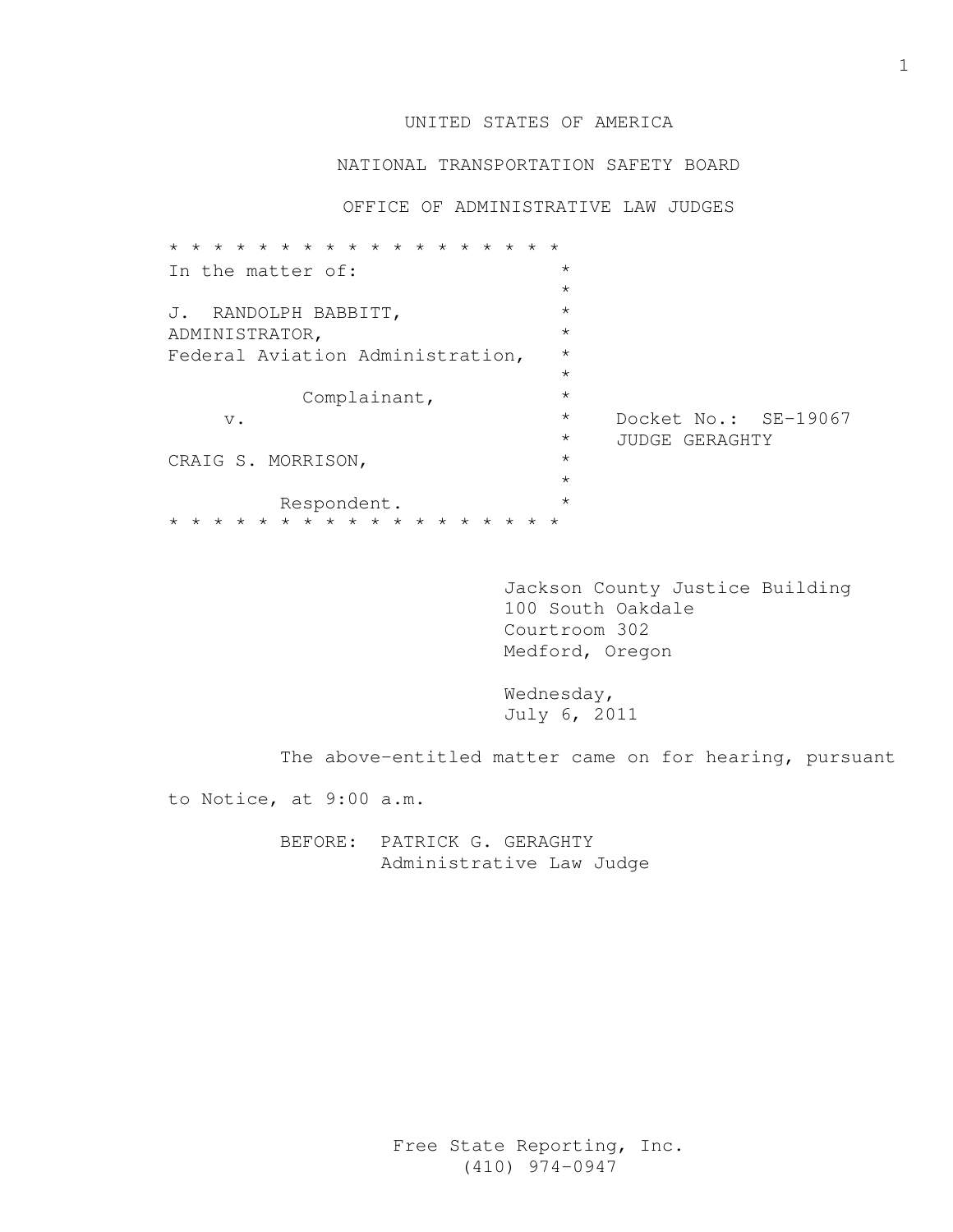# UNITED STATES OF AMERICA

#### NATIONAL TRANSPORTATION SAFETY BOARD

OFFICE OF ADMINISTRATIVE LAW JUDGES

| $\star$ $\star$ $\star$<br>$\star$<br>$\star$<br>$\star$<br>$\star$<br>$\star$ |         |                      |
|--------------------------------------------------------------------------------|---------|----------------------|
| In the matter of:                                                              | $\star$ |                      |
|                                                                                | $\star$ |                      |
| J. RANDOLPH BABBITT,                                                           | $\star$ |                      |
| ADMINISTRATOR,                                                                 | $\star$ |                      |
| Federal Aviation Administration,                                               |         |                      |
|                                                                                | $\star$ |                      |
| Complainant,                                                                   | $\star$ |                      |
| $V$ .                                                                          | $\star$ | Docket No.: SE-19067 |
|                                                                                | $\star$ | JUDGE GERAGHTY       |
| CRAIG S. MORRISON,                                                             | $\star$ |                      |
|                                                                                | $\star$ |                      |
| Respondent.                                                                    | $\star$ |                      |
| * * * * * * * * * * * * * * * * * *                                            |         |                      |

 Jackson County Justice Building 100 South Oakdale Courtroom 302 Medford, Oregon

 Wednesday, July 6, 2011

The above-entitled matter came on for hearing, pursuant

to Notice, at 9:00 a.m.

 BEFORE: PATRICK G. GERAGHTY Administrative Law Judge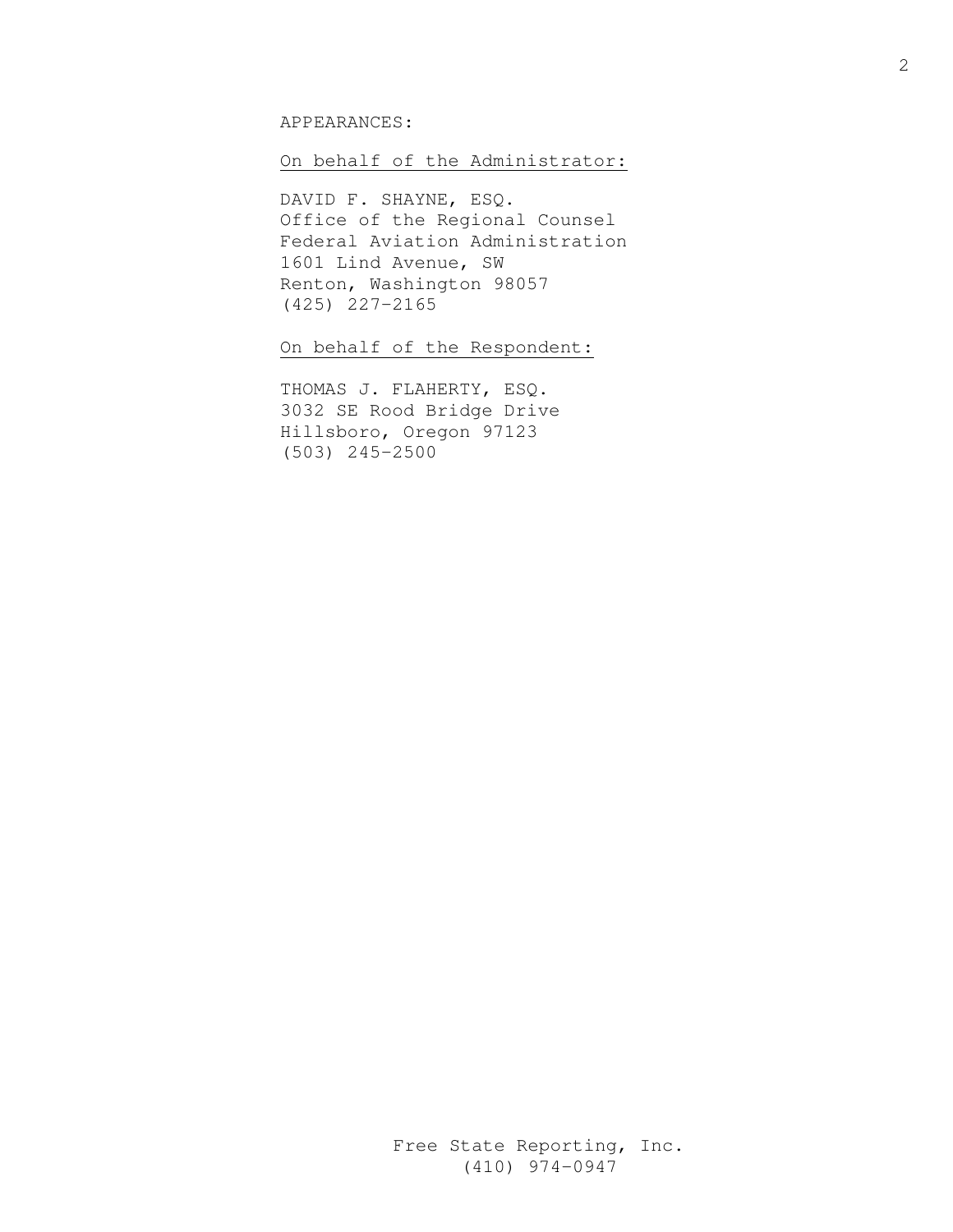#### APPEARANCES:

#### On behalf of the Administrator:

 DAVID F. SHAYNE, ESQ. Office of the Regional Counsel Federal Aviation Administration 1601 Lind Avenue, SW Renton, Washington 98057 (425) 227-2165

On behalf of the Respondent:

 THOMAS J. FLAHERTY, ESQ. 3032 SE Rood Bridge Drive Hillsboro, Oregon 97123 (503) 245-2500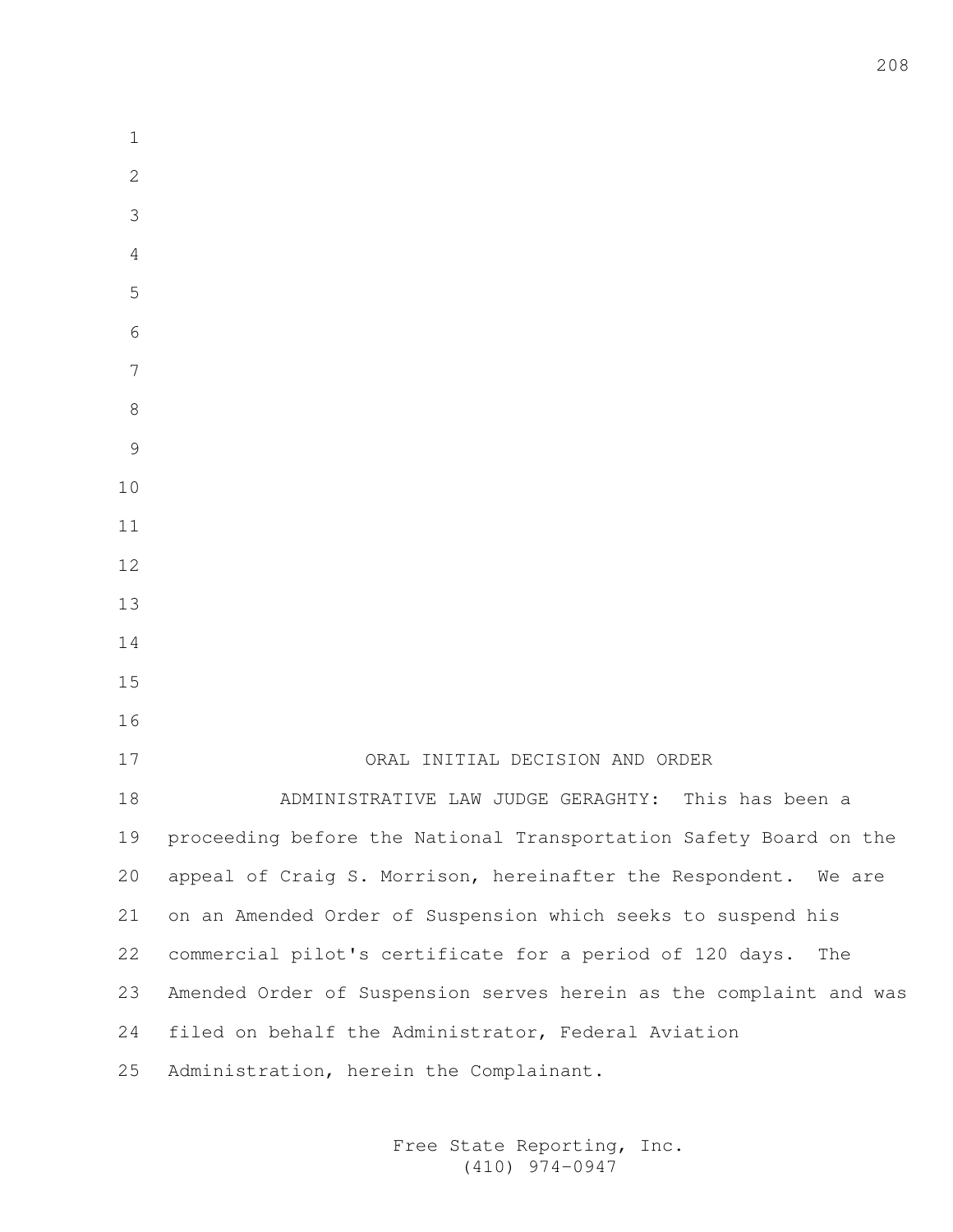| $\mathbf 1$    |                                                                    |
|----------------|--------------------------------------------------------------------|
| $\mathbf{2}$   |                                                                    |
| 3              |                                                                    |
| $\overline{4}$ |                                                                    |
| 5              |                                                                    |
| 6              |                                                                    |
| 7              |                                                                    |
| 8              |                                                                    |
| 9              |                                                                    |
| 10             |                                                                    |
| 11             |                                                                    |
| 12             |                                                                    |
| 13             |                                                                    |
| 14             |                                                                    |
| 15             |                                                                    |
| 16             |                                                                    |
| 17             | ORAL INITIAL DECISION AND ORDER                                    |
| 18             | This has been a<br>ADMINISTRATIVE LAW JUDGE GERAGHTY:              |
| 19             | proceeding before the National Transportation Safety Board on the  |
| 20             | appeal of Craig S. Morrison, hereinafter the Respondent. We are    |
| 21             | on an Amended Order of Suspension which seeks to suspend his       |
| 22             | commercial pilot's certificate for a period of 120 days.<br>The    |
| 23             | Amended Order of Suspension serves herein as the complaint and was |
| 24             | filed on behalf the Administrator, Federal Aviation                |
| 25             | Administration, herein the Complainant.                            |
|                |                                                                    |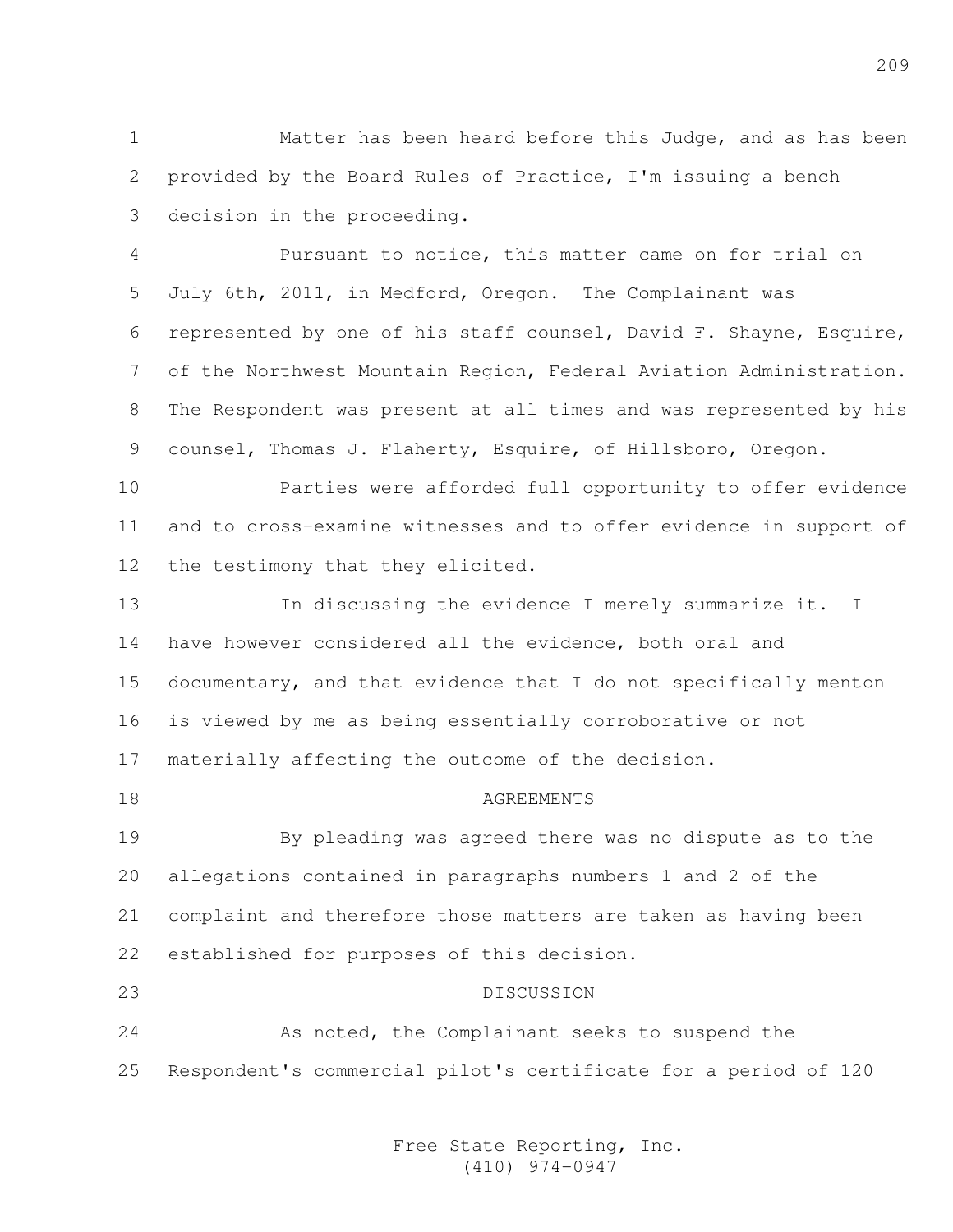1 Matter has been heard before this Judge, and as has been 2 provided by the Board Rules of Practice, I'm issuing a bench 3 decision in the proceeding.

4 Pursuant to notice, this matter came on for trial on 5 July 6th, 2011, in Medford, Oregon. The Complainant was 6 represented by one of his staff counsel, David F. Shayne, Esquire, 7 of the Northwest Mountain Region, Federal Aviation Administration. 8 The Respondent was present at all times and was represented by his 9 counsel, Thomas J. Flaherty, Esquire, of Hillsboro, Oregon.

10 Parties were afforded full opportunity to offer evidence 11 and to cross-examine witnesses and to offer evidence in support of 12 the testimony that they elicited.

13 In discussing the evidence I merely summarize it. I 14 have however considered all the evidence, both oral and 15 documentary, and that evidence that I do not specifically menton 16 is viewed by me as being essentially corroborative or not 17 materially affecting the outcome of the decision.

18 AGREEMENTS

19 By pleading was agreed there was no dispute as to the 20 allegations contained in paragraphs numbers 1 and 2 of the 21 complaint and therefore those matters are taken as having been 22 established for purposes of this decision.

23 DISCUSSION 24 As noted, the Complainant seeks to suspend the 25 Respondent's commercial pilot's certificate for a period of 120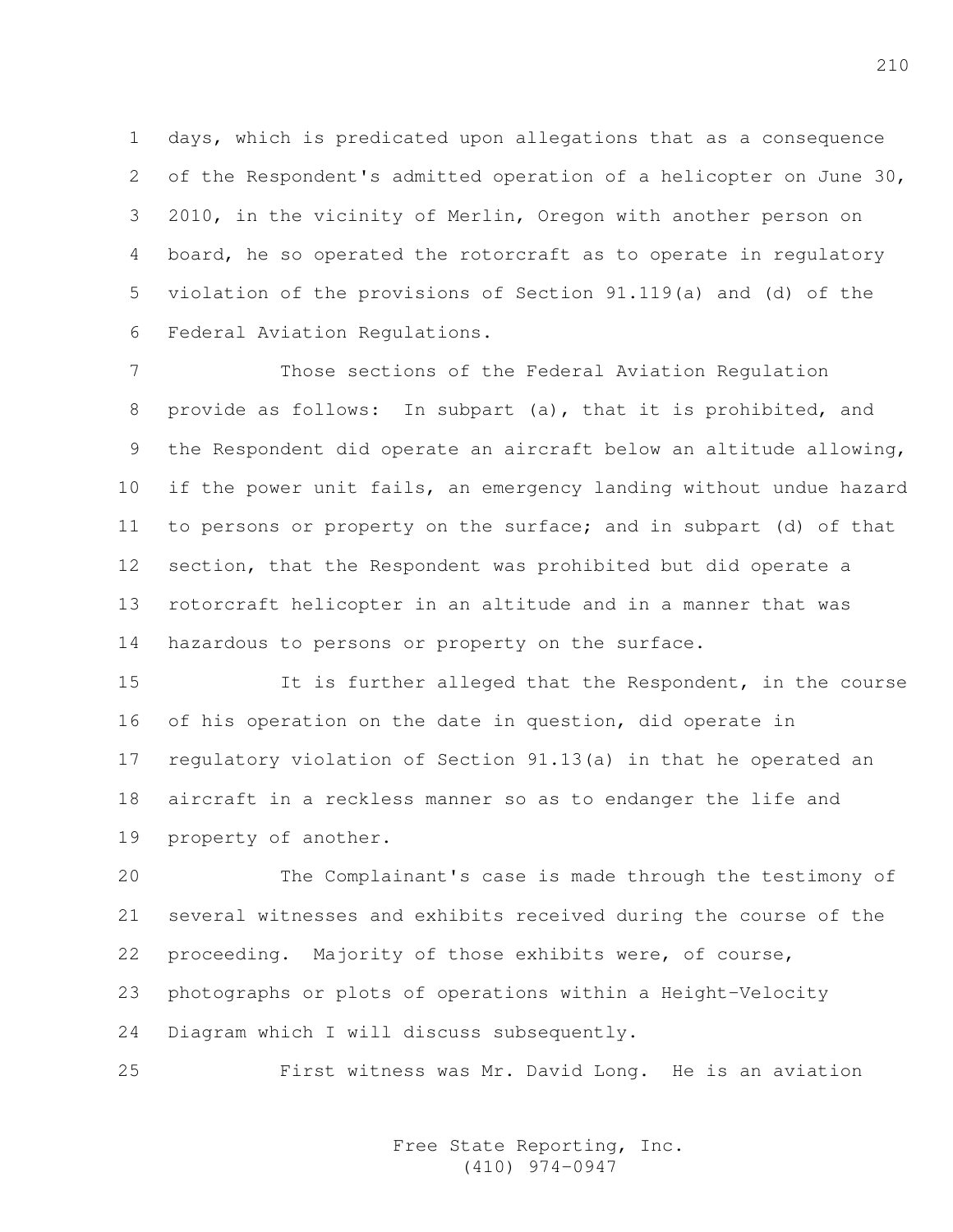1 days, which is predicated upon allegations that as a consequence 2 of the Respondent's admitted operation of a helicopter on June 30, 3 2010, in the vicinity of Merlin, Oregon with another person on 4 board, he so operated the rotorcraft as to operate in regulatory 5 violation of the provisions of Section 91.119(a) and (d) of the 6 Federal Aviation Regulations.

7 Those sections of the Federal Aviation Regulation 8 provide as follows: In subpart (a), that it is prohibited, and 9 the Respondent did operate an aircraft below an altitude allowing, 10 if the power unit fails, an emergency landing without undue hazard 11 to persons or property on the surface; and in subpart (d) of that 12 section, that the Respondent was prohibited but did operate a 13 rotorcraft helicopter in an altitude and in a manner that was 14 hazardous to persons or property on the surface.

15 It is further alleged that the Respondent, in the course 16 of his operation on the date in question, did operate in 17 regulatory violation of Section 91.13(a) in that he operated an 18 aircraft in a reckless manner so as to endanger the life and 19 property of another.

20 The Complainant's case is made through the testimony of 21 several witnesses and exhibits received during the course of the 22 proceeding. Majority of those exhibits were, of course, 23 photographs or plots of operations within a Height-Velocity 24 Diagram which I will discuss subsequently.

25 First witness was Mr. David Long. He is an aviation

Free State Reporting, Inc. (410) 974-0947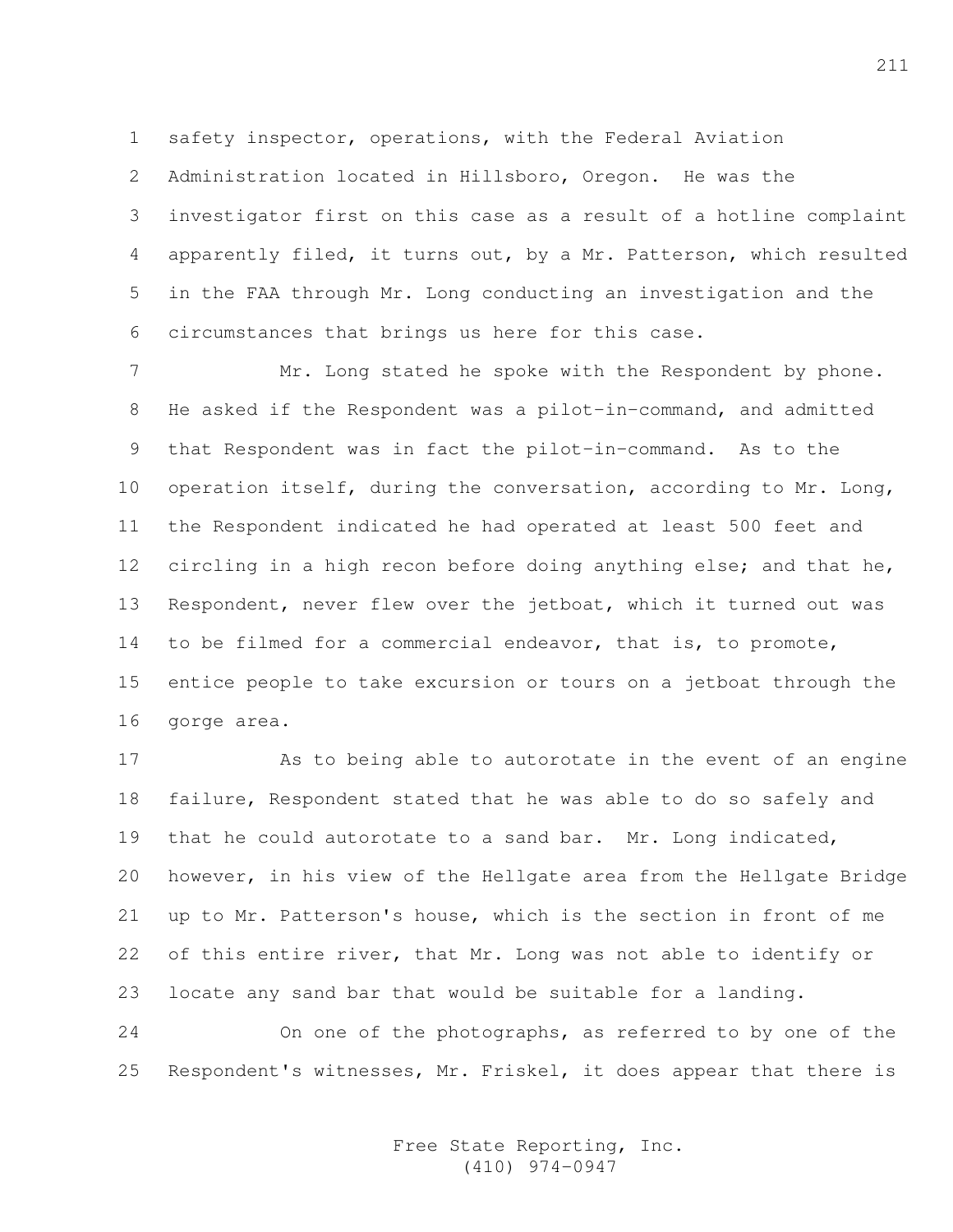1 safety inspector, operations, with the Federal Aviation

2 Administration located in Hillsboro, Oregon. He was the 3 investigator first on this case as a result of a hotline complaint 4 apparently filed, it turns out, by a Mr. Patterson, which resulted 5 in the FAA through Mr. Long conducting an investigation and the 6 circumstances that brings us here for this case.

7 Mr. Long stated he spoke with the Respondent by phone. 8 He asked if the Respondent was a pilot-in-command, and admitted 9 that Respondent was in fact the pilot-in-command. As to the 10 operation itself, during the conversation, according to Mr. Long, 11 the Respondent indicated he had operated at least 500 feet and 12 circling in a high recon before doing anything else; and that he, 13 Respondent, never flew over the jetboat, which it turned out was 14 to be filmed for a commercial endeavor, that is, to promote, 15 entice people to take excursion or tours on a jetboat through the 16 gorge area.

17 As to being able to autorotate in the event of an engine 18 failure, Respondent stated that he was able to do so safely and 19 that he could autorotate to a sand bar. Mr. Long indicated, 20 however, in his view of the Hellgate area from the Hellgate Bridge 21 up to Mr. Patterson's house, which is the section in front of me 22 of this entire river, that Mr. Long was not able to identify or 23 locate any sand bar that would be suitable for a landing. 24 On one of the photographs, as referred to by one of the

25 Respondent's witnesses, Mr. Friskel, it does appear that there is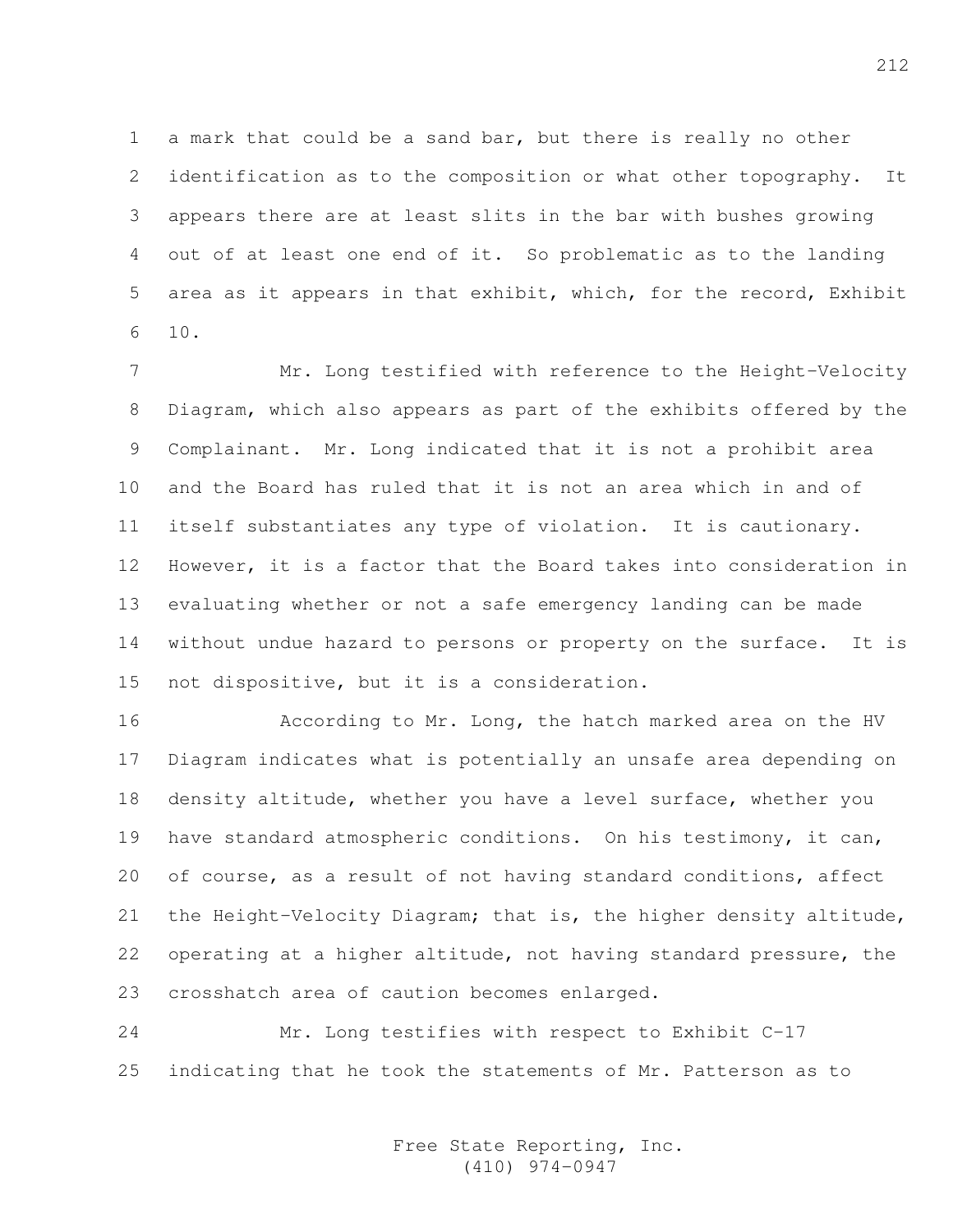1 a mark that could be a sand bar, but there is really no other 2 identification as to the composition or what other topography. It 3 appears there are at least slits in the bar with bushes growing 4 out of at least one end of it. So problematic as to the landing 5 area as it appears in that exhibit, which, for the record, Exhibit 6 10.

7 Mr. Long testified with reference to the Height-Velocity 8 Diagram, which also appears as part of the exhibits offered by the 9 Complainant. Mr. Long indicated that it is not a prohibit area 10 and the Board has ruled that it is not an area which in and of 11 itself substantiates any type of violation. It is cautionary. 12 However, it is a factor that the Board takes into consideration in 13 evaluating whether or not a safe emergency landing can be made 14 without undue hazard to persons or property on the surface. It is 15 not dispositive, but it is a consideration.

16 **According to Mr. Long, the hatch marked area on the HV** 17 Diagram indicates what is potentially an unsafe area depending on 18 density altitude, whether you have a level surface, whether you 19 have standard atmospheric conditions. On his testimony, it can, 20 of course, as a result of not having standard conditions, affect 21 the Height-Velocity Diagram; that is, the higher density altitude, 22 operating at a higher altitude, not having standard pressure, the 23 crosshatch area of caution becomes enlarged.

24 Mr. Long testifies with respect to Exhibit C-17 25 indicating that he took the statements of Mr. Patterson as to

> Free State Reporting, Inc. (410) 974-0947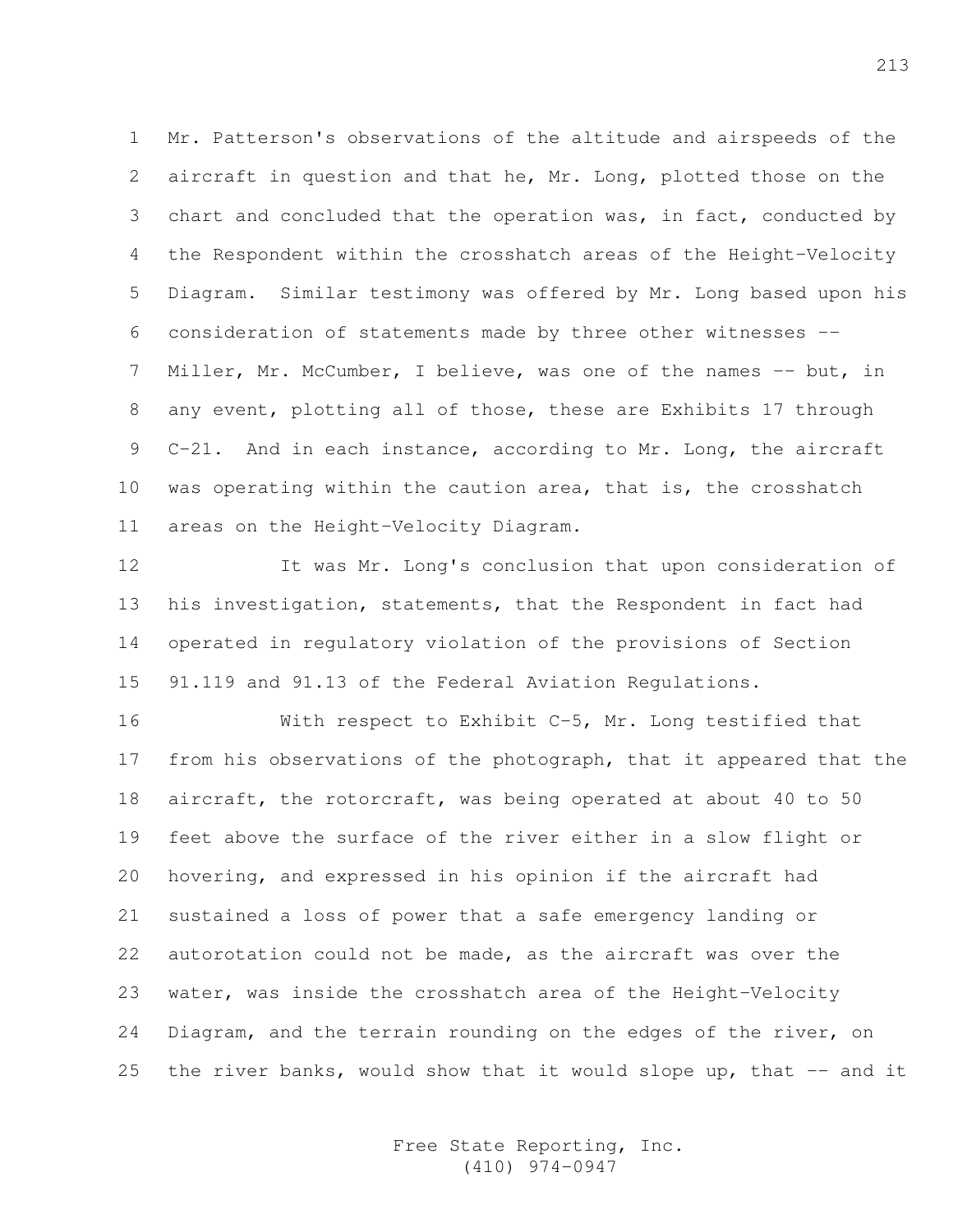1 Mr. Patterson's observations of the altitude and airspeeds of the 2 aircraft in question and that he, Mr. Long, plotted those on the 3 chart and concluded that the operation was, in fact, conducted by 4 the Respondent within the crosshatch areas of the Height-Velocity 5 Diagram. Similar testimony was offered by Mr. Long based upon his 6 consideration of statements made by three other witnesses -- 7 Miller, Mr. McCumber, I believe, was one of the names -- but, in 8 any event, plotting all of those, these are Exhibits 17 through 9 C-21. And in each instance, according to Mr. Long, the aircraft 10 was operating within the caution area, that is, the crosshatch 11 areas on the Height-Velocity Diagram.

12 It was Mr. Long's conclusion that upon consideration of 13 his investigation, statements, that the Respondent in fact had 14 operated in regulatory violation of the provisions of Section 15 91.119 and 91.13 of the Federal Aviation Regulations.

16 With respect to Exhibit C-5, Mr. Long testified that 17 from his observations of the photograph, that it appeared that the 18 aircraft, the rotorcraft, was being operated at about 40 to 50 19 feet above the surface of the river either in a slow flight or 20 hovering, and expressed in his opinion if the aircraft had 21 sustained a loss of power that a safe emergency landing or 22 autorotation could not be made, as the aircraft was over the 23 water, was inside the crosshatch area of the Height-Velocity 24 Diagram, and the terrain rounding on the edges of the river, on 25 the river banks, would show that it would slope up, that  $-$  and it

> Free State Reporting, Inc. (410) 974-0947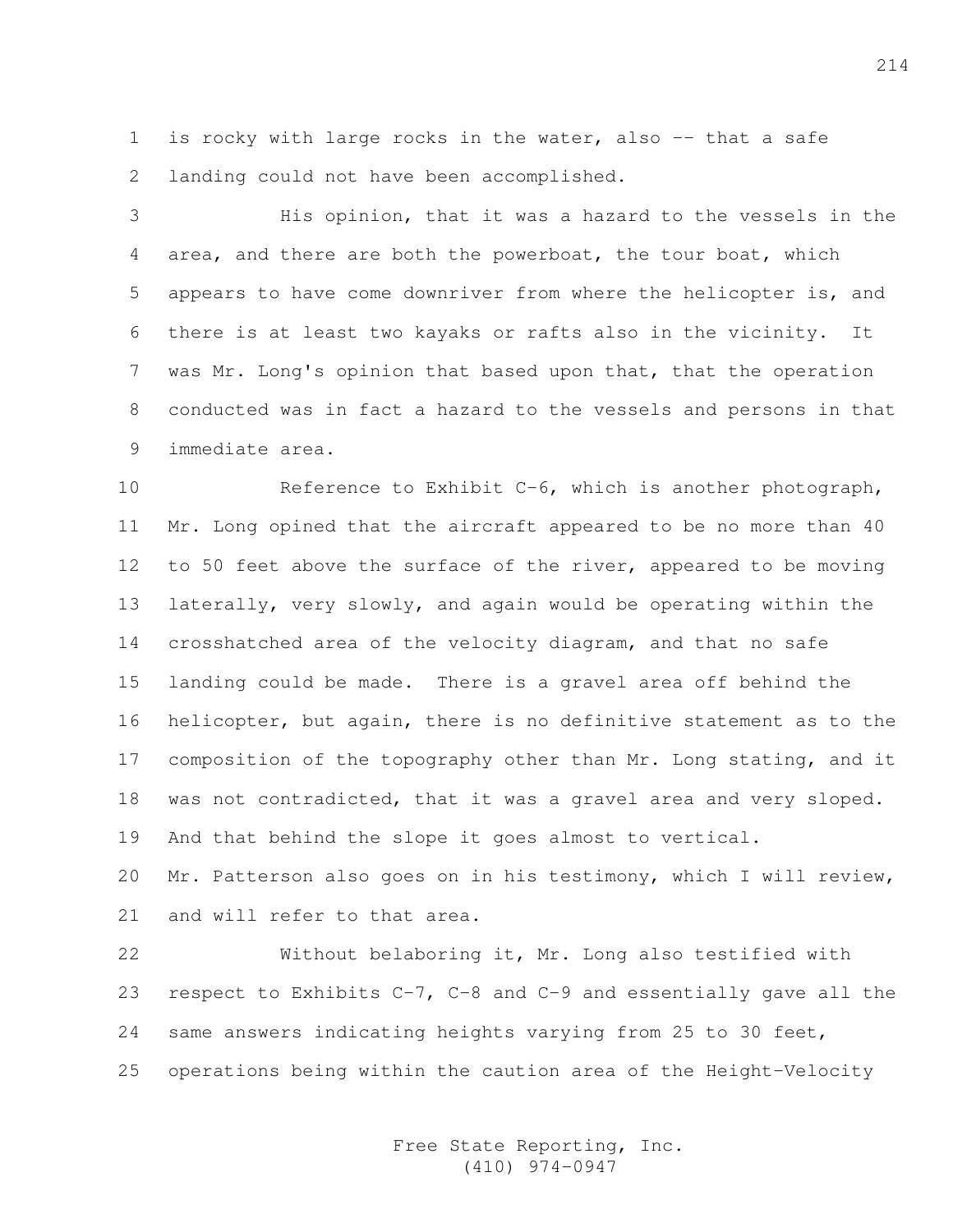1 is rocky with large rocks in the water, also -- that a safe 2 landing could not have been accomplished.

3 His opinion, that it was a hazard to the vessels in the 4 area, and there are both the powerboat, the tour boat, which 5 appears to have come downriver from where the helicopter is, and 6 there is at least two kayaks or rafts also in the vicinity. It 7 was Mr. Long's opinion that based upon that, that the operation 8 conducted was in fact a hazard to the vessels and persons in that 9 immediate area.

10 Reference to Exhibit C-6, which is another photograph, 11 Mr. Long opined that the aircraft appeared to be no more than 40 12 to 50 feet above the surface of the river, appeared to be moving 13 laterally, very slowly, and again would be operating within the 14 crosshatched area of the velocity diagram, and that no safe 15 landing could be made. There is a gravel area off behind the 16 helicopter, but again, there is no definitive statement as to the 17 composition of the topography other than Mr. Long stating, and it 18 was not contradicted, that it was a gravel area and very sloped. 19 And that behind the slope it goes almost to vertical.

20 Mr. Patterson also goes on in his testimony, which I will review, 21 and will refer to that area.

22 Without belaboring it, Mr. Long also testified with 23 respect to Exhibits C-7, C-8 and C-9 and essentially gave all the 24 same answers indicating heights varying from 25 to 30 feet, 25 operations being within the caution area of the Height-Velocity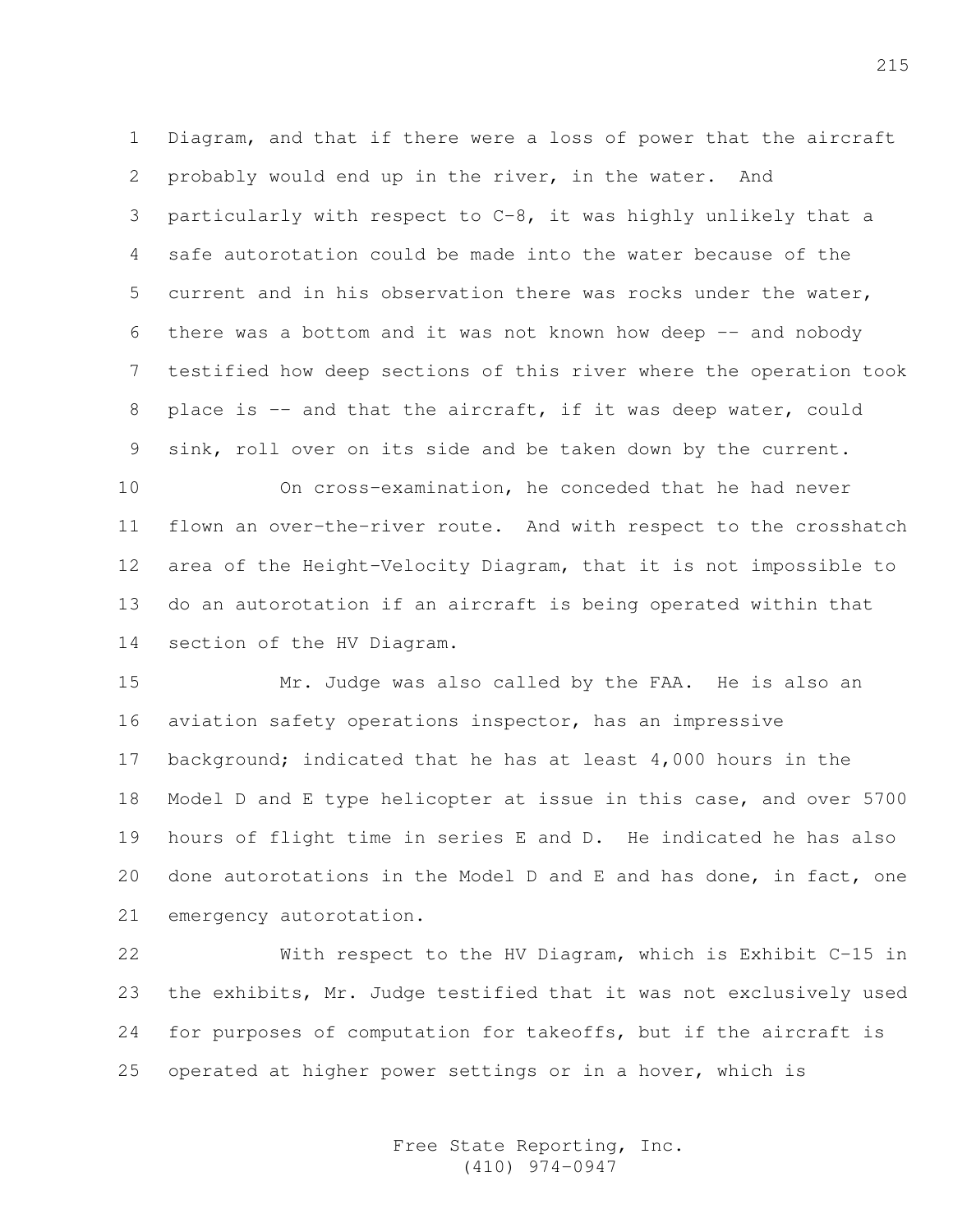1 Diagram, and that if there were a loss of power that the aircraft 2 probably would end up in the river, in the water. And 3 particularly with respect to C-8, it was highly unlikely that a 4 safe autorotation could be made into the water because of the 5 current and in his observation there was rocks under the water, 6 there was a bottom and it was not known how deep -- and nobody 7 testified how deep sections of this river where the operation took 8 place is -- and that the aircraft, if it was deep water, could 9 sink, roll over on its side and be taken down by the current.

10 On cross-examination, he conceded that he had never 11 flown an over-the-river route. And with respect to the crosshatch 12 area of the Height-Velocity Diagram, that it is not impossible to 13 do an autorotation if an aircraft is being operated within that 14 section of the HV Diagram.

15 Mr. Judge was also called by the FAA. He is also an 16 aviation safety operations inspector, has an impressive 17 background; indicated that he has at least 4,000 hours in the 18 Model D and E type helicopter at issue in this case, and over 5700 19 hours of flight time in series E and D. He indicated he has also 20 done autorotations in the Model D and E and has done, in fact, one 21 emergency autorotation.

22 With respect to the HV Diagram, which is Exhibit C-15 in 23 the exhibits, Mr. Judge testified that it was not exclusively used 24 for purposes of computation for takeoffs, but if the aircraft is 25 operated at higher power settings or in a hover, which is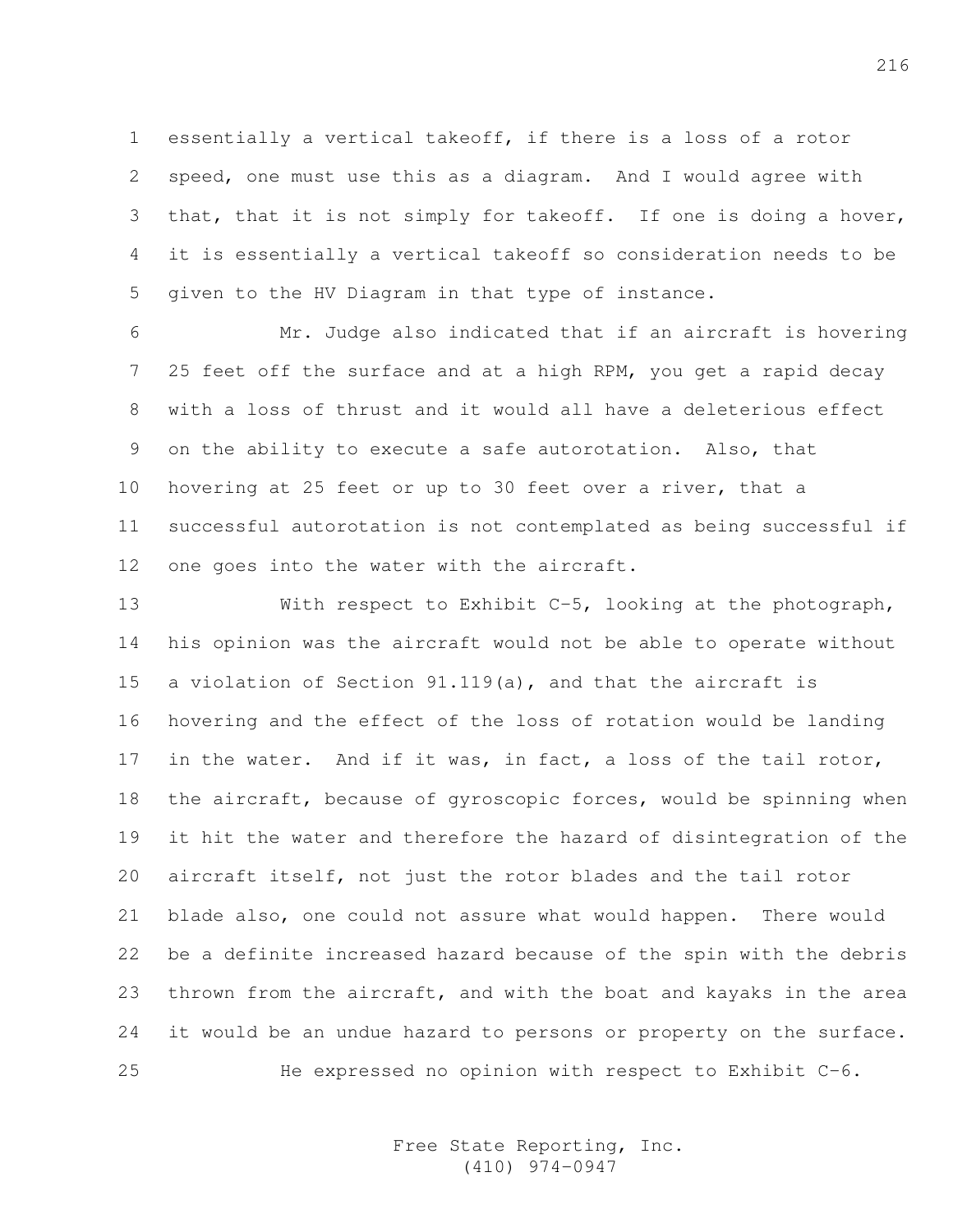1 essentially a vertical takeoff, if there is a loss of a rotor 2 speed, one must use this as a diagram. And I would agree with 3 that, that it is not simply for takeoff. If one is doing a hover, 4 it is essentially a vertical takeoff so consideration needs to be 5 given to the HV Diagram in that type of instance.

6 Mr. Judge also indicated that if an aircraft is hovering 7 25 feet off the surface and at a high RPM, you get a rapid decay 8 with a loss of thrust and it would all have a deleterious effect 9 on the ability to execute a safe autorotation. Also, that 10 hovering at 25 feet or up to 30 feet over a river, that a 11 successful autorotation is not contemplated as being successful if 12 one goes into the water with the aircraft.

13 With respect to Exhibit C-5, looking at the photograph, 14 his opinion was the aircraft would not be able to operate without 15 a violation of Section 91.119(a), and that the aircraft is 16 hovering and the effect of the loss of rotation would be landing 17 in the water. And if it was, in fact, a loss of the tail rotor, 18 the aircraft, because of gyroscopic forces, would be spinning when 19 it hit the water and therefore the hazard of disintegration of the 20 aircraft itself, not just the rotor blades and the tail rotor 21 blade also, one could not assure what would happen. There would 22 be a definite increased hazard because of the spin with the debris 23 thrown from the aircraft, and with the boat and kayaks in the area 24 it would be an undue hazard to persons or property on the surface. 25 He expressed no opinion with respect to Exhibit C-6.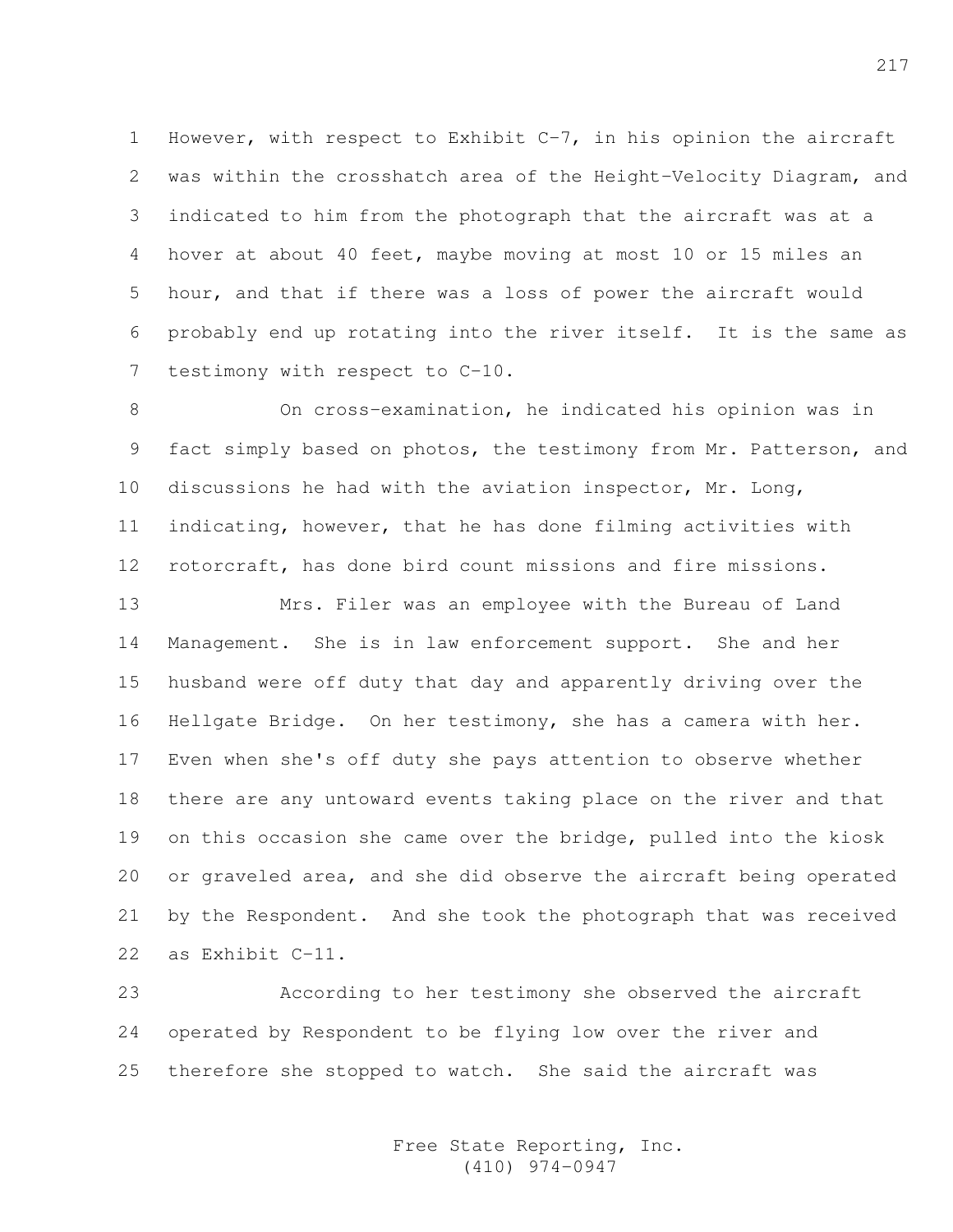1 However, with respect to Exhibit C-7, in his opinion the aircraft 2 was within the crosshatch area of the Height-Velocity Diagram, and 3 indicated to him from the photograph that the aircraft was at a 4 hover at about 40 feet, maybe moving at most 10 or 15 miles an 5 hour, and that if there was a loss of power the aircraft would 6 probably end up rotating into the river itself. It is the same as 7 testimony with respect to C-10.

8 On cross-examination, he indicated his opinion was in 9 fact simply based on photos, the testimony from Mr. Patterson, and 10 discussions he had with the aviation inspector, Mr. Long, 11 indicating, however, that he has done filming activities with 12 rotorcraft, has done bird count missions and fire missions.

13 Mrs. Filer was an employee with the Bureau of Land 14 Management. She is in law enforcement support. She and her 15 husband were off duty that day and apparently driving over the 16 Hellgate Bridge. On her testimony, she has a camera with her. 17 Even when she's off duty she pays attention to observe whether 18 there are any untoward events taking place on the river and that 19 on this occasion she came over the bridge, pulled into the kiosk 20 or graveled area, and she did observe the aircraft being operated 21 by the Respondent. And she took the photograph that was received 22 as Exhibit C-11.

23 According to her testimony she observed the aircraft 24 operated by Respondent to be flying low over the river and 25 therefore she stopped to watch. She said the aircraft was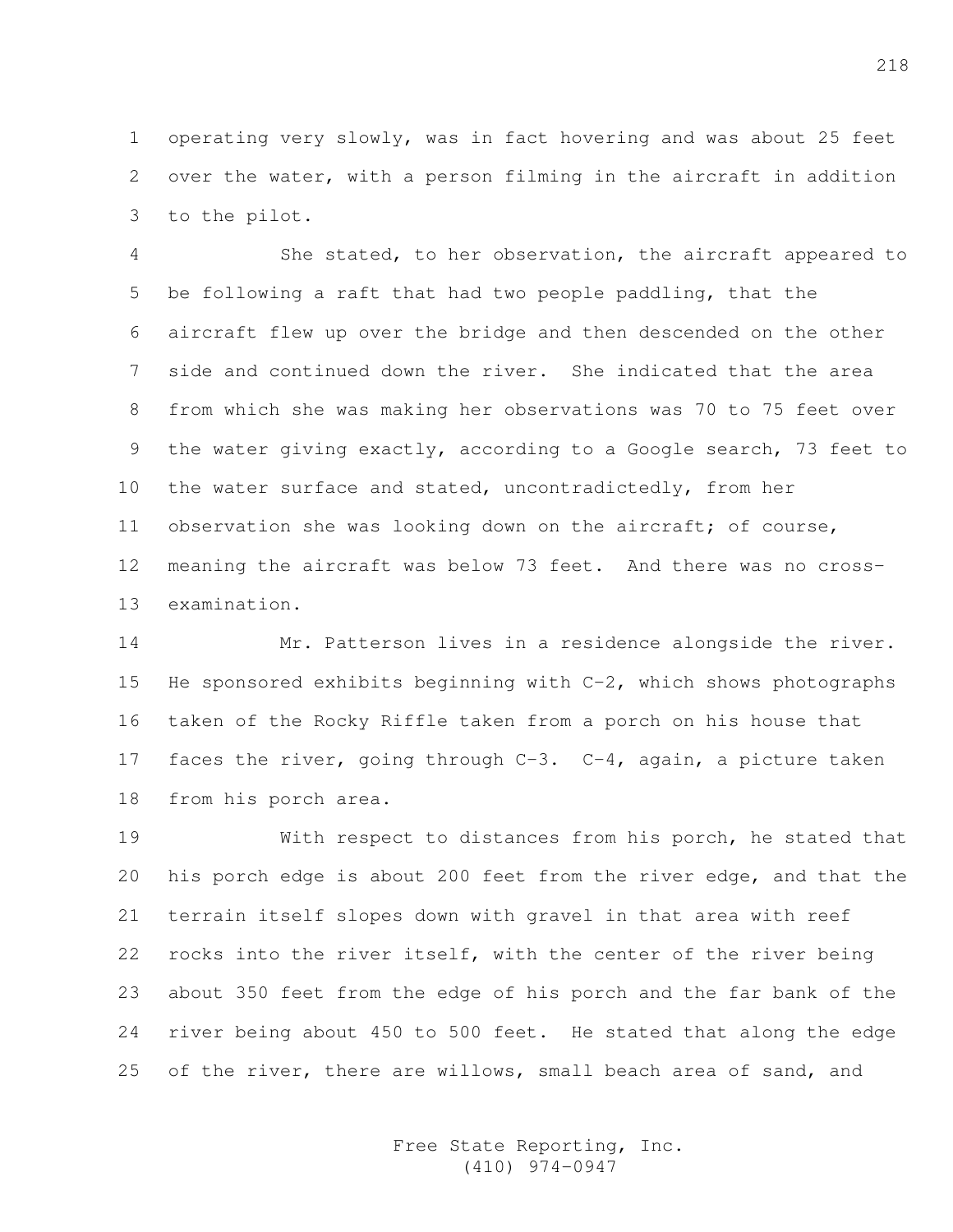1 operating very slowly, was in fact hovering and was about 25 feet 2 over the water, with a person filming in the aircraft in addition 3 to the pilot.

4 She stated, to her observation, the aircraft appeared to 5 be following a raft that had two people paddling, that the 6 aircraft flew up over the bridge and then descended on the other 7 side and continued down the river. She indicated that the area 8 from which she was making her observations was 70 to 75 feet over 9 the water giving exactly, according to a Google search, 73 feet to 10 the water surface and stated, uncontradictedly, from her 11 observation she was looking down on the aircraft; of course, 12 meaning the aircraft was below 73 feet. And there was no cross-13 examination.

14 Mr. Patterson lives in a residence alongside the river. 15 He sponsored exhibits beginning with  $C-2$ , which shows photographs 16 taken of the Rocky Riffle taken from a porch on his house that 17 faces the river, going through C-3. C-4, again, a picture taken 18 from his porch area.

19 With respect to distances from his porch, he stated that 20 his porch edge is about 200 feet from the river edge, and that the 21 terrain itself slopes down with gravel in that area with reef 22 rocks into the river itself, with the center of the river being 23 about 350 feet from the edge of his porch and the far bank of the 24 river being about 450 to 500 feet. He stated that along the edge 25 of the river, there are willows, small beach area of sand, and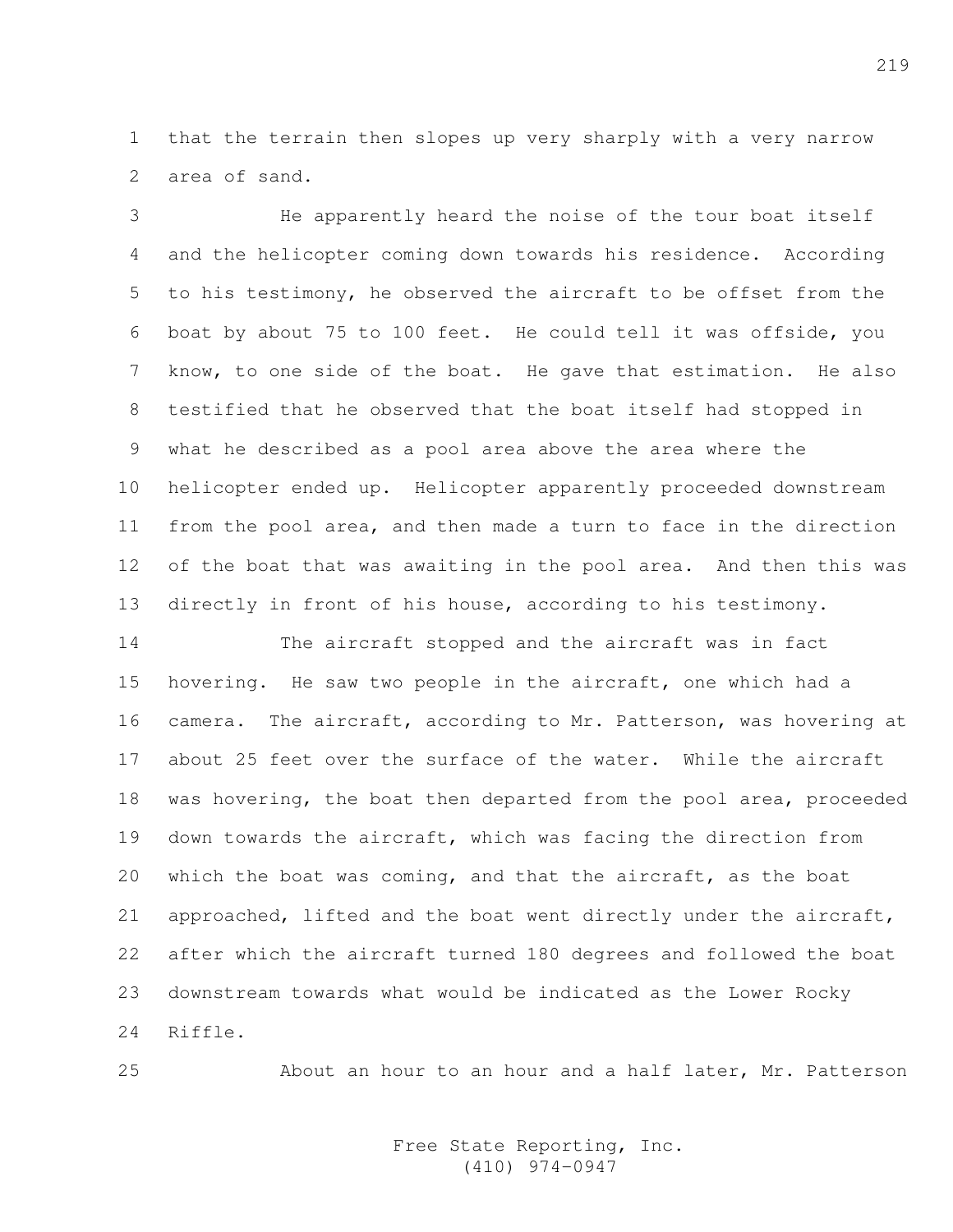1 that the terrain then slopes up very sharply with a very narrow 2 area of sand.

3 He apparently heard the noise of the tour boat itself 4 and the helicopter coming down towards his residence. According 5 to his testimony, he observed the aircraft to be offset from the 6 boat by about 75 to 100 feet. He could tell it was offside, you 7 know, to one side of the boat. He gave that estimation. He also 8 testified that he observed that the boat itself had stopped in 9 what he described as a pool area above the area where the 10 helicopter ended up. Helicopter apparently proceeded downstream 11 from the pool area, and then made a turn to face in the direction 12 of the boat that was awaiting in the pool area. And then this was 13 directly in front of his house, according to his testimony.

14 The aircraft stopped and the aircraft was in fact 15 hovering. He saw two people in the aircraft, one which had a 16 camera. The aircraft, according to Mr. Patterson, was hovering at 17 about 25 feet over the surface of the water. While the aircraft 18 was hovering, the boat then departed from the pool area, proceeded 19 down towards the aircraft, which was facing the direction from 20 which the boat was coming, and that the aircraft, as the boat 21 approached, lifted and the boat went directly under the aircraft, 22 after which the aircraft turned 180 degrees and followed the boat 23 downstream towards what would be indicated as the Lower Rocky 24 Riffle.

25 About an hour to an hour and a half later, Mr. Patterson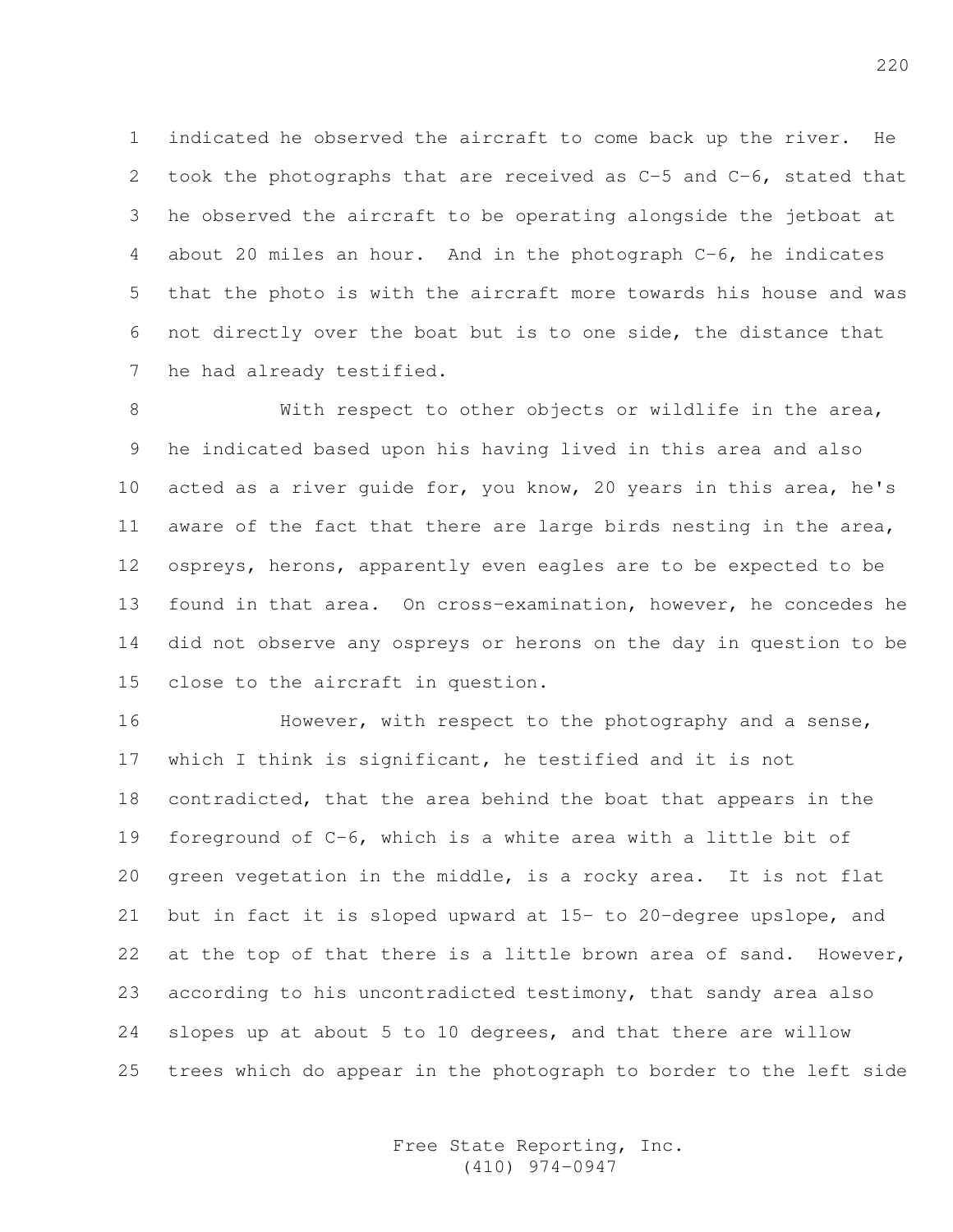1 indicated he observed the aircraft to come back up the river. He 2 took the photographs that are received as C-5 and C-6, stated that 3 he observed the aircraft to be operating alongside the jetboat at 4 about 20 miles an hour. And in the photograph C-6, he indicates 5 that the photo is with the aircraft more towards his house and was 6 not directly over the boat but is to one side, the distance that 7 he had already testified.

8 With respect to other objects or wildlife in the area, 9 he indicated based upon his having lived in this area and also 10 acted as a river guide for, you know, 20 years in this area, he's 11 aware of the fact that there are large birds nesting in the area, 12 ospreys, herons, apparently even eagles are to be expected to be 13 found in that area. On cross-examination, however, he concedes he 14 did not observe any ospreys or herons on the day in question to be 15 close to the aircraft in question.

16 However, with respect to the photography and a sense, 17 which I think is significant, he testified and it is not 18 contradicted, that the area behind the boat that appears in the 19 foreground of C-6, which is a white area with a little bit of 20 green vegetation in the middle, is a rocky area. It is not flat 21 but in fact it is sloped upward at 15- to 20-degree upslope, and 22 at the top of that there is a little brown area of sand. However, 23 according to his uncontradicted testimony, that sandy area also 24 slopes up at about 5 to 10 degrees, and that there are willow 25 trees which do appear in the photograph to border to the left side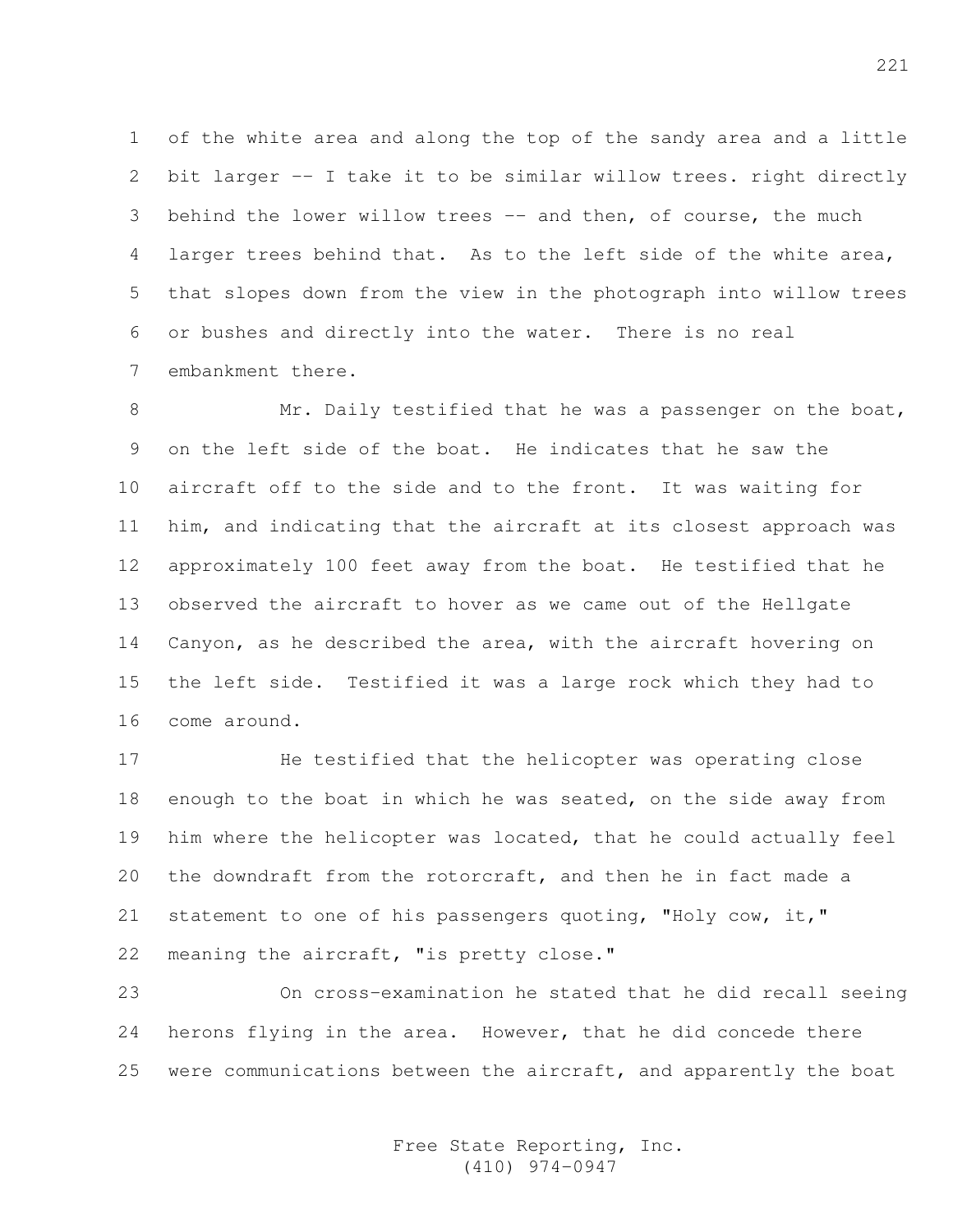1 of the white area and along the top of the sandy area and a little 2 bit larger -- I take it to be similar willow trees. right directly 3 behind the lower willow trees -- and then, of course, the much 4 larger trees behind that. As to the left side of the white area, 5 that slopes down from the view in the photograph into willow trees 6 or bushes and directly into the water. There is no real 7 embankment there.

8 Mr. Daily testified that he was a passenger on the boat, 9 on the left side of the boat. He indicates that he saw the 10 aircraft off to the side and to the front. It was waiting for 11 him, and indicating that the aircraft at its closest approach was 12 approximately 100 feet away from the boat. He testified that he 13 observed the aircraft to hover as we came out of the Hellgate 14 Canyon, as he described the area, with the aircraft hovering on 15 the left side. Testified it was a large rock which they had to 16 come around.

17 He testified that the helicopter was operating close 18 enough to the boat in which he was seated, on the side away from 19 him where the helicopter was located, that he could actually feel 20 the downdraft from the rotorcraft, and then he in fact made a 21 statement to one of his passengers quoting, "Holy cow, it," 22 meaning the aircraft, "is pretty close."

23 On cross-examination he stated that he did recall seeing 24 herons flying in the area. However, that he did concede there 25 were communications between the aircraft, and apparently the boat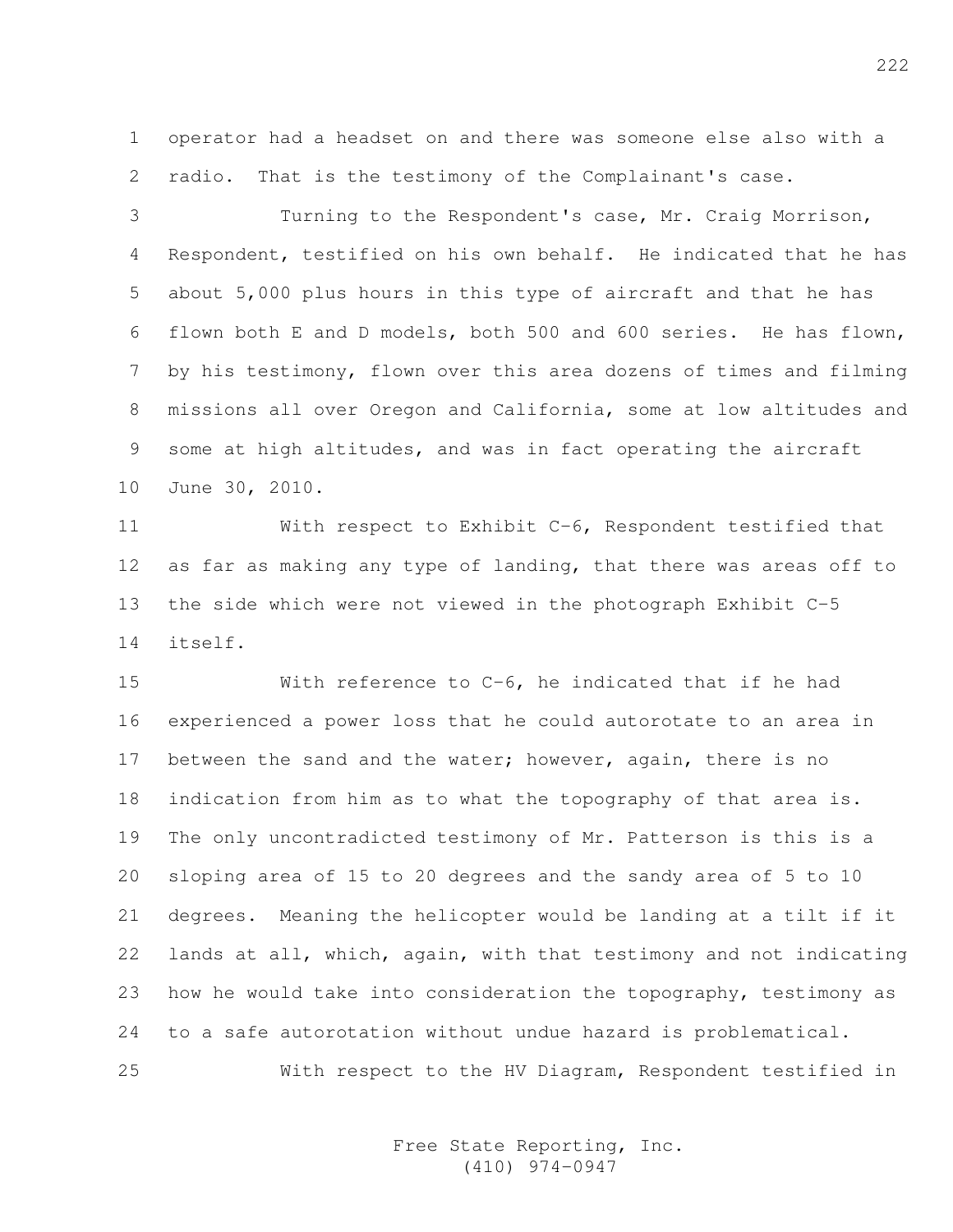1 operator had a headset on and there was someone else also with a 2 radio. That is the testimony of the Complainant's case.

3 Turning to the Respondent's case, Mr. Craig Morrison, 4 Respondent, testified on his own behalf. He indicated that he has 5 about 5,000 plus hours in this type of aircraft and that he has 6 flown both E and D models, both 500 and 600 series. He has flown, 7 by his testimony, flown over this area dozens of times and filming 8 missions all over Oregon and California, some at low altitudes and 9 some at high altitudes, and was in fact operating the aircraft 10 June 30, 2010.

11 With respect to Exhibit C-6, Respondent testified that 12 as far as making any type of landing, that there was areas off to 13 the side which were not viewed in the photograph Exhibit C-5 14 itself.

15 With reference to C-6, he indicated that if he had 16 experienced a power loss that he could autorotate to an area in 17 between the sand and the water; however, again, there is no 18 indication from him as to what the topography of that area is. 19 The only uncontradicted testimony of Mr. Patterson is this is a 20 sloping area of 15 to 20 degrees and the sandy area of 5 to 10 21 degrees. Meaning the helicopter would be landing at a tilt if it 22 lands at all, which, again, with that testimony and not indicating 23 how he would take into consideration the topography, testimony as 24 to a safe autorotation without undue hazard is problematical. 25 With respect to the HV Diagram, Respondent testified in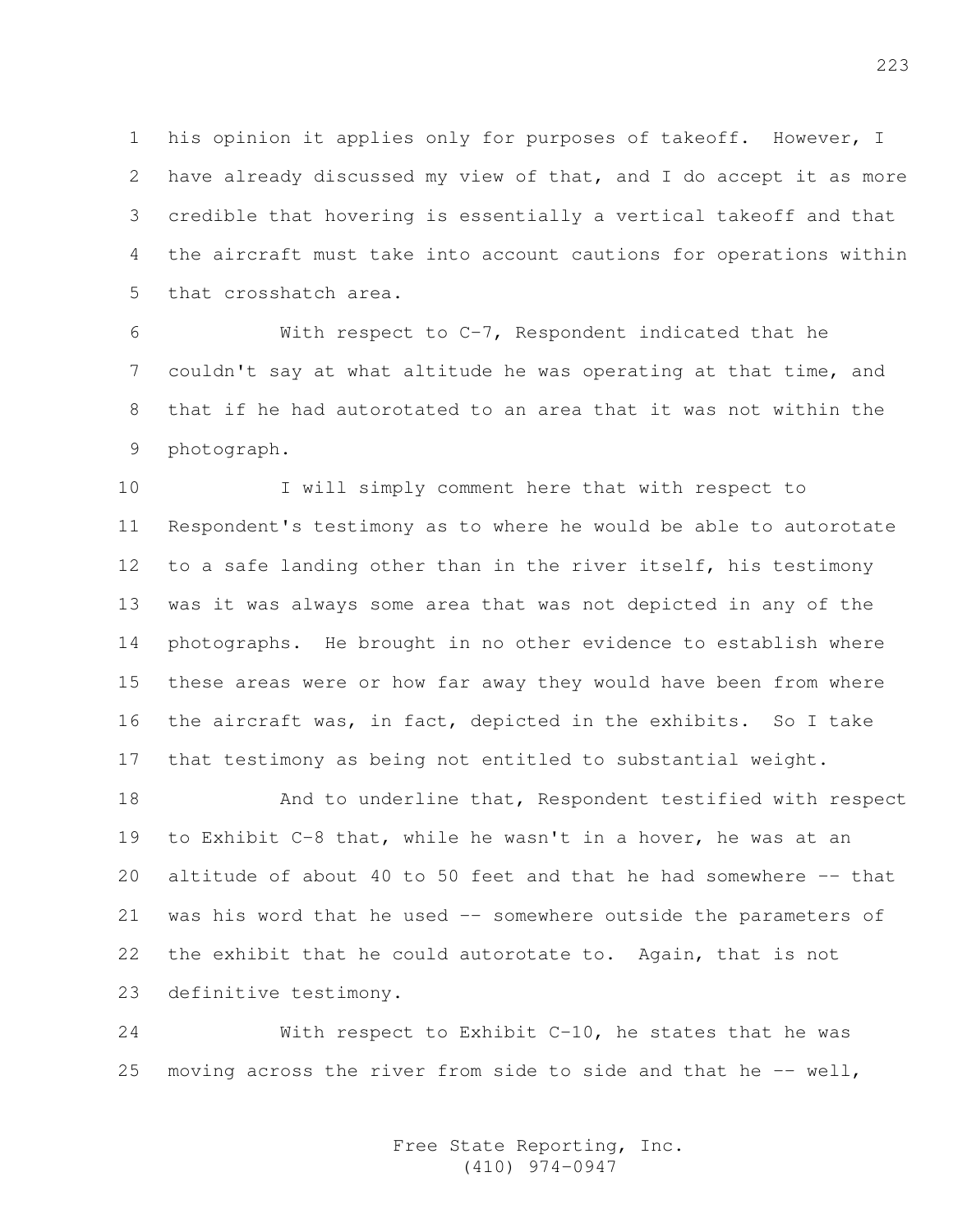1 his opinion it applies only for purposes of takeoff. However, I 2 have already discussed my view of that, and I do accept it as more 3 credible that hovering is essentially a vertical takeoff and that 4 the aircraft must take into account cautions for operations within 5 that crosshatch area.

6 With respect to C-7, Respondent indicated that he 7 couldn't say at what altitude he was operating at that time, and 8 that if he had autorotated to an area that it was not within the 9 photograph.

10 I will simply comment here that with respect to 11 Respondent's testimony as to where he would be able to autorotate 12 to a safe landing other than in the river itself, his testimony 13 was it was always some area that was not depicted in any of the 14 photographs. He brought in no other evidence to establish where 15 these areas were or how far away they would have been from where 16 the aircraft was, in fact, depicted in the exhibits. So I take 17 that testimony as being not entitled to substantial weight.

18 And to underline that, Respondent testified with respect 19 to Exhibit C-8 that, while he wasn't in a hover, he was at an 20 altitude of about 40 to 50 feet and that he had somewhere -- that 21 was his word that he used -- somewhere outside the parameters of 22 the exhibit that he could autorotate to. Again, that is not 23 definitive testimony.

24 With respect to Exhibit C-10, he states that he was 25 moving across the river from side to side and that he  $-$ - well,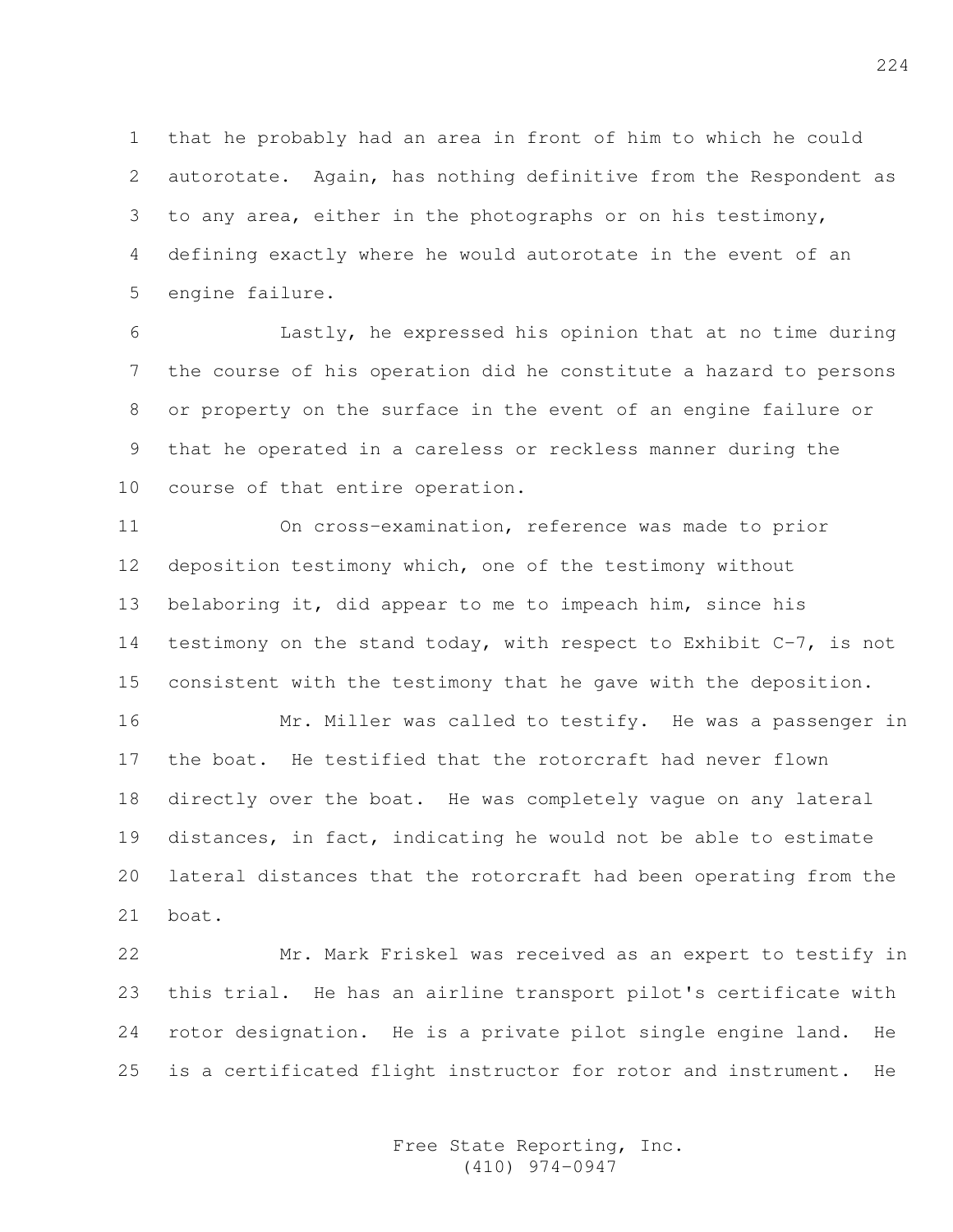1 that he probably had an area in front of him to which he could 2 autorotate. Again, has nothing definitive from the Respondent as 3 to any area, either in the photographs or on his testimony, 4 defining exactly where he would autorotate in the event of an 5 engine failure.

6 Lastly, he expressed his opinion that at no time during 7 the course of his operation did he constitute a hazard to persons 8 or property on the surface in the event of an engine failure or 9 that he operated in a careless or reckless manner during the 10 course of that entire operation.

11 On cross-examination, reference was made to prior 12 deposition testimony which, one of the testimony without 13 belaboring it, did appear to me to impeach him, since his 14 testimony on the stand today, with respect to Exhibit C-7, is not 15 consistent with the testimony that he gave with the deposition.

16 Mr. Miller was called to testify. He was a passenger in 17 the boat. He testified that the rotorcraft had never flown 18 directly over the boat. He was completely vague on any lateral 19 distances, in fact, indicating he would not be able to estimate 20 lateral distances that the rotorcraft had been operating from the 21 boat.

22 Mr. Mark Friskel was received as an expert to testify in 23 this trial. He has an airline transport pilot's certificate with 24 rotor designation. He is a private pilot single engine land. He 25 is a certificated flight instructor for rotor and instrument. He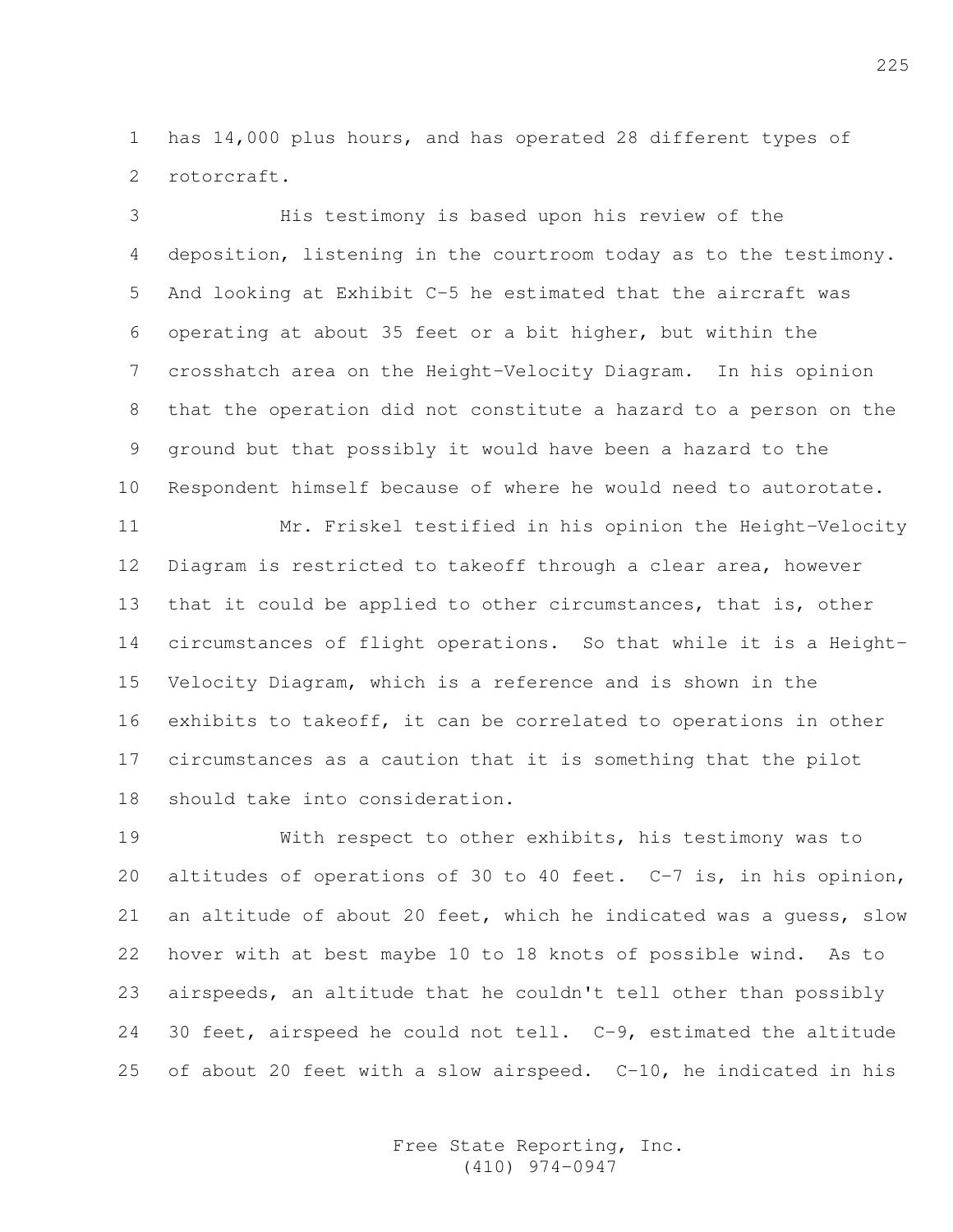1 has 14,000 plus hours, and has operated 28 different types of 2 rotorcraft.

3 His testimony is based upon his review of the 4 deposition, listening in the courtroom today as to the testimony. 5 And looking at Exhibit C-5 he estimated that the aircraft was 6 operating at about 35 feet or a bit higher, but within the 7 crosshatch area on the Height-Velocity Diagram. In his opinion 8 that the operation did not constitute a hazard to a person on the 9 ground but that possibly it would have been a hazard to the 10 Respondent himself because of where he would need to autorotate.

11 Mr. Friskel testified in his opinion the Height-Velocity 12 Diagram is restricted to takeoff through a clear area, however 13 that it could be applied to other circumstances, that is, other 14 circumstances of flight operations. So that while it is a Height-15 Velocity Diagram, which is a reference and is shown in the 16 exhibits to takeoff, it can be correlated to operations in other 17 circumstances as a caution that it is something that the pilot 18 should take into consideration.

19 With respect to other exhibits, his testimony was to 20 altitudes of operations of 30 to 40 feet. C-7 is, in his opinion, 21 an altitude of about 20 feet, which he indicated was a guess, slow 22 hover with at best maybe 10 to 18 knots of possible wind. As to 23 airspeeds, an altitude that he couldn't tell other than possibly 24 30 feet, airspeed he could not tell. C-9, estimated the altitude 25 of about 20 feet with a slow airspeed. C-10, he indicated in his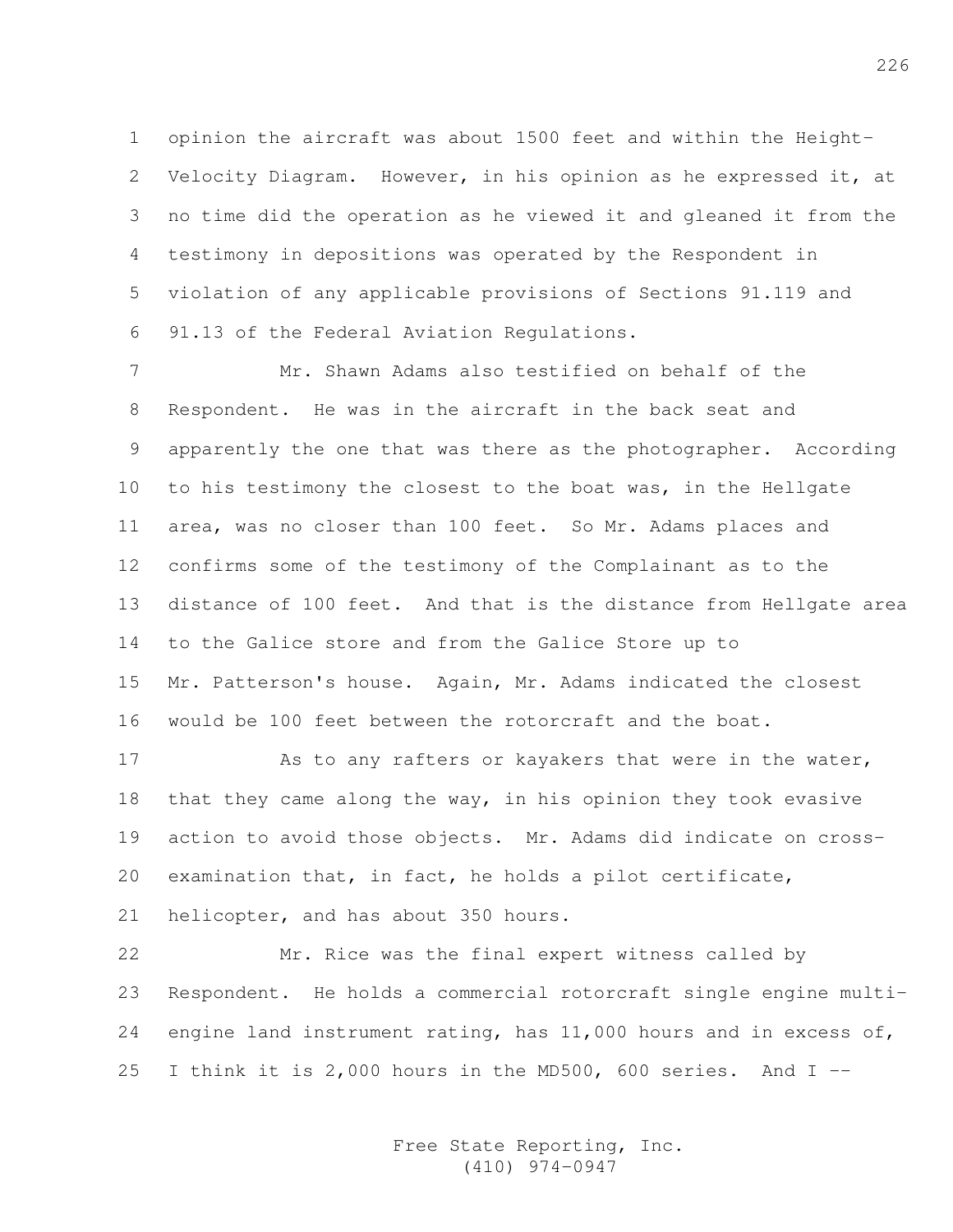1 opinion the aircraft was about 1500 feet and within the Height-2 Velocity Diagram. However, in his opinion as he expressed it, at 3 no time did the operation as he viewed it and gleaned it from the 4 testimony in depositions was operated by the Respondent in 5 violation of any applicable provisions of Sections 91.119 and 6 91.13 of the Federal Aviation Regulations.

7 Mr. Shawn Adams also testified on behalf of the 8 Respondent. He was in the aircraft in the back seat and 9 apparently the one that was there as the photographer. According 10 to his testimony the closest to the boat was, in the Hellgate 11 area, was no closer than 100 feet. So Mr. Adams places and 12 confirms some of the testimony of the Complainant as to the 13 distance of 100 feet. And that is the distance from Hellgate area 14 to the Galice store and from the Galice Store up to 15 Mr. Patterson's house. Again, Mr. Adams indicated the closest 16 would be 100 feet between the rotorcraft and the boat.

17 As to any rafters or kayakers that were in the water, 18 that they came along the way, in his opinion they took evasive 19 action to avoid those objects. Mr. Adams did indicate on cross-20 examination that, in fact, he holds a pilot certificate, 21 helicopter, and has about 350 hours.

22 Mr. Rice was the final expert witness called by 23 Respondent. He holds a commercial rotorcraft single engine multi-24 engine land instrument rating, has  $11,000$  hours and in excess of, 25 I think it is 2,000 hours in the MD500, 600 series. And I --

> Free State Reporting, Inc. (410) 974-0947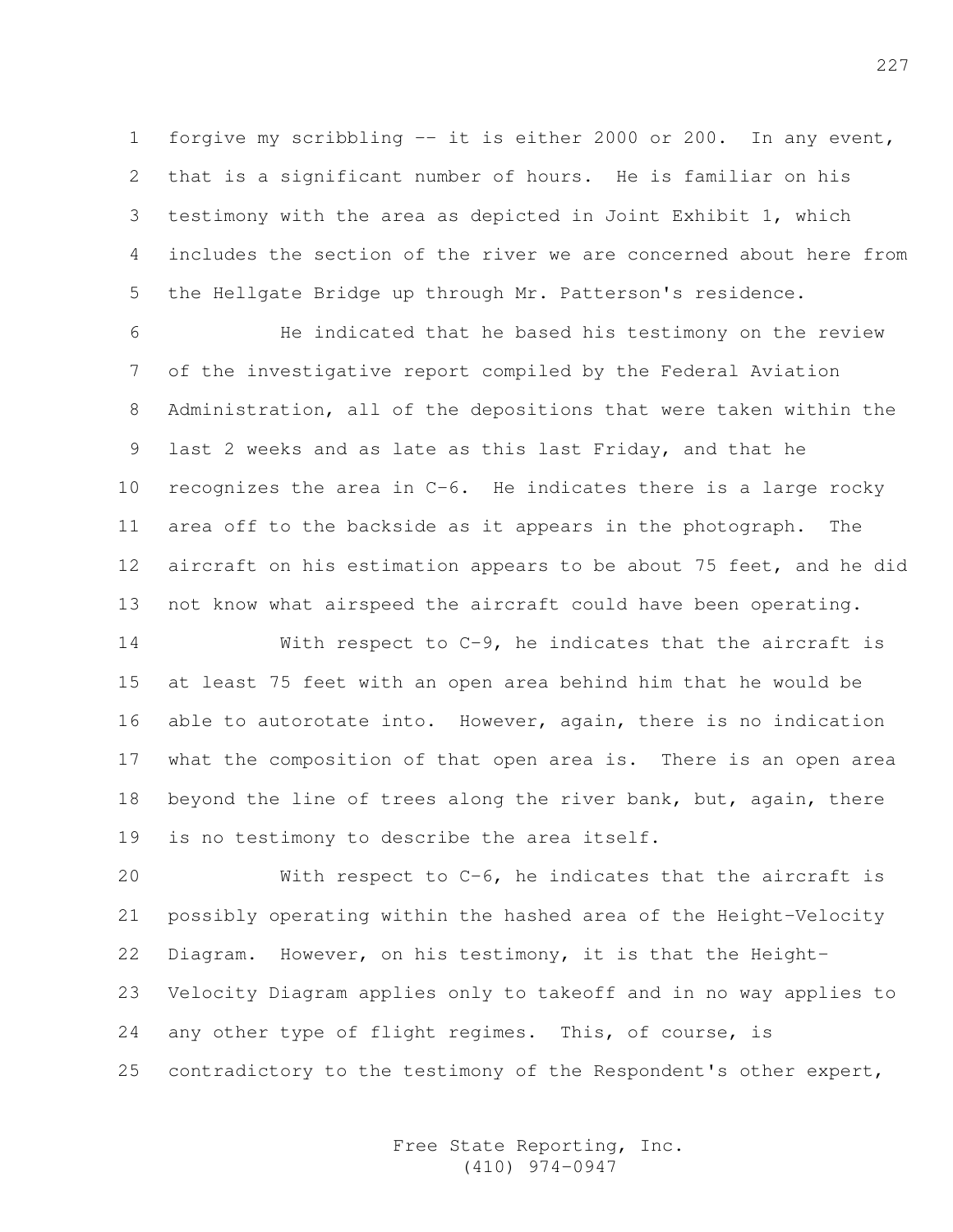1 forgive my scribbling -- it is either 2000 or 200. In any event, 2 that is a significant number of hours. He is familiar on his 3 testimony with the area as depicted in Joint Exhibit 1, which 4 includes the section of the river we are concerned about here from 5 the Hellgate Bridge up through Mr. Patterson's residence.

6 He indicated that he based his testimony on the review 7 of the investigative report compiled by the Federal Aviation 8 Administration, all of the depositions that were taken within the 9 last 2 weeks and as late as this last Friday, and that he 10 recognizes the area in C-6. He indicates there is a large rocky 11 area off to the backside as it appears in the photograph. The 12 aircraft on his estimation appears to be about 75 feet, and he did 13 not know what airspeed the aircraft could have been operating.

14 With respect to C-9, he indicates that the aircraft is 15 at least 75 feet with an open area behind him that he would be 16 able to autorotate into. However, again, there is no indication 17 what the composition of that open area is. There is an open area 18 beyond the line of trees along the river bank, but, again, there 19 is no testimony to describe the area itself.

20 With respect to C-6, he indicates that the aircraft is 21 possibly operating within the hashed area of the Height-Velocity 22 Diagram. However, on his testimony, it is that the Height-23 Velocity Diagram applies only to takeoff and in no way applies to 24 any other type of flight regimes. This, of course, is 25 contradictory to the testimony of the Respondent's other expert,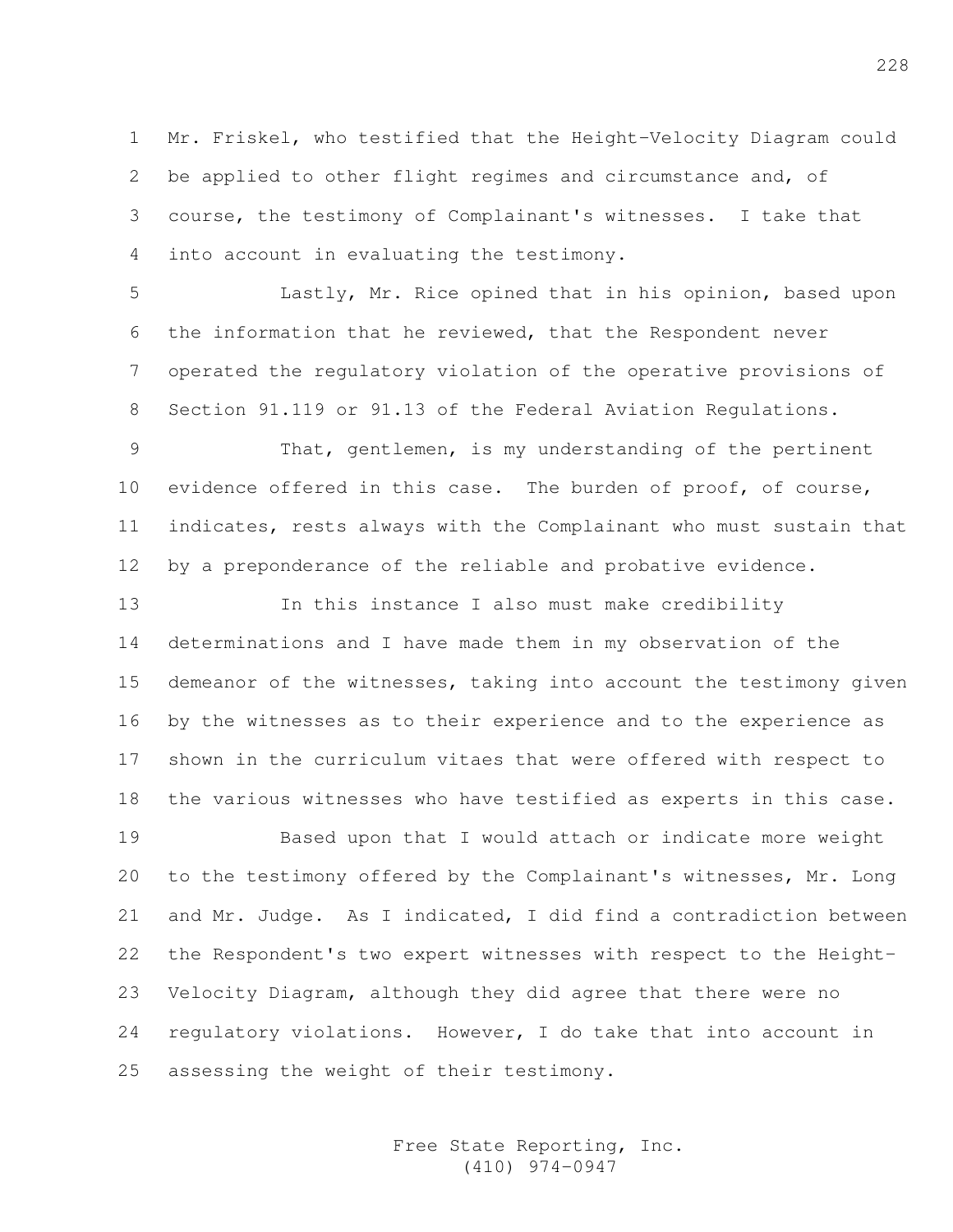1 Mr. Friskel, who testified that the Height-Velocity Diagram could 2 be applied to other flight regimes and circumstance and, of 3 course, the testimony of Complainant's witnesses. I take that 4 into account in evaluating the testimony.

5 Lastly, Mr. Rice opined that in his opinion, based upon 6 the information that he reviewed, that the Respondent never 7 operated the regulatory violation of the operative provisions of 8 Section 91.119 or 91.13 of the Federal Aviation Regulations.

9 That, gentlemen, is my understanding of the pertinent 10 evidence offered in this case. The burden of proof, of course, 11 indicates, rests always with the Complainant who must sustain that 12 by a preponderance of the reliable and probative evidence.

13 In this instance I also must make credibility 14 determinations and I have made them in my observation of the 15 demeanor of the witnesses, taking into account the testimony given 16 by the witnesses as to their experience and to the experience as 17 shown in the curriculum vitaes that were offered with respect to 18 the various witnesses who have testified as experts in this case.

19 Based upon that I would attach or indicate more weight 20 to the testimony offered by the Complainant's witnesses, Mr. Long 21 and Mr. Judge. As I indicated, I did find a contradiction between 22 the Respondent's two expert witnesses with respect to the Height-23 Velocity Diagram, although they did agree that there were no 24 regulatory violations. However, I do take that into account in 25 assessing the weight of their testimony.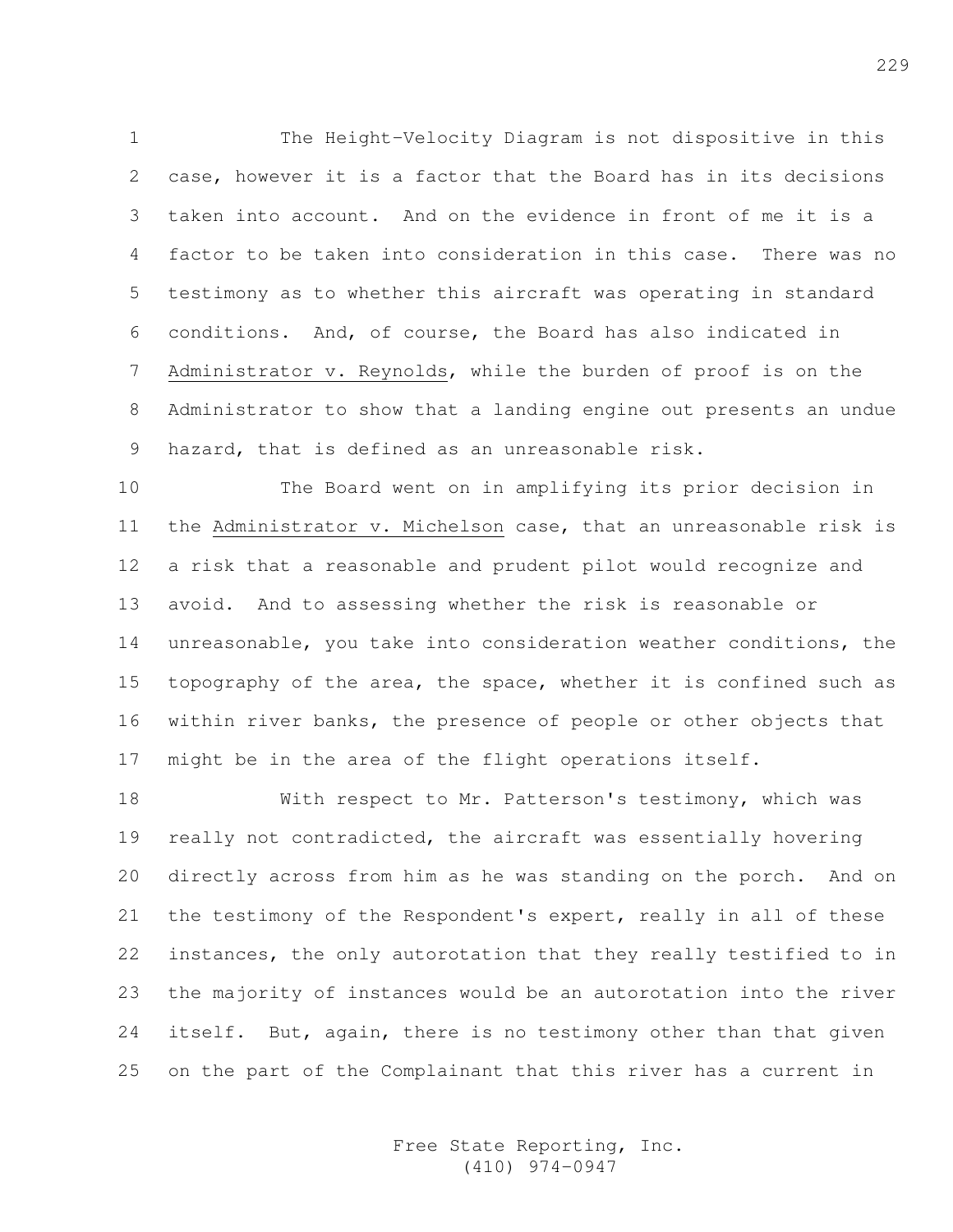1 The Height-Velocity Diagram is not dispositive in this 2 case, however it is a factor that the Board has in its decisions 3 taken into account. And on the evidence in front of me it is a 4 factor to be taken into consideration in this case. There was no 5 testimony as to whether this aircraft was operating in standard 6 conditions. And, of course, the Board has also indicated in 7 Administrator v. Reynolds, while the burden of proof is on the 8 Administrator to show that a landing engine out presents an undue 9 hazard, that is defined as an unreasonable risk.

10 The Board went on in amplifying its prior decision in 11 the Administrator v. Michelson case, that an unreasonable risk is 12 a risk that a reasonable and prudent pilot would recognize and 13 avoid. And to assessing whether the risk is reasonable or 14 unreasonable, you take into consideration weather conditions, the 15 topography of the area, the space, whether it is confined such as 16 within river banks, the presence of people or other objects that 17 might be in the area of the flight operations itself.

18 With respect to Mr. Patterson's testimony, which was 19 really not contradicted, the aircraft was essentially hovering 20 directly across from him as he was standing on the porch. And on 21 the testimony of the Respondent's expert, really in all of these 22 instances, the only autorotation that they really testified to in 23 the majority of instances would be an autorotation into the river 24 itself. But, again, there is no testimony other than that given 25 on the part of the Complainant that this river has a current in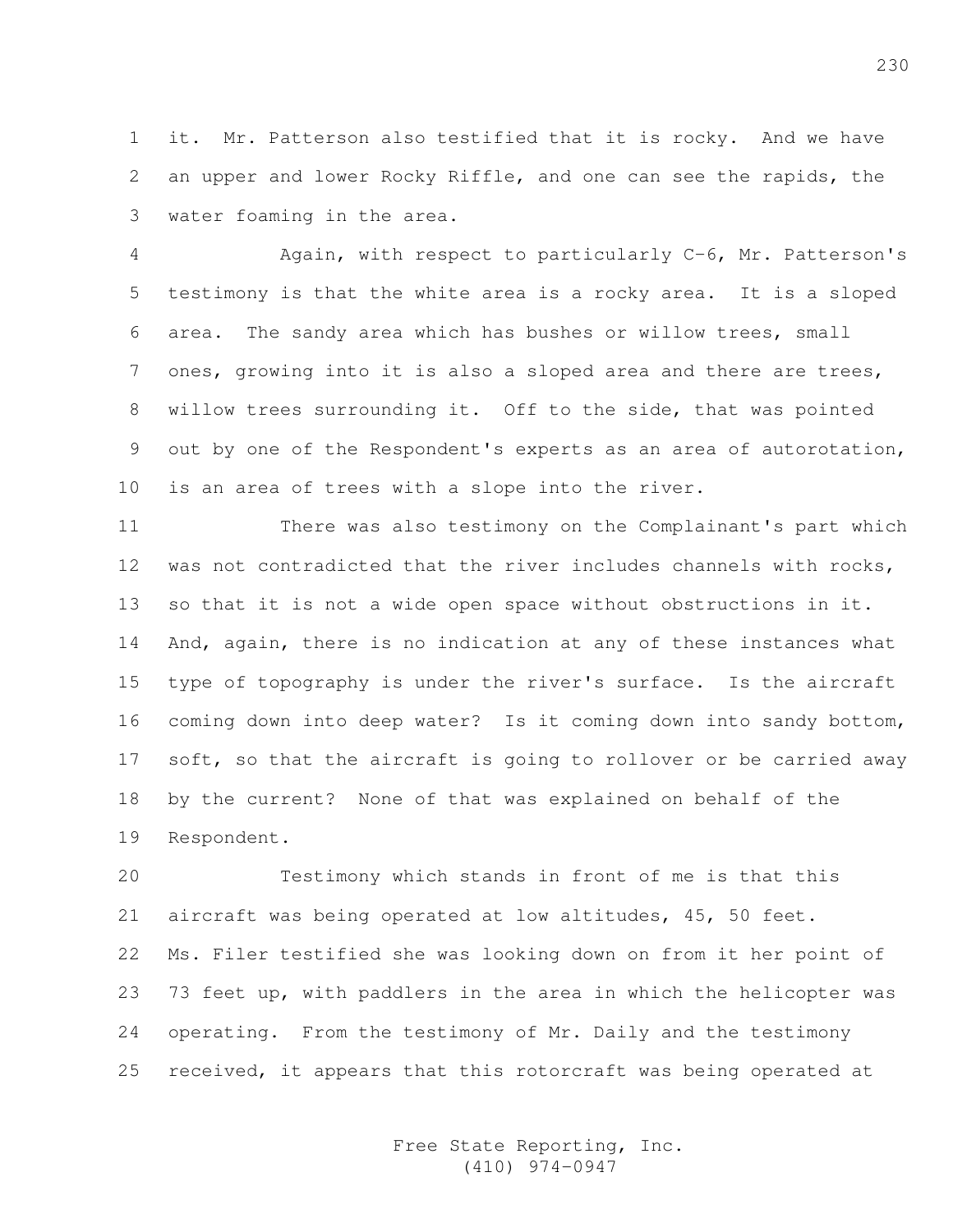1 it. Mr. Patterson also testified that it is rocky. And we have 2 an upper and lower Rocky Riffle, and one can see the rapids, the 3 water foaming in the area.

4 Again, with respect to particularly C-6, Mr. Patterson's 5 testimony is that the white area is a rocky area. It is a sloped 6 area. The sandy area which has bushes or willow trees, small 7 ones, growing into it is also a sloped area and there are trees, 8 willow trees surrounding it. Off to the side, that was pointed 9 out by one of the Respondent's experts as an area of autorotation, 10 is an area of trees with a slope into the river.

11 There was also testimony on the Complainant's part which 12 was not contradicted that the river includes channels with rocks, 13 so that it is not a wide open space without obstructions in it. 14 And, again, there is no indication at any of these instances what 15 type of topography is under the river's surface. Is the aircraft 16 coming down into deep water? Is it coming down into sandy bottom, 17 soft, so that the aircraft is going to rollover or be carried away 18 by the current? None of that was explained on behalf of the 19 Respondent.

20 Testimony which stands in front of me is that this 21 aircraft was being operated at low altitudes, 45, 50 feet. 22 Ms. Filer testified she was looking down on from it her point of 23 73 feet up, with paddlers in the area in which the helicopter was 24 operating. From the testimony of Mr. Daily and the testimony 25 received, it appears that this rotorcraft was being operated at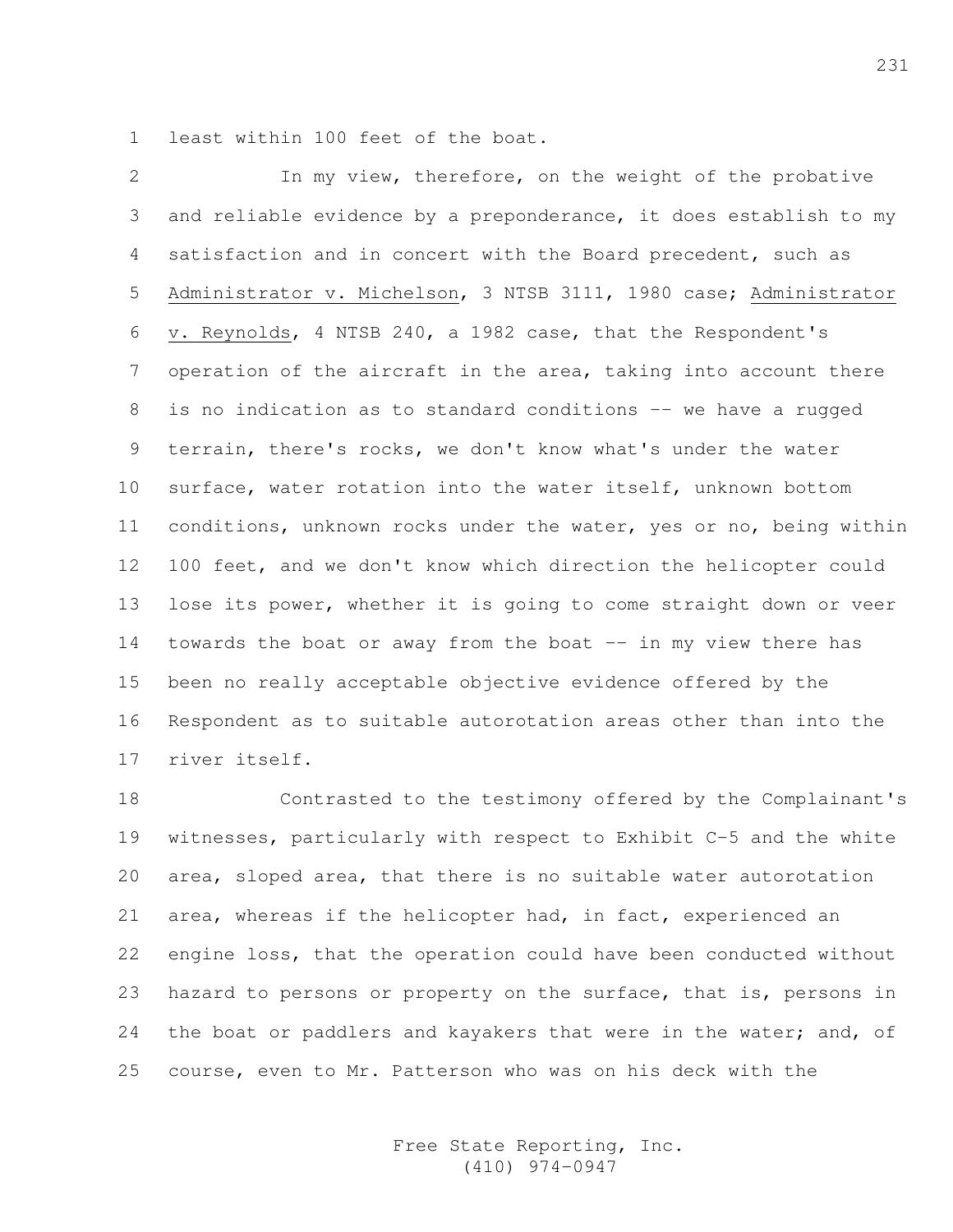1 least within 100 feet of the boat.

2 In my view, therefore, on the weight of the probative 3 and reliable evidence by a preponderance, it does establish to my 4 satisfaction and in concert with the Board precedent, such as 5 Administrator v. Michelson, 3 NTSB 3111, 1980 case; Administrator 6 v. Reynolds, 4 NTSB 240, a 1982 case, that the Respondent's 7 operation of the aircraft in the area, taking into account there 8 is no indication as to standard conditions -- we have a rugged 9 terrain, there's rocks, we don't know what's under the water 10 surface, water rotation into the water itself, unknown bottom 11 conditions, unknown rocks under the water, yes or no, being within 12 100 feet, and we don't know which direction the helicopter could 13 lose its power, whether it is going to come straight down or veer 14 towards the boat or away from the boat -- in my view there has 15 been no really acceptable objective evidence offered by the 16 Respondent as to suitable autorotation areas other than into the 17 river itself.

18 Contrasted to the testimony offered by the Complainant's 19 witnesses, particularly with respect to Exhibit C-5 and the white 20 area, sloped area, that there is no suitable water autorotation 21 area, whereas if the helicopter had, in fact, experienced an 22 engine loss, that the operation could have been conducted without 23 hazard to persons or property on the surface, that is, persons in 24 the boat or paddlers and kayakers that were in the water; and, of 25 course, even to Mr. Patterson who was on his deck with the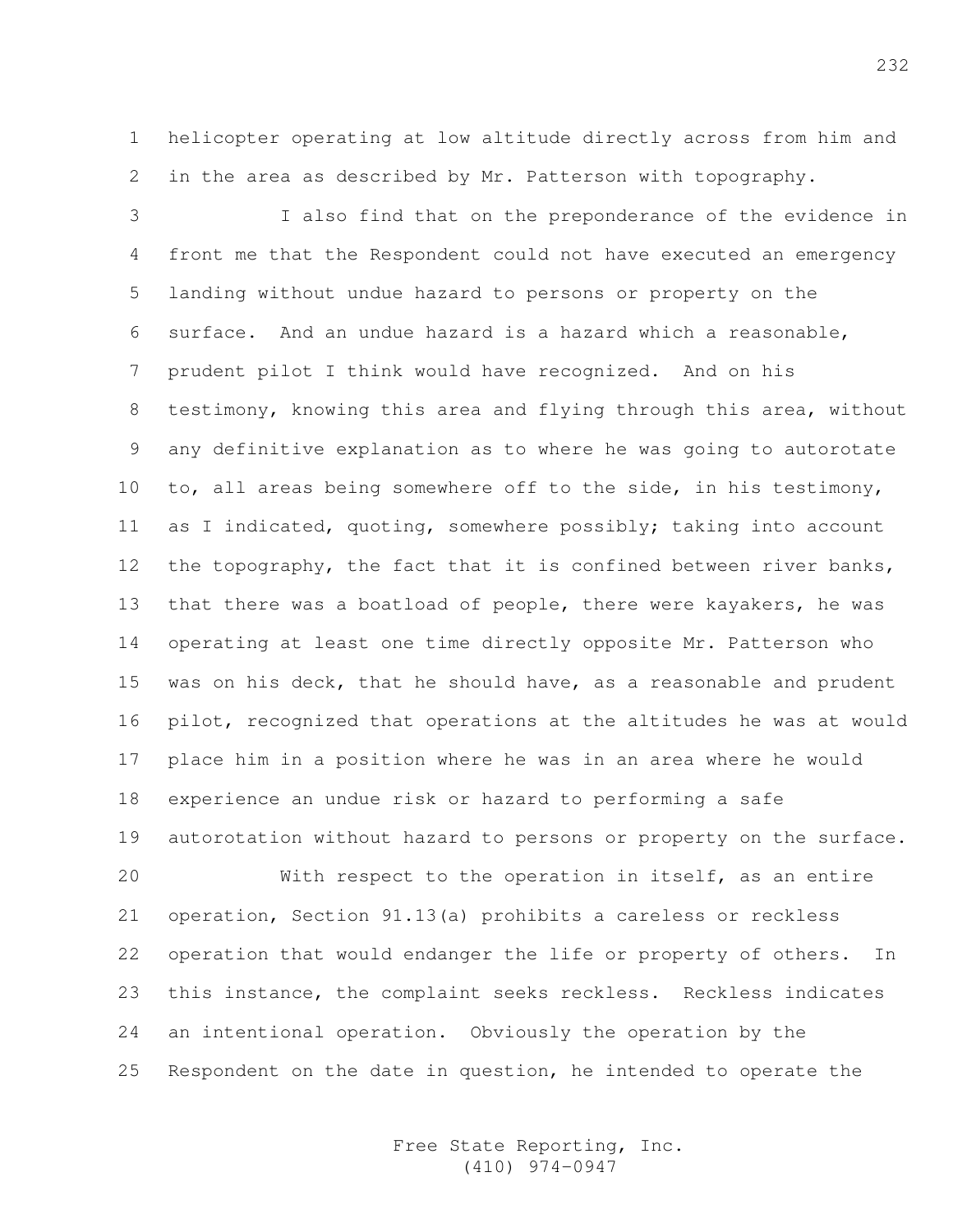1 helicopter operating at low altitude directly across from him and 2 in the area as described by Mr. Patterson with topography.

3 I also find that on the preponderance of the evidence in 4 front me that the Respondent could not have executed an emergency 5 landing without undue hazard to persons or property on the 6 surface. And an undue hazard is a hazard which a reasonable, 7 prudent pilot I think would have recognized. And on his 8 testimony, knowing this area and flying through this area, without 9 any definitive explanation as to where he was going to autorotate 10 to, all areas being somewhere off to the side, in his testimony, 11 as I indicated, quoting, somewhere possibly; taking into account 12 the topography, the fact that it is confined between river banks, 13 that there was a boatload of people, there were kayakers, he was 14 operating at least one time directly opposite Mr. Patterson who 15 was on his deck, that he should have, as a reasonable and prudent 16 pilot, recognized that operations at the altitudes he was at would 17 place him in a position where he was in an area where he would 18 experience an undue risk or hazard to performing a safe 19 autorotation without hazard to persons or property on the surface.

20 With respect to the operation in itself, as an entire 21 operation, Section 91.13(a) prohibits a careless or reckless 22 operation that would endanger the life or property of others. In 23 this instance, the complaint seeks reckless. Reckless indicates 24 an intentional operation. Obviously the operation by the 25 Respondent on the date in question, he intended to operate the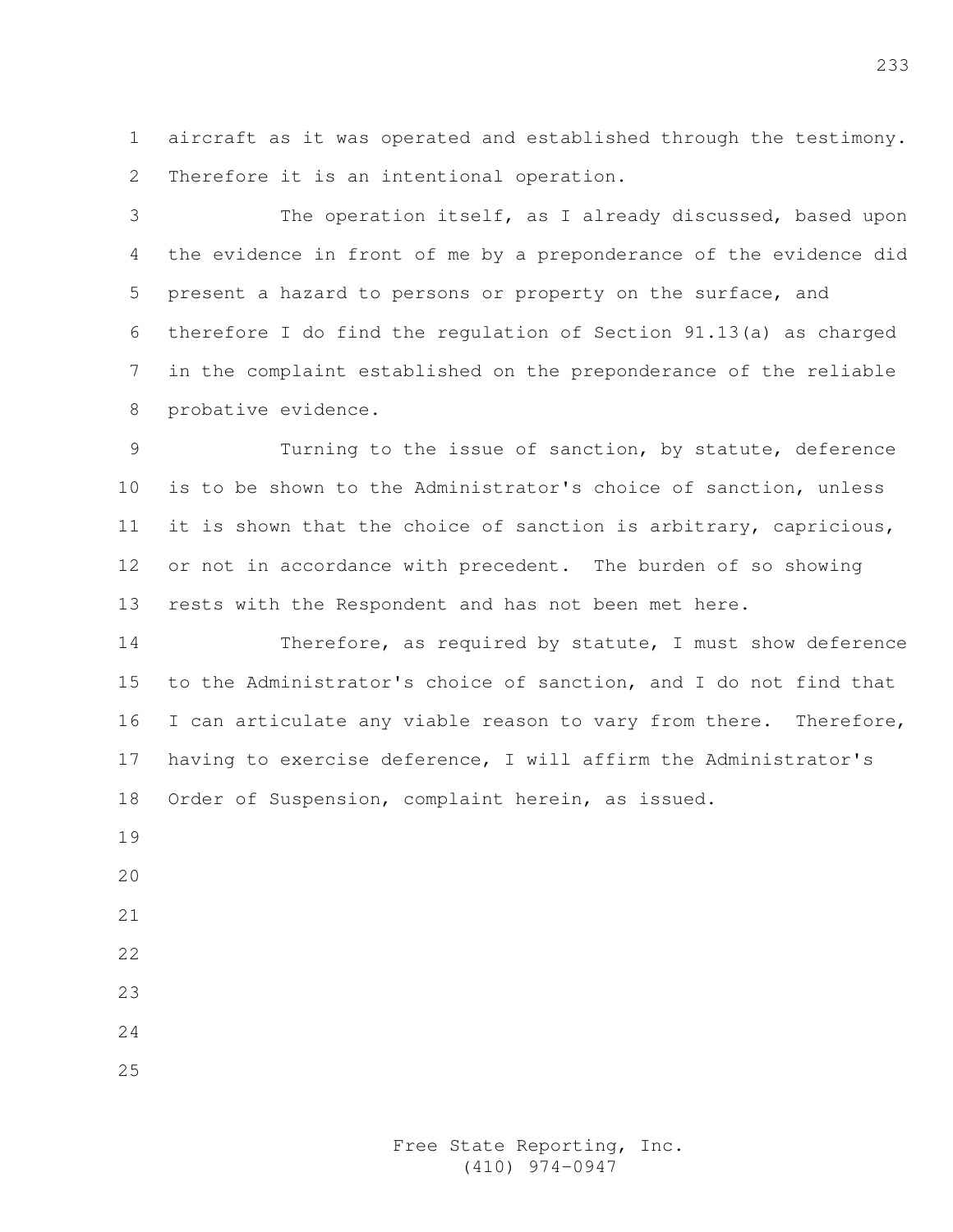1 aircraft as it was operated and established through the testimony. 2 Therefore it is an intentional operation.

3 The operation itself, as I already discussed, based upon 4 the evidence in front of me by a preponderance of the evidence did 5 present a hazard to persons or property on the surface, and 6 therefore I do find the regulation of Section 91.13(a) as charged 7 in the complaint established on the preponderance of the reliable 8 probative evidence.

9 Turning to the issue of sanction, by statute, deference 10 is to be shown to the Administrator's choice of sanction, unless 11 it is shown that the choice of sanction is arbitrary, capricious, 12 or not in accordance with precedent. The burden of so showing 13 rests with the Respondent and has not been met here.

14 Therefore, as required by statute, I must show deference 15 to the Administrator's choice of sanction, and I do not find that 16 I can articulate any viable reason to vary from there. Therefore, 17 having to exercise deference, I will affirm the Administrator's 18 Order of Suspension, complaint herein, as issued.

- 19
- $20$
- 21
- 22
- 23
- 24
- 25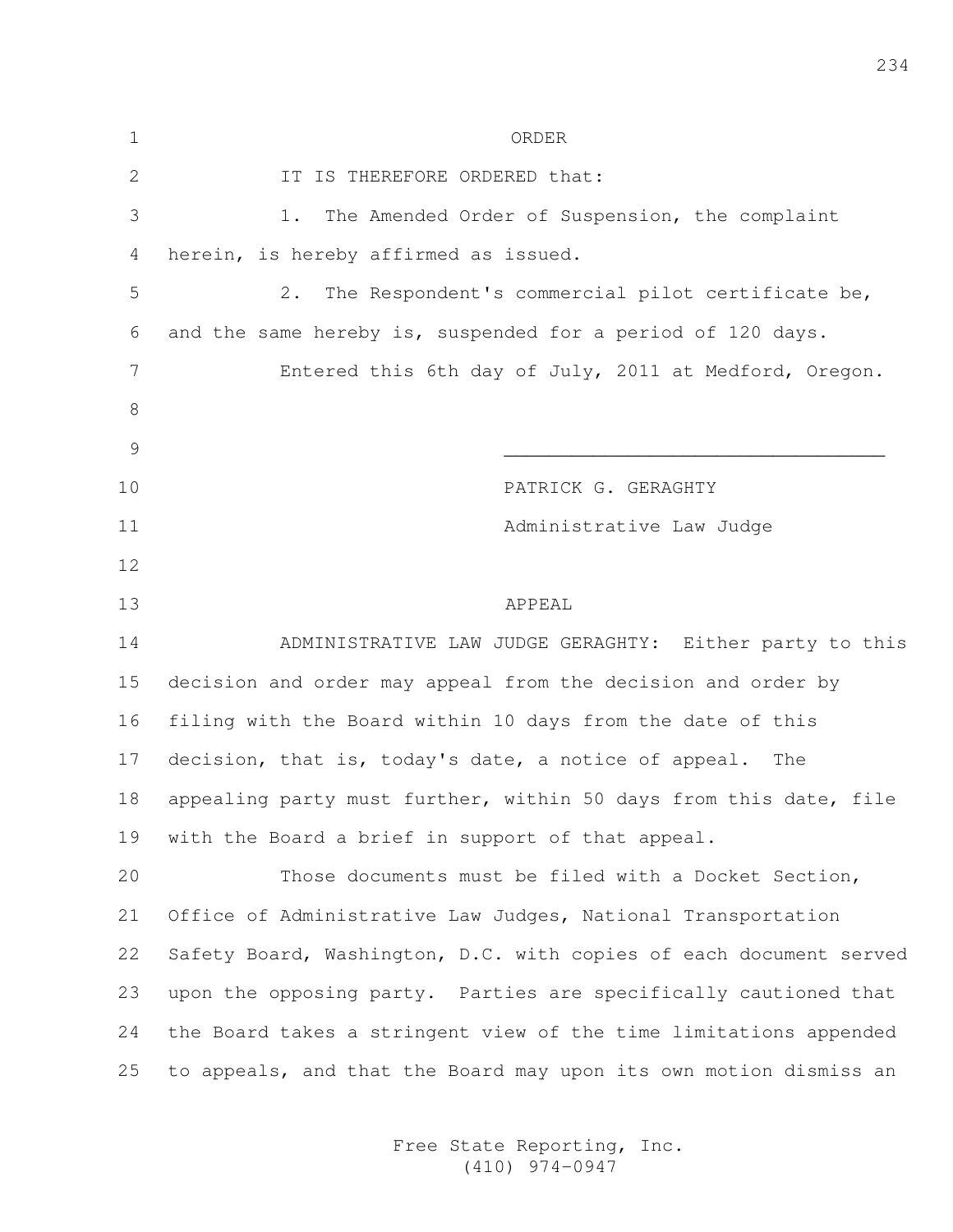| $\mathbf 1$   | ORDER                                                              |  |  |
|---------------|--------------------------------------------------------------------|--|--|
| 2             | IT IS THEREFORE ORDERED that:                                      |  |  |
| 3             | The Amended Order of Suspension, the complaint<br>1.               |  |  |
| 4             | herein, is hereby affirmed as issued.                              |  |  |
| 5             | The Respondent's commercial pilot certificate be,<br>$2$ .         |  |  |
| 6             | and the same hereby is, suspended for a period of 120 days.        |  |  |
| 7             | Entered this 6th day of July, 2011 at Medford, Oregon.             |  |  |
| 8             |                                                                    |  |  |
| $\mathcal{G}$ |                                                                    |  |  |
| 10            | PATRICK G. GERAGHTY                                                |  |  |
| 11            | Administrative Law Judge                                           |  |  |
| 12            |                                                                    |  |  |
| 13            | APPEAL                                                             |  |  |
| 14            | ADMINISTRATIVE LAW JUDGE GERAGHTY: Either party to this            |  |  |
| 15            | decision and order may appeal from the decision and order by       |  |  |
| 16            | filing with the Board within 10 days from the date of this         |  |  |
| 17            | decision, that is, today's date, a notice of appeal. The           |  |  |
| 18            | appealing party must further, within 50 days from this date, file  |  |  |
| 19            | with the Board a brief in support of that appeal.                  |  |  |
| 20            | Those documents must be filed with a Docket Section,               |  |  |
| 21            | Office of Administrative Law Judges, National Transportation       |  |  |
| 22            | Safety Board, Washington, D.C. with copies of each document served |  |  |
| 23            | upon the opposing party. Parties are specifically cautioned that   |  |  |
| 24            | the Board takes a stringent view of the time limitations appended  |  |  |
| 25            | to appeals, and that the Board may upon its own motion dismiss an  |  |  |
|               |                                                                    |  |  |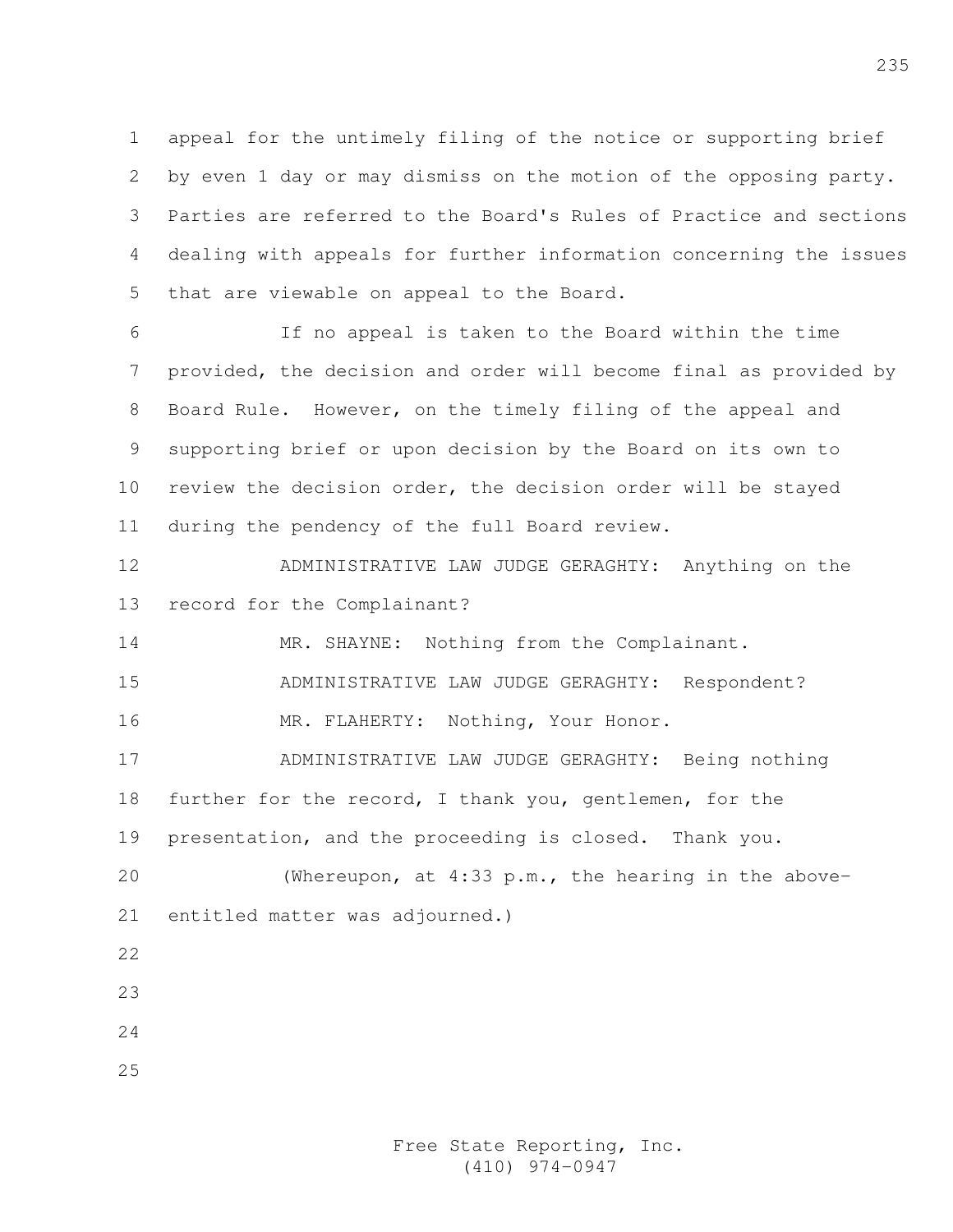1 appeal for the untimely filing of the notice or supporting brief 2 by even 1 day or may dismiss on the motion of the opposing party. 3 Parties are referred to the Board's Rules of Practice and sections 4 dealing with appeals for further information concerning the issues 5 that are viewable on appeal to the Board.

6 If no appeal is taken to the Board within the time 7 provided, the decision and order will become final as provided by 8 Board Rule. However, on the timely filing of the appeal and 9 supporting brief or upon decision by the Board on its own to 10 review the decision order, the decision order will be stayed 11 during the pendency of the full Board review.

12 ADMINISTRATIVE LAW JUDGE GERAGHTY: Anything on the 13 record for the Complainant?

14 MR. SHAYNE: Nothing from the Complainant.

15 ADMINISTRATIVE LAW JUDGE GERAGHTY: Respondent?

16 MR. FLAHERTY: Nothing, Your Honor.

17 ADMINISTRATIVE LAW JUDGE GERAGHTY: Being nothing 18 further for the record, I thank you, gentlemen, for the 19 presentation, and the proceeding is closed. Thank you.

20 (Whereupon, at 4:33 p.m., the hearing in the above-21 entitled matter was adjourned.)

- 22
- 23
- 24
- 25